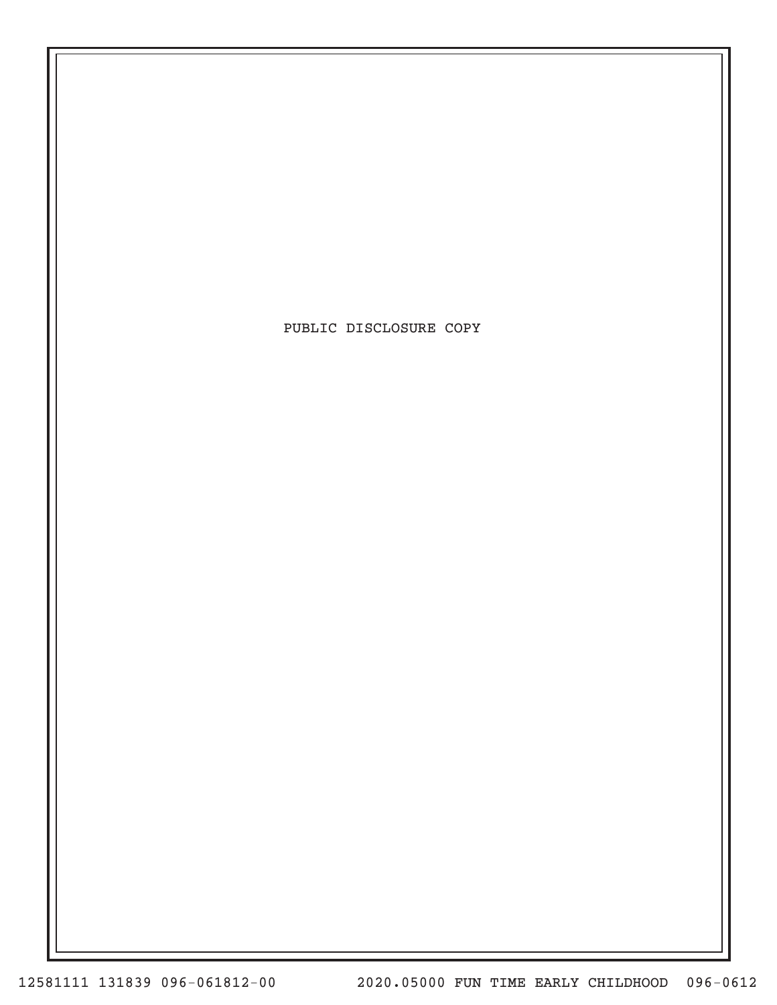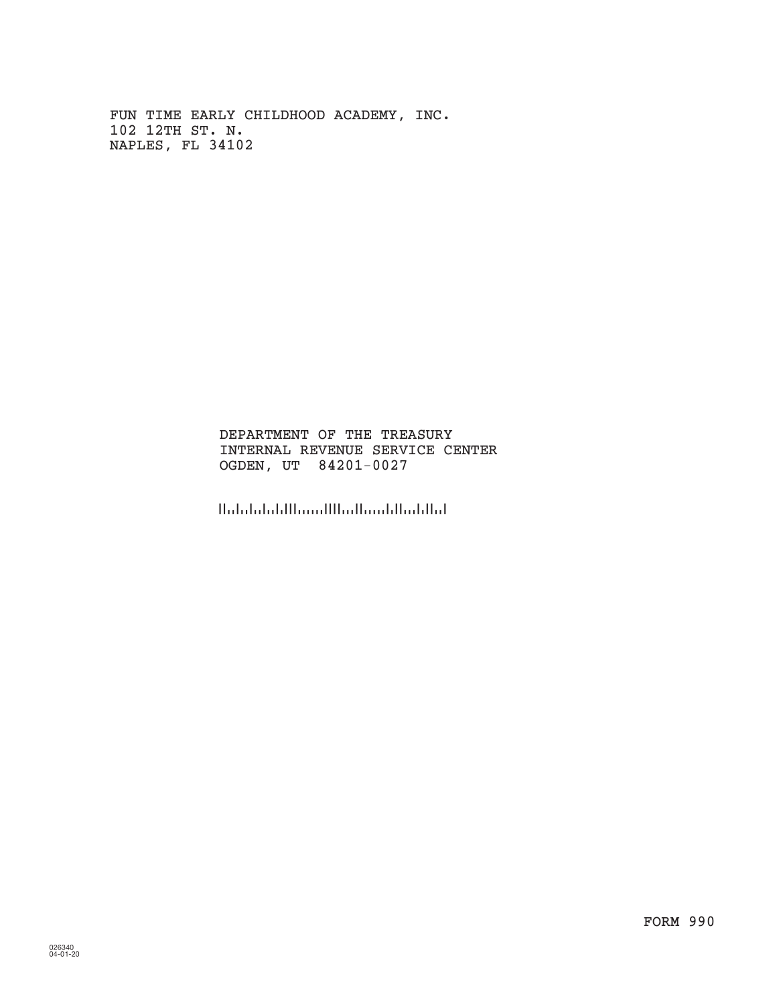FUN TIME EARLY CHILDHOOD ACADEMY, INC. 102 12TH ST. N. NAPLES, FL 34102

## INTERNAL REVENUE SERVICE CENTER OGDEN, UT 84201‐0027 DEPARTMENT OF THE TREASURY

!!abdalab!!!!am!!!!adbaab!!addlad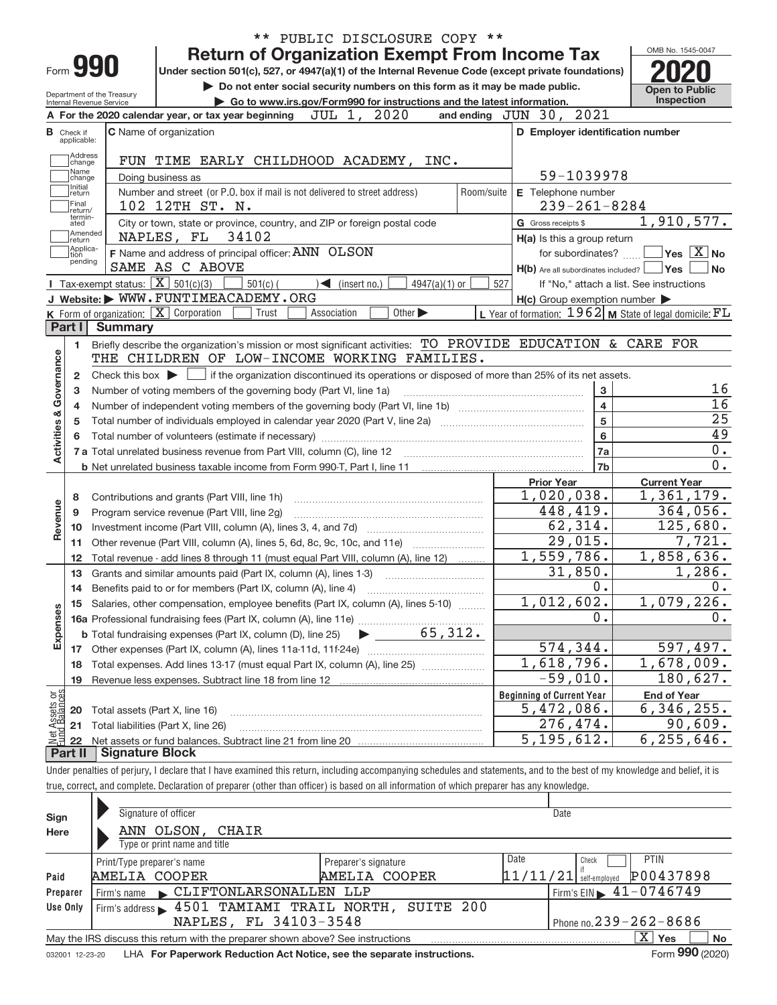|                                |                                  |                                                            | PUBLIC DISCLOSURE COPY **<br>$***$                                                                                                                                         |                                                                       |                             |
|--------------------------------|----------------------------------|------------------------------------------------------------|----------------------------------------------------------------------------------------------------------------------------------------------------------------------------|-----------------------------------------------------------------------|-----------------------------|
|                                |                                  |                                                            | <b>Return of Organization Exempt From Income Tax</b>                                                                                                                       |                                                                       | OMB No. 1545-0047           |
|                                |                                  | <b>Form 990</b>                                            | Under section 501(c), 527, or 4947(a)(1) of the Internal Revenue Code (except private foundations)                                                                         |                                                                       |                             |
|                                |                                  |                                                            | Do not enter social security numbers on this form as it may be made public.                                                                                                |                                                                       | <b>Open to Public</b>       |
|                                |                                  | Department of the Treasury<br>Internal Revenue Service     | Go to www.irs.gov/Form990 for instructions and the latest information.                                                                                                     |                                                                       | Inspection                  |
|                                |                                  |                                                            | A For the 2020 calendar year, or tax year beginning $JUL$ 1, $2020$                                                                                                        | and ending JUN 30, 2021                                               |                             |
|                                | <b>B</b> Check if<br>applicable: |                                                            | C Name of organization                                                                                                                                                     | D Employer identification number                                      |                             |
|                                | Address                          |                                                            |                                                                                                                                                                            |                                                                       |                             |
|                                | change<br>Name                   |                                                            | FUN TIME EARLY CHILDHOOD ACADEMY, INC.                                                                                                                                     |                                                                       |                             |
|                                | change<br>Initial                |                                                            | Doing business as                                                                                                                                                          | 59-1039978                                                            |                             |
|                                | return<br>Final                  |                                                            | Number and street (or P.O. box if mail is not delivered to street address)<br>Room/suite                                                                                   | E Telephone number                                                    |                             |
|                                | return/<br>termin-               |                                                            | 102 12TH ST. N.                                                                                                                                                            | $239 - 261 - 8284$                                                    | 1,910,577.                  |
|                                | ated<br>Amended                  |                                                            | City or town, state or province, country, and ZIP or foreign postal code<br>NAPLES, FL 34102                                                                               | G Gross receipts \$                                                   |                             |
|                                | return<br>Applica-               |                                                            | F Name and address of principal officer: ANN OLSON                                                                                                                         | H(a) Is this a group return                                           | $\sqrt{}$ Yes $\sqrt{X}$ No |
|                                | tion<br>pending                  |                                                            | SAME AS C ABOVE                                                                                                                                                            | for subordinates?<br>$H(b)$ Are all subordinates included? $\Box$ Yes | No                          |
|                                |                                  | <b>I</b> Tax-exempt status: $\boxed{\mathbf{X}}$ 501(c)(3) | $501(c)$ (<br>$\sum$ (insert no.)<br>$4947(a)(1)$ or                                                                                                                       | 527<br>If "No," attach a list. See instructions                       |                             |
|                                |                                  |                                                            | J Website: WWW.FUNTIMEACADEMY.ORG                                                                                                                                          | $H(c)$ Group exemption number $\blacktriangleright$                   |                             |
|                                |                                  |                                                            | K Form of organization: $\boxed{\mathbf{X}}$ Corporation<br>Trust<br>Association<br>Other $\blacktriangleright$                                                            | L Year of formation: $1962$ M State of legal domicile: $FL$           |                             |
|                                | Part I                           | <b>Summary</b>                                             |                                                                                                                                                                            |                                                                       |                             |
|                                | 1                                |                                                            | Briefly describe the organization's mission or most significant activities: TO PROVIDE EDUCATION & CARE FOR                                                                |                                                                       |                             |
|                                |                                  |                                                            | THE CHILDREN OF LOW-INCOME WORKING FAMILIES.                                                                                                                               |                                                                       |                             |
|                                | $\mathbf{2}$                     |                                                            | Check this box $\blacktriangleright$ $\Box$ if the organization discontinued its operations or disposed of more than 25% of its net assets.                                |                                                                       |                             |
| Governance                     | 3                                |                                                            | Number of voting members of the governing body (Part VI, line 1a)                                                                                                          | 3                                                                     | 16                          |
|                                | 4                                |                                                            | 16                                                                                                                                                                         |                                                                       |                             |
|                                | 5                                |                                                            |                                                                                                                                                                            | $\overline{\mathbf{4}}$<br>5                                          | $\overline{25}$             |
| <b>Activities &amp;</b>        | 6                                |                                                            |                                                                                                                                                                            | 6                                                                     | 49                          |
|                                |                                  |                                                            |                                                                                                                                                                            | 7a                                                                    | $\overline{0}$ .            |
|                                |                                  |                                                            |                                                                                                                                                                            | 7b                                                                    | $\overline{0}$ .            |
|                                |                                  |                                                            |                                                                                                                                                                            | <b>Prior Year</b>                                                     | <b>Current Year</b>         |
|                                | 8                                |                                                            | Contributions and grants (Part VIII, line 1h)                                                                                                                              | 1,020,038.                                                            | 1,361,179.                  |
| Revenue                        | 9                                |                                                            | Program service revenue (Part VIII, line 2g)                                                                                                                               | 448,419.                                                              | 364,056.                    |
|                                | 10                               |                                                            |                                                                                                                                                                            | 62, 314.                                                              | 125,680.                    |
|                                | 11                               |                                                            | Other revenue (Part VIII, column (A), lines 5, 6d, 8c, 9c, 10c, and 11e) <i>mummumm</i>                                                                                    | 29,015.                                                               | 7,721.                      |
|                                | 12                               |                                                            | Total revenue - add lines 8 through 11 (must equal Part VIII, column (A), line 12)                                                                                         | 1,559,786.                                                            | 1,858,636.                  |
|                                | 13                               |                                                            | Grants and similar amounts paid (Part IX, column (A), lines 1-3)                                                                                                           | 31,850.                                                               | 1,286.                      |
|                                | 14                               |                                                            | Benefits paid to or for members (Part IX, column (A), line 4)                                                                                                              | 0.                                                                    | 0.                          |
|                                | 15                               |                                                            | Salaries, other compensation, employee benefits (Part IX, column (A), lines 5-10)                                                                                          | 1,012,602.                                                            | 1,079,226.                  |
|                                |                                  |                                                            |                                                                                                                                                                            | 0.                                                                    | 0.                          |
| Expenses                       |                                  |                                                            |                                                                                                                                                                            |                                                                       |                             |
|                                | 17                               |                                                            |                                                                                                                                                                            | 574,344.                                                              | 597, 497.                   |
|                                | 18                               |                                                            | Total expenses. Add lines 13-17 (must equal Part IX, column (A), line 25) [                                                                                                | 1,618,796.                                                            | 1,678,009.                  |
|                                | 19                               |                                                            |                                                                                                                                                                            | $-59,010.$                                                            | 180,627.                    |
| Net Assets or<br>Fund Balances |                                  |                                                            |                                                                                                                                                                            | <b>Beginning of Current Year</b>                                      | <b>End of Year</b>          |
|                                | 20                               | Total assets (Part X, line 16)                             |                                                                                                                                                                            | 5,472,086.                                                            | 6,346,255.                  |
|                                | 21                               |                                                            | Total liabilities (Part X, line 26)                                                                                                                                        | 276,474.                                                              | 90,609.                     |
|                                | 22<br>Part II                    | <b>Signature Block</b>                                     |                                                                                                                                                                            | 5,195,612.                                                            | $\overline{6}$ , 255, 646.  |
|                                |                                  |                                                            | Under penalties of perjury, I declare that I have examined this return, including accompanying schedules and statements, and to the best of my knowledge and belief, it is |                                                                       |                             |
|                                |                                  |                                                            | true, correct, and complete. Declaration of preparer (other than officer) is based on all information of which preparer has any knowledge.                                 |                                                                       |                             |
|                                |                                  |                                                            |                                                                                                                                                                            |                                                                       |                             |

| Sign<br>Here | Signature of officer<br>ANN OLSON, CHAIR<br>Type or print name and title        |                                     | Date                                         |
|--------------|---------------------------------------------------------------------------------|-------------------------------------|----------------------------------------------|
|              | Print/Type preparer's name                                                      | Preparer's signature                | Date<br><b>PTIN</b><br>Check                 |
| Paid         | AMELIA COOPER                                                                   | AMELIA COOPER                       | P00437898<br>11/11/21<br>self-emploved       |
| Preparer     | CLIFTONLARSONALLEN LLP<br>Firm's name                                           |                                     | $\frac{1}{2}$ Firm's EIN $\geq 41 - 0746749$ |
| Use Only     | Firm's address                                                                  | 4501 TAMIAMI TRAIL NORTH, SUITE 200 |                                              |
|              | NAPLES, FL 34103-3548                                                           |                                     | Phone no. $239 - 262 - 8686$                 |
|              | May the IRS discuss this return with the preparer shown above? See instructions |                                     | X.<br>Yes<br><b>No</b>                       |
|              |                                                                                 |                                     | $F = 000 \text{ (0000)}$                     |

032001 12-23-20 LHA **For Paperwork Reduction Act Notice, see the separate instructions.** Form **990** (2020)

Form **990** (2020)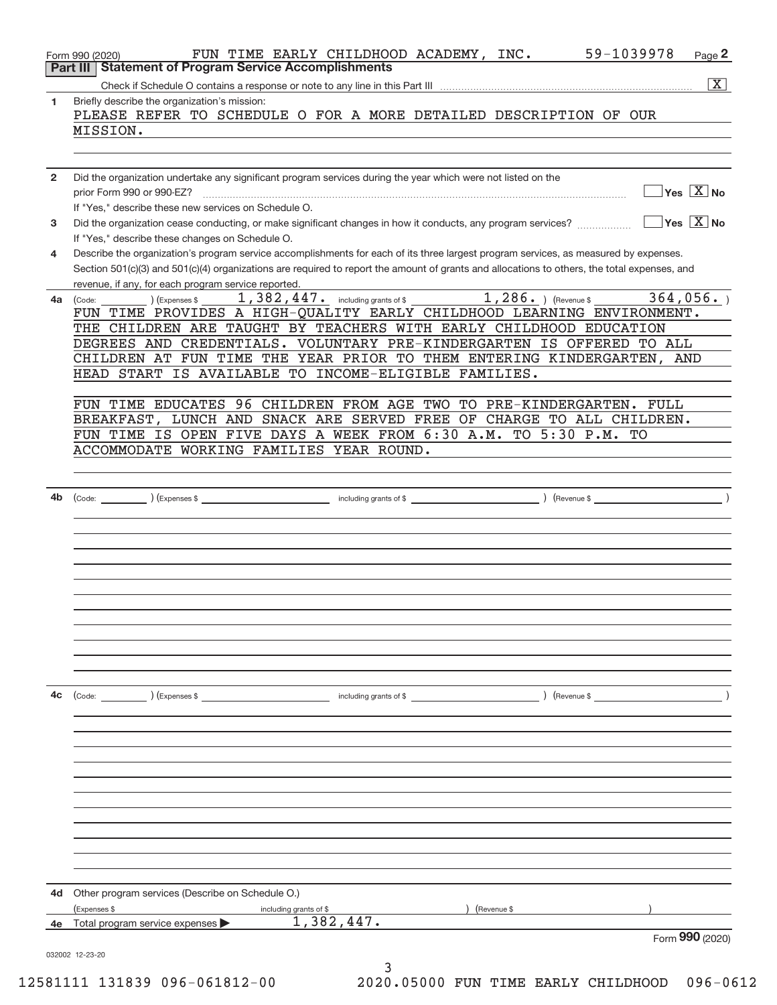|                | FUN TIME EARLY CHILDHOOD ACADEMY, INC.<br>Form 990 (2020)                                                                                                                                                                                                                            | 59-1039978<br>Page 2                          |
|----------------|--------------------------------------------------------------------------------------------------------------------------------------------------------------------------------------------------------------------------------------------------------------------------------------|-----------------------------------------------|
|                | <b>Statement of Program Service Accomplishments</b><br>Part III                                                                                                                                                                                                                      |                                               |
| 1              | Briefly describe the organization's mission:                                                                                                                                                                                                                                         | $\overline{\text{X}}$                         |
|                | PLEASE REFER TO SCHEDULE O FOR A MORE DETAILED DESCRIPTION OF OUR                                                                                                                                                                                                                    |                                               |
|                | MISSION.                                                                                                                                                                                                                                                                             |                                               |
|                |                                                                                                                                                                                                                                                                                      |                                               |
| $\overline{2}$ | Did the organization undertake any significant program services during the year which were not listed on the<br>prior Form 990 or 990-EZ?                                                                                                                                            | $\sqrt{}$ Yes $\sqrt{}$ $\overline{\rm X}$ No |
| 3              | If "Yes," describe these new services on Schedule O.<br>Did the organization cease conducting, or make significant changes in how it conducts, any program services?                                                                                                                 | $\sqrt{}$ Yes $\sqrt{}$ X $\sqrt{}$ No        |
|                | If "Yes," describe these changes on Schedule O.                                                                                                                                                                                                                                      |                                               |
| 4              | Describe the organization's program service accomplishments for each of its three largest program services, as measured by expenses.<br>Section 501(c)(3) and 501(c)(4) organizations are required to report the amount of grants and allocations to others, the total expenses, and |                                               |
|                | revenue, if any, for each program service reported.                                                                                                                                                                                                                                  |                                               |
| 4a             | $1,286.$ ) (Revenue \$<br>$1,382,447$ and $\frac{1}{2}$ including grants of \$<br>(Expenses \$<br>(Code:<br>FUN TIME PROVIDES A HIGH-QUALITY EARLY CHILDHOOD LEARNING ENVIRONMENT.                                                                                                   | 364,056.                                      |
|                | THE CHILDREN ARE TAUGHT BY TEACHERS WITH EARLY CHILDHOOD EDUCATION                                                                                                                                                                                                                   |                                               |
|                | DEGREES AND CREDENTIALS. VOLUNTARY PRE-KINDERGARTEN IS OFFERED TO ALL                                                                                                                                                                                                                |                                               |
|                | CHILDREN AT FUN TIME THE YEAR PRIOR TO THEM ENTERING KINDERGARTEN,                                                                                                                                                                                                                   | AND                                           |
|                | HEAD START IS AVAILABLE TO INCOME-ELIGIBLE FAMILIES.                                                                                                                                                                                                                                 |                                               |
|                | FUN TIME EDUCATES 96 CHILDREN FROM AGE TWO TO PRE-KINDERGARTEN. FULL                                                                                                                                                                                                                 |                                               |
|                | BREAKFAST, LUNCH AND SNACK ARE SERVED FREE OF CHARGE TO ALL CHILDREN.                                                                                                                                                                                                                |                                               |
|                | FUN TIME IS OPEN FIVE DAYS A WEEK FROM 6:30 A.M. TO 5:30 P.M.                                                                                                                                                                                                                        | TО                                            |
|                | ACCOMMODATE WORKING FAMILIES YEAR ROUND.                                                                                                                                                                                                                                             |                                               |
|                |                                                                                                                                                                                                                                                                                      |                                               |
|                |                                                                                                                                                                                                                                                                                      |                                               |
| 4b             | including grants of \$<br>$\left(\text{Code:}\right)$ $\left(\text{Expenses }$ \$<br>) (Revenue \$                                                                                                                                                                                   |                                               |
|                |                                                                                                                                                                                                                                                                                      |                                               |
|                |                                                                                                                                                                                                                                                                                      |                                               |
|                |                                                                                                                                                                                                                                                                                      |                                               |
|                |                                                                                                                                                                                                                                                                                      |                                               |
|                |                                                                                                                                                                                                                                                                                      |                                               |
|                |                                                                                                                                                                                                                                                                                      |                                               |
|                |                                                                                                                                                                                                                                                                                      |                                               |
|                |                                                                                                                                                                                                                                                                                      |                                               |
|                |                                                                                                                                                                                                                                                                                      |                                               |
|                |                                                                                                                                                                                                                                                                                      |                                               |
| 4c             | ) (Expenses \$<br>) (Revenue \$<br>(Code:<br>including grants of \$                                                                                                                                                                                                                  |                                               |
|                |                                                                                                                                                                                                                                                                                      |                                               |
|                |                                                                                                                                                                                                                                                                                      |                                               |
|                |                                                                                                                                                                                                                                                                                      |                                               |
|                |                                                                                                                                                                                                                                                                                      |                                               |
|                |                                                                                                                                                                                                                                                                                      |                                               |
|                |                                                                                                                                                                                                                                                                                      |                                               |
|                |                                                                                                                                                                                                                                                                                      |                                               |
|                |                                                                                                                                                                                                                                                                                      |                                               |
|                |                                                                                                                                                                                                                                                                                      |                                               |
|                |                                                                                                                                                                                                                                                                                      |                                               |
|                |                                                                                                                                                                                                                                                                                      |                                               |
| 4d             | Other program services (Describe on Schedule O.)                                                                                                                                                                                                                                     |                                               |
| 4e             | (Expenses \$<br>including grants of \$<br>(Revenue \$<br>1,382,447.<br>Total program service expenses                                                                                                                                                                                |                                               |
|                |                                                                                                                                                                                                                                                                                      | Form 990 (2020)                               |
|                | 032002 12-23-20                                                                                                                                                                                                                                                                      |                                               |
|                | 3                                                                                                                                                                                                                                                                                    |                                               |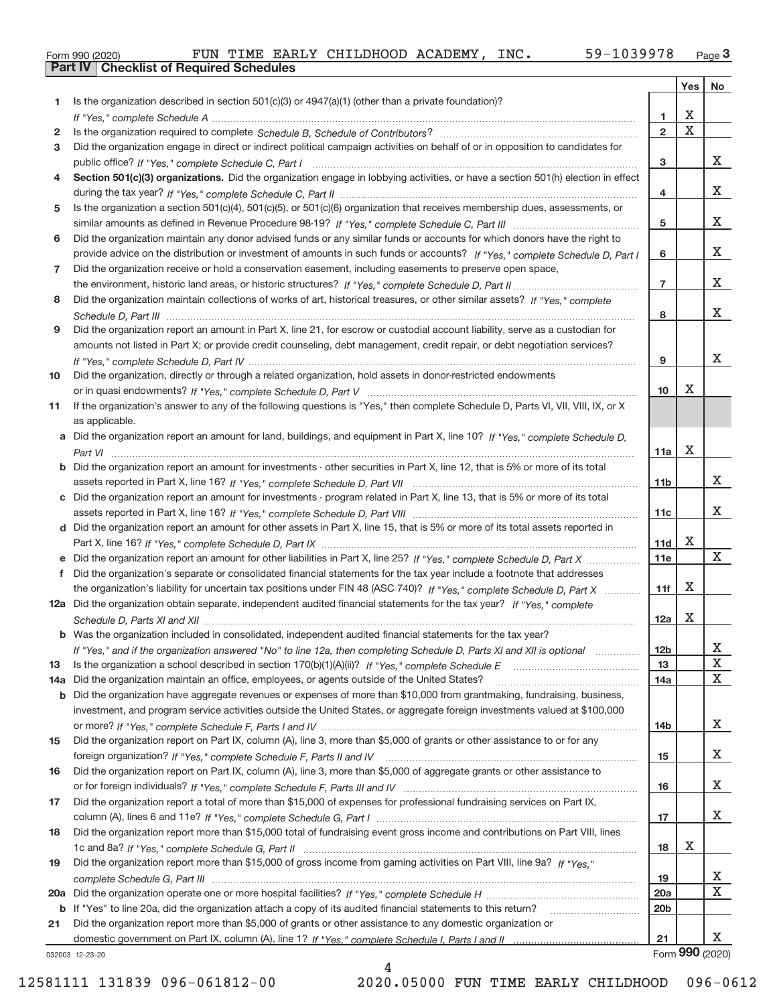|  | Form 990 (2020) |
|--|-----------------|

|     |                                                                                                                                  |                 | Yes                     | No     |
|-----|----------------------------------------------------------------------------------------------------------------------------------|-----------------|-------------------------|--------|
| 1   | Is the organization described in section $501(c)(3)$ or $4947(a)(1)$ (other than a private foundation)?                          |                 |                         |        |
|     |                                                                                                                                  | 1.              | $\mathbf X$             |        |
| 2   |                                                                                                                                  | $\overline{2}$  | $\overline{\textbf{x}}$ |        |
| 3   | Did the organization engage in direct or indirect political campaign activities on behalf of or in opposition to candidates for  |                 |                         |        |
|     |                                                                                                                                  | 3               |                         | x      |
| 4   | Section 501(c)(3) organizations. Did the organization engage in lobbying activities, or have a section 501(h) election in effect |                 |                         |        |
|     |                                                                                                                                  | 4               |                         | x      |
| 5   | Is the organization a section 501(c)(4), 501(c)(5), or 501(c)(6) organization that receives membership dues, assessments, or     |                 |                         |        |
|     |                                                                                                                                  | 5               |                         | x      |
| 6   | Did the organization maintain any donor advised funds or any similar funds or accounts for which donors have the right to        |                 |                         |        |
|     | provide advice on the distribution or investment of amounts in such funds or accounts? If "Yes," complete Schedule D, Part I     | 6               |                         | X      |
| 7   | Did the organization receive or hold a conservation easement, including easements to preserve open space,                        |                 |                         |        |
|     |                                                                                                                                  | $\overline{7}$  |                         | X      |
| 8   | Did the organization maintain collections of works of art, historical treasures, or other similar assets? If "Yes," complete     |                 |                         |        |
|     |                                                                                                                                  | 8               |                         | X      |
| 9   | Did the organization report an amount in Part X, line 21, for escrow or custodial account liability, serve as a custodian for    |                 |                         |        |
|     | amounts not listed in Part X; or provide credit counseling, debt management, credit repair, or debt negotiation services?        |                 |                         |        |
|     |                                                                                                                                  | 9               |                         | x      |
| 10  | Did the organization, directly or through a related organization, hold assets in donor-restricted endowments                     |                 |                         |        |
|     |                                                                                                                                  | 10              | Χ                       |        |
| 11  | If the organization's answer to any of the following questions is "Yes," then complete Schedule D, Parts VI, VII, VIII, IX, or X |                 |                         |        |
|     | as applicable.                                                                                                                   |                 |                         |        |
|     | a Did the organization report an amount for land, buildings, and equipment in Part X, line 10? If "Yes," complete Schedule D,    |                 |                         |        |
|     |                                                                                                                                  | 11a             | $\mathbf X$             |        |
| b   | Did the organization report an amount for investments - other securities in Part X, line 12, that is 5% or more of its total     |                 |                         |        |
|     |                                                                                                                                  | 11 <sub>b</sub> |                         | x      |
| c   | Did the organization report an amount for investments - program related in Part X, line 13, that is 5% or more of its total      |                 |                         |        |
|     |                                                                                                                                  | 11c             |                         | x      |
|     | d Did the organization report an amount for other assets in Part X, line 15, that is 5% or more of its total assets reported in  |                 |                         |        |
|     |                                                                                                                                  | 11d             | Х                       |        |
|     | Did the organization report an amount for other liabilities in Part X, line 25? If "Yes," complete Schedule D, Part X            | 11e             |                         | X      |
| f   | Did the organization's separate or consolidated financial statements for the tax year include a footnote that addresses          |                 |                         |        |
|     | the organization's liability for uncertain tax positions under FIN 48 (ASC 740)? If "Yes," complete Schedule D, Part X           | 11f             | X                       |        |
|     | 12a Did the organization obtain separate, independent audited financial statements for the tax year? If "Yes," complete          |                 |                         |        |
|     |                                                                                                                                  | 12a             | Χ                       |        |
|     | <b>b</b> Was the organization included in consolidated, independent audited financial statements for the tax year?               |                 |                         |        |
|     | If "Yes," and if the organization answered "No" to line 12a, then completing Schedule D, Parts XI and XII is optional            | 12b             |                         | ▵<br>X |
| 13  |                                                                                                                                  | 13              |                         | X      |
| 14a | Did the organization maintain an office, employees, or agents outside of the United States?                                      | 14a             |                         |        |
| b   | Did the organization have aggregate revenues or expenses of more than \$10,000 from grantmaking, fundraising, business,          |                 |                         |        |
|     | investment, and program service activities outside the United States, or aggregate foreign investments valued at \$100,000       |                 |                         | x      |
|     | Did the organization report on Part IX, column (A), line 3, more than \$5,000 of grants or other assistance to or for any        | 14b             |                         |        |
| 15  |                                                                                                                                  | 15              |                         | X      |
| 16  | Did the organization report on Part IX, column (A), line 3, more than \$5,000 of aggregate grants or other assistance to         |                 |                         |        |
|     |                                                                                                                                  | 16              |                         | x      |
| 17  | Did the organization report a total of more than \$15,000 of expenses for professional fundraising services on Part IX,          |                 |                         |        |
|     |                                                                                                                                  | 17              |                         | Х      |
| 18  | Did the organization report more than \$15,000 total of fundraising event gross income and contributions on Part VIII, lines     |                 |                         |        |
|     |                                                                                                                                  | 18              | Χ                       |        |
| 19  | Did the organization report more than \$15,000 of gross income from gaming activities on Part VIII, line 9a? If "Yes."           |                 |                         |        |
|     |                                                                                                                                  | 19              |                         | х      |
| 20a |                                                                                                                                  | 20a             |                         | X      |
| b   | If "Yes" to line 20a, did the organization attach a copy of its audited financial statements to this return?                     | 20 <sub>b</sub> |                         |        |
| 21  | Did the organization report more than \$5,000 of grants or other assistance to any domestic organization or                      |                 |                         |        |
|     |                                                                                                                                  | 21              |                         | x      |
|     |                                                                                                                                  |                 |                         |        |

4

032003 12‐23‐20

Form 990 (2020)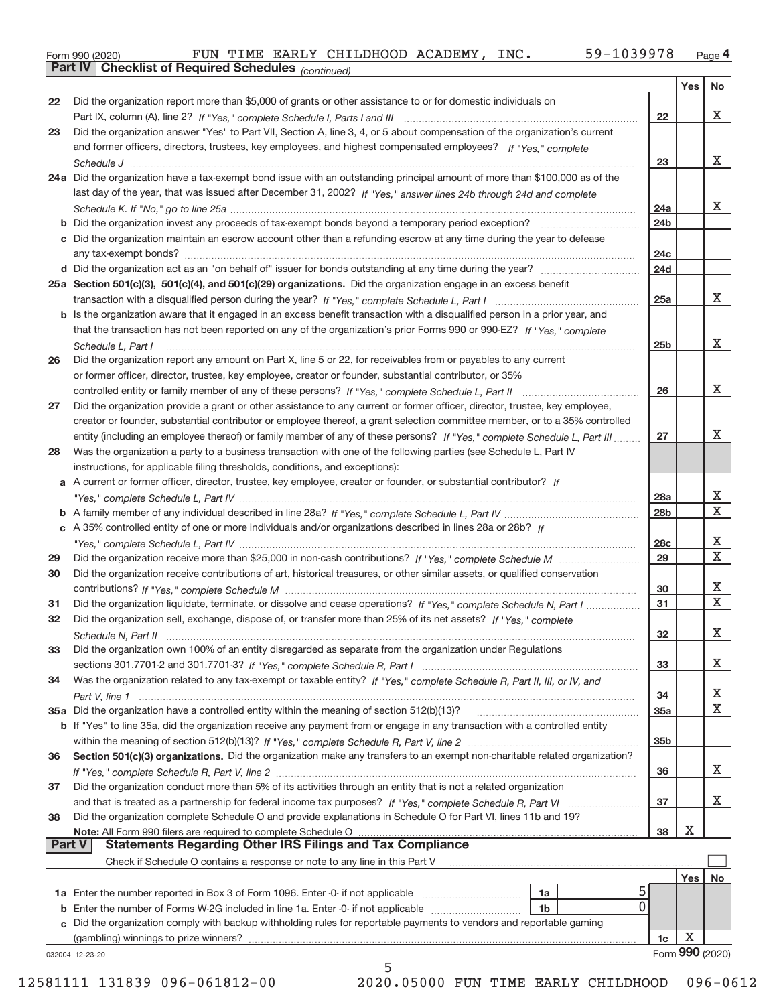|  | Form 990 (2020) |
|--|-----------------|
|  |                 |

**Part IV Checklist of Required Schedules**

*(continued)*

|               |                                                                                                                                   |                 | Yes | No              |
|---------------|-----------------------------------------------------------------------------------------------------------------------------------|-----------------|-----|-----------------|
| 22            | Did the organization report more than \$5,000 of grants or other assistance to or for domestic individuals on                     |                 |     |                 |
|               |                                                                                                                                   | 22              |     | X.              |
| 23            | Did the organization answer "Yes" to Part VII, Section A, line 3, 4, or 5 about compensation of the organization's current        |                 |     |                 |
|               | and former officers, directors, trustees, key employees, and highest compensated employees? If "Yes," complete                    |                 |     |                 |
|               |                                                                                                                                   | 23              |     | x               |
|               | 24a Did the organization have a tax-exempt bond issue with an outstanding principal amount of more than \$100,000 as of the       |                 |     |                 |
|               | last day of the year, that was issued after December 31, 2002? If "Yes," answer lines 24b through 24d and complete                |                 |     |                 |
|               |                                                                                                                                   | 24a             |     | X.              |
|               | <b>b</b> Did the organization invest any proceeds of tax-exempt bonds beyond a temporary period exception?                        | 24 <sub>b</sub> |     |                 |
|               | c Did the organization maintain an escrow account other than a refunding escrow at any time during the year to defease            |                 |     |                 |
|               |                                                                                                                                   | 24 <sub>c</sub> |     |                 |
|               |                                                                                                                                   | 24d             |     |                 |
|               | 25a Section 501(c)(3), 501(c)(4), and 501(c)(29) organizations. Did the organization engage in an excess benefit                  |                 |     |                 |
|               |                                                                                                                                   | 25a             |     | x               |
|               | b Is the organization aware that it engaged in an excess benefit transaction with a disqualified person in a prior year, and      |                 |     |                 |
|               | that the transaction has not been reported on any of the organization's prior Forms 990 or 990-EZ? If "Yes," complete             |                 |     |                 |
|               | Schedule L. Part I                                                                                                                | 25 <sub>b</sub> |     | x               |
| 26            | Did the organization report any amount on Part X, line 5 or 22, for receivables from or payables to any current                   |                 |     |                 |
|               | or former officer, director, trustee, key employee, creator or founder, substantial contributor, or 35%                           |                 |     |                 |
|               |                                                                                                                                   | 26              |     | х               |
| 27            | Did the organization provide a grant or other assistance to any current or former officer, director, trustee, key employee,       |                 |     |                 |
|               | creator or founder, substantial contributor or employee thereof, a grant selection committee member, or to a 35% controlled       |                 |     |                 |
|               | entity (including an employee thereof) or family member of any of these persons? If "Yes," complete Schedule L, Part III          | 27              |     | x               |
| 28            | Was the organization a party to a business transaction with one of the following parties (see Schedule L, Part IV                 |                 |     |                 |
|               | instructions, for applicable filing thresholds, conditions, and exceptions):                                                      |                 |     |                 |
|               | a A current or former officer, director, trustee, key employee, creator or founder, or substantial contributor? If                |                 |     |                 |
|               |                                                                                                                                   | 28a             |     | х               |
|               |                                                                                                                                   | 28 <sub>b</sub> |     | $\mathbf{x}$    |
|               | c A 35% controlled entity of one or more individuals and/or organizations described in lines 28a or 28b? If                       |                 |     |                 |
|               |                                                                                                                                   | 28c             |     | х               |
| 29            |                                                                                                                                   | 29              |     | $\mathbf X$     |
| 30            | Did the organization receive contributions of art, historical treasures, or other similar assets, or qualified conservation       |                 |     |                 |
|               |                                                                                                                                   | 30              |     | х               |
| 31            | Did the organization liquidate, terminate, or dissolve and cease operations? If "Yes," complete Schedule N, Part I                | 31              |     | X               |
| 32            | Did the organization sell, exchange, dispose of, or transfer more than 25% of its net assets? If "Yes," complete                  |                 |     |                 |
|               |                                                                                                                                   | 32              |     | x               |
| 33            | Schedule N, Part II<br>Did the organization own 100% of an entity disregarded as separate from the organization under Regulations |                 |     |                 |
|               |                                                                                                                                   | 33              |     | х               |
| 34            | Was the organization related to any tax-exempt or taxable entity? If "Yes," complete Schedule R, Part II, III, or IV, and         |                 |     |                 |
|               |                                                                                                                                   | 34              |     | х               |
|               | 35a Did the organization have a controlled entity within the meaning of section 512(b)(13)?                                       | 35a             |     | X               |
|               | b If "Yes" to line 35a, did the organization receive any payment from or engage in any transaction with a controlled entity       |                 |     |                 |
|               |                                                                                                                                   | 35 <sub>b</sub> |     |                 |
| 36            | Section 501(c)(3) organizations. Did the organization make any transfers to an exempt non-charitable related organization?        |                 |     |                 |
|               |                                                                                                                                   | 36              |     | x               |
| 37            | Did the organization conduct more than 5% of its activities through an entity that is not a related organization                  |                 |     |                 |
|               | and that is treated as a partnership for federal income tax purposes? If "Yes," complete Schedule R, Part VI                      | 37              |     | x               |
| 38            | Did the organization complete Schedule O and provide explanations in Schedule O for Part VI, lines 11b and 19?                    |                 |     |                 |
|               | Note: All Form 990 filers are required to complete Schedule O                                                                     | 38              | Х   |                 |
| <b>Part V</b> | <b>Statements Regarding Other IRS Filings and Tax Compliance</b>                                                                  |                 |     |                 |
|               | Check if Schedule O contains a response or note to any line in this Part V                                                        |                 |     |                 |
|               |                                                                                                                                   |                 | Yes | No              |
|               | 1a                                                                                                                                |                 |     |                 |
|               | 0<br>1b                                                                                                                           |                 |     |                 |
|               | c Did the organization comply with backup withholding rules for reportable payments to vendors and reportable gaming              |                 |     |                 |
|               | (gambling) winnings to prize winners?                                                                                             | 1c              | X   |                 |
|               | 032004 12-23-20                                                                                                                   |                 |     | Form 990 (2020) |
|               | 5                                                                                                                                 |                 |     |                 |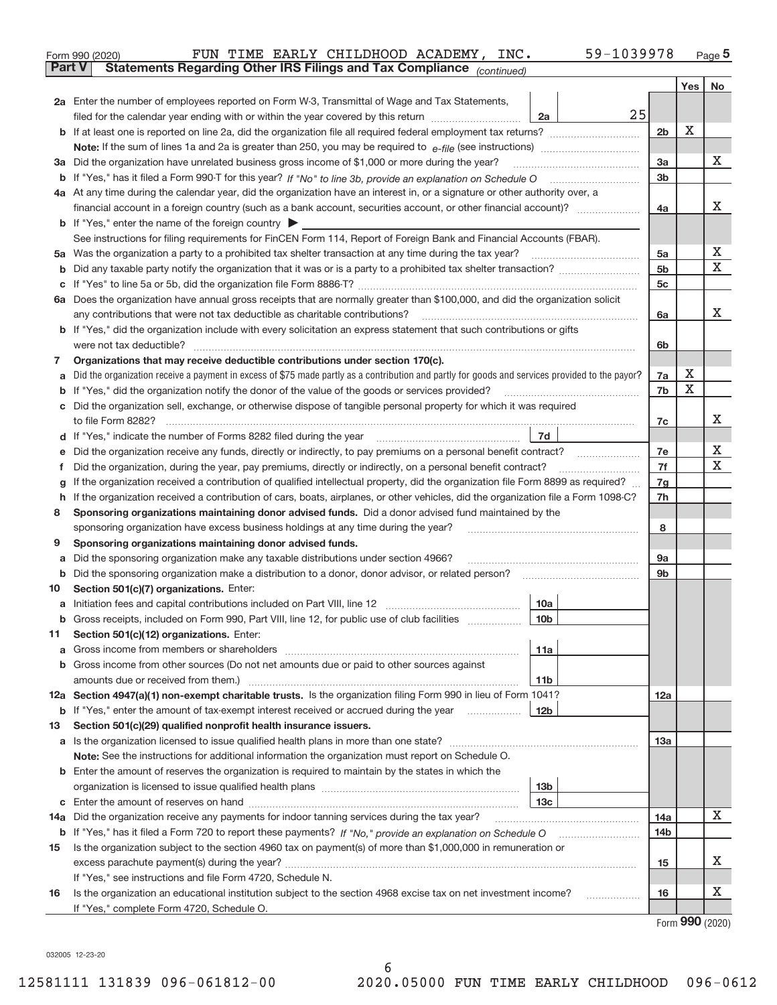|               | 59-1039978<br>FUN TIME EARLY CHILDHOOD ACADEMY, INC.<br>Form 990 (2020)                                                                         |                 |     | $_{\text{Page}}$ 5          |  |  |  |  |  |  |  |
|---------------|-------------------------------------------------------------------------------------------------------------------------------------------------|-----------------|-----|-----------------------------|--|--|--|--|--|--|--|
| <b>Part V</b> | Statements Regarding Other IRS Filings and Tax Compliance (continued)                                                                           |                 |     |                             |  |  |  |  |  |  |  |
|               |                                                                                                                                                 |                 | Yes | No                          |  |  |  |  |  |  |  |
|               | 2a Enter the number of employees reported on Form W-3, Transmittal of Wage and Tax Statements,                                                  |                 |     |                             |  |  |  |  |  |  |  |
|               | 25<br>filed for the calendar year ending with or within the year covered by this return<br>2a                                                   |                 |     |                             |  |  |  |  |  |  |  |
|               |                                                                                                                                                 | 2 <sub>b</sub>  | X   |                             |  |  |  |  |  |  |  |
|               |                                                                                                                                                 |                 |     | х                           |  |  |  |  |  |  |  |
|               | 3a Did the organization have unrelated business gross income of \$1,000 or more during the year?                                                |                 |     |                             |  |  |  |  |  |  |  |
|               |                                                                                                                                                 | 3 <sub>b</sub>  |     |                             |  |  |  |  |  |  |  |
|               | 4a At any time during the calendar year, did the organization have an interest in, or a signature or other authority over, a                    |                 |     |                             |  |  |  |  |  |  |  |
|               |                                                                                                                                                 | 4a              |     | х                           |  |  |  |  |  |  |  |
|               | <b>b</b> If "Yes," enter the name of the foreign country $\triangleright$                                                                       |                 |     |                             |  |  |  |  |  |  |  |
|               | See instructions for filing requirements for FinCEN Form 114, Report of Foreign Bank and Financial Accounts (FBAR).                             |                 |     |                             |  |  |  |  |  |  |  |
|               |                                                                                                                                                 | 5a              |     | X                           |  |  |  |  |  |  |  |
|               |                                                                                                                                                 | 5 <sub>b</sub>  |     | Χ                           |  |  |  |  |  |  |  |
|               |                                                                                                                                                 | 5c              |     |                             |  |  |  |  |  |  |  |
|               | 6a Does the organization have annual gross receipts that are normally greater than \$100,000, and did the organization solicit                  |                 |     |                             |  |  |  |  |  |  |  |
|               |                                                                                                                                                 | 6a              |     | х                           |  |  |  |  |  |  |  |
|               | <b>b</b> If "Yes," did the organization include with every solicitation an express statement that such contributions or gifts                   |                 |     |                             |  |  |  |  |  |  |  |
|               |                                                                                                                                                 | 6b              |     |                             |  |  |  |  |  |  |  |
| 7             | Organizations that may receive deductible contributions under section 170(c).                                                                   |                 |     |                             |  |  |  |  |  |  |  |
| a             | Did the organization receive a payment in excess of \$75 made partly as a contribution and partly for goods and services provided to the payor? | 7a              | х   |                             |  |  |  |  |  |  |  |
|               | <b>b</b> If "Yes," did the organization notify the donor of the value of the goods or services provided?                                        | 7b              | Х   |                             |  |  |  |  |  |  |  |
|               | c Did the organization sell, exchange, or otherwise dispose of tangible personal property for which it was required                             |                 |     |                             |  |  |  |  |  |  |  |
|               |                                                                                                                                                 | 7c              |     | x                           |  |  |  |  |  |  |  |
|               |                                                                                                                                                 |                 |     |                             |  |  |  |  |  |  |  |
|               | e Did the organization receive any funds, directly or indirectly, to pay premiums on a personal benefit contract?                               | 7e              |     | X                           |  |  |  |  |  |  |  |
| f             | Did the organization, during the year, pay premiums, directly or indirectly, on a personal benefit contract?                                    | 7f              |     | Χ                           |  |  |  |  |  |  |  |
| g             | If the organization received a contribution of qualified intellectual property, did the organization file Form 8899 as required?                | 7g              |     |                             |  |  |  |  |  |  |  |
| h.            | If the organization received a contribution of cars, boats, airplanes, or other vehicles, did the organization file a Form 1098-C?              | 7h              |     |                             |  |  |  |  |  |  |  |
| 8             | Sponsoring organizations maintaining donor advised funds. Did a donor advised fund maintained by the                                            |                 |     |                             |  |  |  |  |  |  |  |
|               | sponsoring organization have excess business holdings at any time during the year?                                                              | 8               |     |                             |  |  |  |  |  |  |  |
| 9             | Sponsoring organizations maintaining donor advised funds.                                                                                       |                 |     |                             |  |  |  |  |  |  |  |
| а             | Did the sponsoring organization make any taxable distributions under section 4966?                                                              | 9а              |     |                             |  |  |  |  |  |  |  |
|               |                                                                                                                                                 | 9b              |     |                             |  |  |  |  |  |  |  |
| 10            | Section 501(c)(7) organizations. Enter:                                                                                                         |                 |     |                             |  |  |  |  |  |  |  |
|               | 10a<br>10 <sub>b</sub><br>Gross receipts, included on Form 990, Part VIII, line 12, for public use of club facilities                           |                 |     |                             |  |  |  |  |  |  |  |
|               |                                                                                                                                                 |                 |     |                             |  |  |  |  |  |  |  |
| 11            | Section 501(c)(12) organizations. Enter:                                                                                                        |                 |     |                             |  |  |  |  |  |  |  |
|               | 11a<br>b Gross income from other sources (Do not net amounts due or paid to other sources against                                               |                 |     |                             |  |  |  |  |  |  |  |
|               | 11 <sub>b</sub>                                                                                                                                 |                 |     |                             |  |  |  |  |  |  |  |
|               | 12a Section 4947(a)(1) non-exempt charitable trusts. Is the organization filing Form 990 in lieu of Form 1041?                                  | 12a             |     |                             |  |  |  |  |  |  |  |
|               | 12 <sub>b</sub><br><b>b</b> If "Yes," enter the amount of tax-exempt interest received or accrued during the year                               |                 |     |                             |  |  |  |  |  |  |  |
| 13            | Section 501(c)(29) qualified nonprofit health insurance issuers.                                                                                |                 |     |                             |  |  |  |  |  |  |  |
|               | a Is the organization licensed to issue qualified health plans in more than one state?                                                          | 13a             |     |                             |  |  |  |  |  |  |  |
|               | Note: See the instructions for additional information the organization must report on Schedule O.                                               |                 |     |                             |  |  |  |  |  |  |  |
|               | <b>b</b> Enter the amount of reserves the organization is required to maintain by the states in which the                                       |                 |     |                             |  |  |  |  |  |  |  |
|               | 13b                                                                                                                                             |                 |     |                             |  |  |  |  |  |  |  |
|               | 13с                                                                                                                                             |                 |     |                             |  |  |  |  |  |  |  |
| 14а           | Did the organization receive any payments for indoor tanning services during the tax year?                                                      | 14a             |     | x                           |  |  |  |  |  |  |  |
|               | <b>b</b> If "Yes," has it filed a Form 720 to report these payments? If "No," provide an explanation on Schedule O                              | 14 <sub>b</sub> |     |                             |  |  |  |  |  |  |  |
| 15            | Is the organization subject to the section 4960 tax on payment(s) of more than \$1,000,000 in remuneration or                                   |                 |     |                             |  |  |  |  |  |  |  |
|               |                                                                                                                                                 | 15              |     | х                           |  |  |  |  |  |  |  |
|               | If "Yes," see instructions and file Form 4720, Schedule N.                                                                                      |                 |     |                             |  |  |  |  |  |  |  |
| 16            | Is the organization an educational institution subject to the section 4968 excise tax on net investment income?                                 | 16              |     | х                           |  |  |  |  |  |  |  |
|               | If "Yes," complete Form 4720, Schedule O.                                                                                                       |                 |     |                             |  |  |  |  |  |  |  |
|               |                                                                                                                                                 |                 |     | $F_{\text{arm}}$ 990 (2020) |  |  |  |  |  |  |  |

6

Form (2020) **990**

032005 12‐23‐20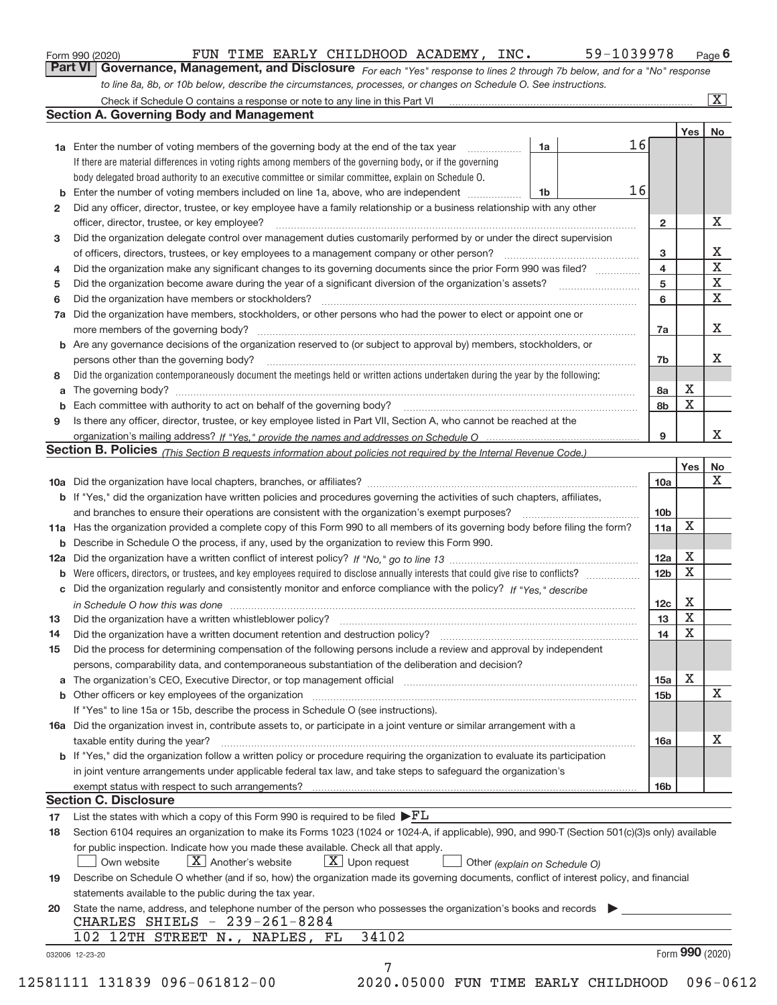|  | Form 990 (2020) |
|--|-----------------|
|  |                 |

Form 990 (2020) F'UN 'I'IME EARLY CHILDHOOD ACADEMY, INC。 59-IU39978 Page FUN TIME EARLY CHILDHOOD ACADEMY, INC. 59-1039978

*For each "Yes" response to lines 2 through 7b below, and for a "No" response to line 8a, 8b, or 10b below, describe the circumstances, processes, or changes on Schedule O. See instructions.* **Part VI Governance, Management, and Disclosure** 

|    |                                                                                                                                                                                                                      |                                                                                                        |  | 16 |                              | Yes             | No                           |  |
|----|----------------------------------------------------------------------------------------------------------------------------------------------------------------------------------------------------------------------|--------------------------------------------------------------------------------------------------------|--|----|------------------------------|-----------------|------------------------------|--|
|    | 1a Enter the number of voting members of the governing body at the end of the tax year<br>If there are material differences in voting rights among members of the governing body, or if the governing                | 1a                                                                                                     |  |    |                              |                 |                              |  |
|    | body delegated broad authority to an executive committee or similar committee, explain on Schedule O.                                                                                                                |                                                                                                        |  |    |                              |                 |                              |  |
| b  | Enter the number of voting members included on line 1a, above, who are independent                                                                                                                                   | 1b                                                                                                     |  | 16 |                              |                 |                              |  |
|    | Did any officer, director, trustee, or key employee have a family relationship or a business relationship with any other                                                                                             |                                                                                                        |  |    |                              |                 |                              |  |
| 2  | officer, director, trustee, or key employee?                                                                                                                                                                         |                                                                                                        |  |    | $\mathbf{2}$                 |                 | X                            |  |
|    |                                                                                                                                                                                                                      |                                                                                                        |  |    |                              |                 |                              |  |
| з  | Did the organization delegate control over management duties customarily performed by or under the direct supervision<br>of officers, directors, trustees, or key employees to a management company or other person? |                                                                                                        |  |    |                              |                 |                              |  |
| 4  | Did the organization make any significant changes to its governing documents since the prior Form 990 was filed?                                                                                                     |                                                                                                        |  |    | 3<br>$\overline{\mathbf{4}}$ |                 | X<br>$\overline{\mathbf{x}}$ |  |
| 5  |                                                                                                                                                                                                                      |                                                                                                        |  |    | 5                            |                 | $\mathbf X$                  |  |
| 6  | Did the organization have members or stockholders?                                                                                                                                                                   |                                                                                                        |  |    | 6                            |                 | X                            |  |
|    | Did the organization have members, stockholders, or other persons who had the power to elect or appoint one or                                                                                                       |                                                                                                        |  |    |                              |                 |                              |  |
| 7a |                                                                                                                                                                                                                      |                                                                                                        |  |    |                              |                 | X                            |  |
|    |                                                                                                                                                                                                                      |                                                                                                        |  |    | 7a                           |                 |                              |  |
|    | <b>b</b> Are any governance decisions of the organization reserved to (or subject to approval by) members, stockholders, or                                                                                          |                                                                                                        |  |    |                              |                 | X                            |  |
|    | persons other than the governing body?                                                                                                                                                                               |                                                                                                        |  |    | 7b                           |                 |                              |  |
| 8  | Did the organization contemporaneously document the meetings held or written actions undertaken during the year by the following:                                                                                    |                                                                                                        |  |    |                              | X               |                              |  |
| a  |                                                                                                                                                                                                                      |                                                                                                        |  |    | 8а                           | Χ               |                              |  |
|    |                                                                                                                                                                                                                      |                                                                                                        |  |    | 8b                           |                 |                              |  |
| 9  | Is there any officer, director, trustee, or key employee listed in Part VII, Section A, who cannot be reached at the                                                                                                 |                                                                                                        |  |    |                              |                 | X                            |  |
|    |                                                                                                                                                                                                                      |                                                                                                        |  |    | 9                            |                 |                              |  |
|    | Section B. Policies (This Section B requests information about policies not required by the Internal Revenue Code.)                                                                                                  |                                                                                                        |  |    |                              |                 |                              |  |
|    |                                                                                                                                                                                                                      |                                                                                                        |  |    |                              | Yes             | No<br>X                      |  |
|    |                                                                                                                                                                                                                      |                                                                                                        |  |    | 10a                          |                 |                              |  |
|    | <b>b</b> If "Yes," did the organization have written policies and procedures governing the activities of such chapters, affiliates,                                                                                  |                                                                                                        |  |    |                              |                 |                              |  |
|    |                                                                                                                                                                                                                      |                                                                                                        |  |    | 10 <sub>b</sub>              | X               |                              |  |
|    | 11a Has the organization provided a complete copy of this Form 990 to all members of its governing body before filing the form?                                                                                      |                                                                                                        |  |    | 11a                          |                 |                              |  |
|    |                                                                                                                                                                                                                      | <b>b</b> Describe in Schedule O the process, if any, used by the organization to review this Form 990. |  |    |                              |                 |                              |  |
|    |                                                                                                                                                                                                                      |                                                                                                        |  |    | 12a                          | X<br>Χ          |                              |  |
|    | <b>b</b> Were officers, directors, or trustees, and key employees required to disclose annually interests that could give rise to conflicts?                                                                         |                                                                                                        |  |    | 12 <sub>b</sub>              |                 |                              |  |
|    | c Did the organization regularly and consistently monitor and enforce compliance with the policy? If "Yes," describe                                                                                                 |                                                                                                        |  |    |                              | X               |                              |  |
|    | in Schedule O how this was done manufactured and continuum control of the Schedule O how this was done manufactured and continuum control of the Schedule O how this was done                                        |                                                                                                        |  |    | 12c                          | X               |                              |  |
| 13 |                                                                                                                                                                                                                      |                                                                                                        |  |    | 13                           | X               |                              |  |
| 14 |                                                                                                                                                                                                                      |                                                                                                        |  |    | 14                           |                 |                              |  |
| 15 | Did the process for determining compensation of the following persons include a review and approval by independent                                                                                                   |                                                                                                        |  |    |                              |                 |                              |  |
|    | persons, comparability data, and contemporaneous substantiation of the deliberation and decision?                                                                                                                    |                                                                                                        |  |    |                              | х               |                              |  |
|    |                                                                                                                                                                                                                      |                                                                                                        |  |    | 15a                          |                 | $\mathbf X$                  |  |
|    |                                                                                                                                                                                                                      |                                                                                                        |  |    | 15 <sub>b</sub>              |                 |                              |  |
|    | If "Yes" to line 15a or 15b, describe the process in Schedule O (see instructions).                                                                                                                                  |                                                                                                        |  |    |                              |                 |                              |  |
|    | 16a Did the organization invest in, contribute assets to, or participate in a joint venture or similar arrangement with a                                                                                            |                                                                                                        |  |    |                              |                 | X                            |  |
|    | taxable entity during the year?                                                                                                                                                                                      |                                                                                                        |  |    | 16a                          |                 |                              |  |
|    | b If "Yes," did the organization follow a written policy or procedure requiring the organization to evaluate its participation                                                                                       |                                                                                                        |  |    |                              |                 |                              |  |
|    | in joint venture arrangements under applicable federal tax law, and take steps to safeguard the organization's                                                                                                       |                                                                                                        |  |    |                              |                 |                              |  |
|    | exempt status with respect to such arrangements?<br><b>Section C. Disclosure</b>                                                                                                                                     |                                                                                                        |  |    | 16b                          |                 |                              |  |
|    |                                                                                                                                                                                                                      |                                                                                                        |  |    |                              |                 |                              |  |
| 17 | List the states with which a copy of this Form 990 is required to be filed $\blacktriangleright$ FL                                                                                                                  |                                                                                                        |  |    |                              |                 |                              |  |
| 18 | Section 6104 requires an organization to make its Forms 1023 (1024 or 1024-A, if applicable), 990, and 990-T (Section 501(c)(3)s only) available                                                                     |                                                                                                        |  |    |                              |                 |                              |  |
|    | for public inspection. Indicate how you made these available. Check all that apply.<br>$\lfloor x \rfloor$ Another's website                                                                                         |                                                                                                        |  |    |                              |                 |                              |  |
|    | $X$ Upon request<br>Own website<br>Other (explain on Schedule O)                                                                                                                                                     |                                                                                                        |  |    |                              |                 |                              |  |
| 19 | Describe on Schedule O whether (and if so, how) the organization made its governing documents, conflict of interest policy, and financial                                                                            |                                                                                                        |  |    |                              |                 |                              |  |
|    | statements available to the public during the tax year.                                                                                                                                                              |                                                                                                        |  |    |                              |                 |                              |  |
| 20 | State the name, address, and telephone number of the person who possesses the organization's books and records<br>CHARLES SHIELS - 239-261-8284                                                                      |                                                                                                        |  |    |                              |                 |                              |  |
|    | 34102<br>102 12TH STREET N., NAPLES, FL                                                                                                                                                                              |                                                                                                        |  |    |                              |                 |                              |  |
|    |                                                                                                                                                                                                                      |                                                                                                        |  |    |                              | Form 990 (2020) |                              |  |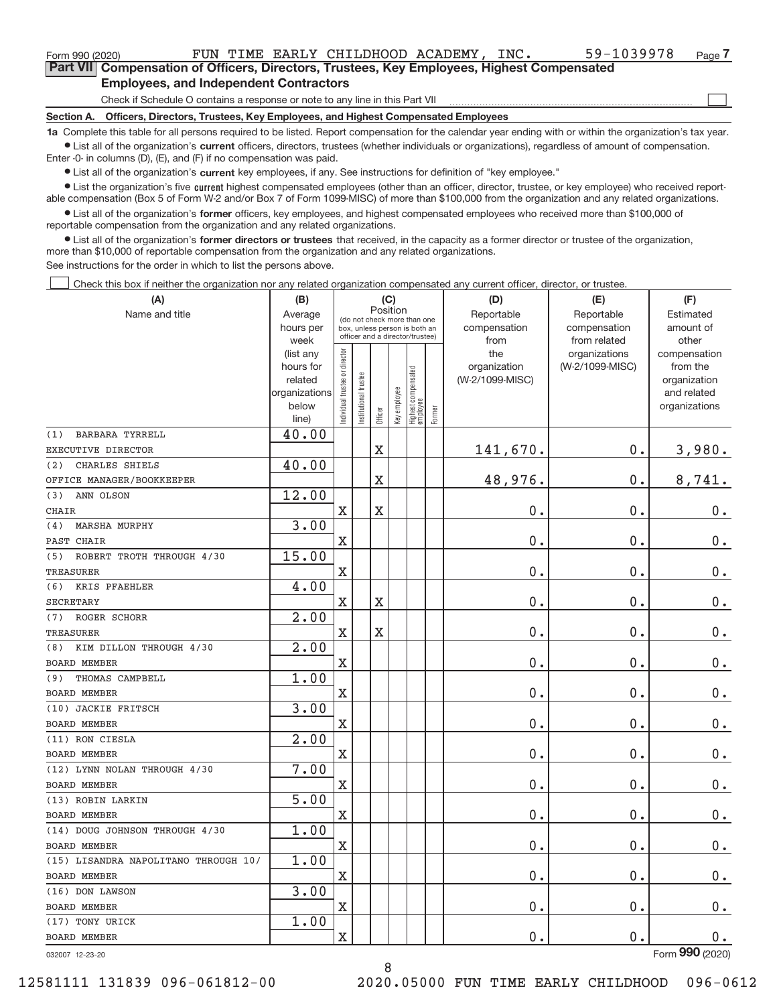Form 990 (2020) **PUN TIME EARLY CHILDHOOD ACADEMY, INC.** 59-1039978  $P_{\text{age}}$ 

**Part VII Compensation of Officers, Directors, Trustees, Key Employees, Highest Compensated Employees, and Independent Contractors**

Check if Schedule O contains a response or note to any line in this Part VII

**Section A. Officers, Directors, Trustees, Key Employees, and Highest Compensated Employees**

**1a**  Complete this table for all persons required to be listed. Report compensation for the calendar year ending with or within the organization's tax year.  $\bullet$  List all of the organization's current officers, directors, trustees (whether individuals or organizations), regardless of amount of compensation.

Enter ‐0‐ in columns (D), (E), and (F) if no compensation was paid.

**•** List all of the organization's current key employees, if any. See instructions for definition of "key employee."

● List the organization's five current highest compensated employees (other than an officer, director, trustee, or key employee) who received report‐ able compensation (Box 5 of Form W‐2 and/or Box 7 of Form 1099‐MISC) of more than \$100,000 from the organization and any related organizations.

 $\bullet$  List all of the organization's former officers, key employees, and highest compensated employees who received more than \$100,000 of reportable compensation from the organization and any related organizations.

**•** List all of the organization's former directors or trustees that received, in the capacity as a former director or trustee of the organization, more than \$10,000 of reportable compensation from the organization and any related organizations.

See instructions for the order in which to list the persons above.

Check this box if neither the organization nor any related organization compensated any current officer, director, or trustee.  $\Box$ 

| (A)                                  | (B)                    |                                         |                                                                  | (C)         |              |                                 |        | (D)                 | (E)                              | (F)                      |
|--------------------------------------|------------------------|-----------------------------------------|------------------------------------------------------------------|-------------|--------------|---------------------------------|--------|---------------------|----------------------------------|--------------------------|
| Name and title                       | Average                | Position<br>(do not check more than one |                                                                  |             |              |                                 |        | Reportable          | Reportable                       | Estimated                |
|                                      | hours per              |                                         | box, unless person is both an<br>officer and a director/trustee) |             |              |                                 |        | compensation        | compensation                     | amount of                |
|                                      | week                   |                                         |                                                                  |             |              |                                 |        | from                | from related                     | other                    |
|                                      | (list any<br>hours for | ndividual trustee or director           |                                                                  |             |              |                                 |        | the<br>organization | organizations<br>(W-2/1099-MISC) | compensation<br>from the |
|                                      | related                |                                         |                                                                  |             |              |                                 |        | (W-2/1099-MISC)     |                                  | organization             |
|                                      | organizations          |                                         | Institutional trustee                                            |             |              | Highest compensated<br>employee |        |                     |                                  | and related              |
|                                      | below                  |                                         |                                                                  |             | Key employee |                                 |        |                     |                                  | organizations            |
|                                      | line)                  |                                         |                                                                  | Officer     |              |                                 | Former |                     |                                  |                          |
| <b>BARBARA TYRRELL</b><br>(1)        | 40.00                  |                                         |                                                                  |             |              |                                 |        |                     |                                  |                          |
| EXECUTIVE DIRECTOR                   |                        |                                         |                                                                  | $\mathbf X$ |              |                                 |        | 141,670.            | 0.                               | 3,980.                   |
| CHARLES SHIELS<br>(2)                | 40.00                  |                                         |                                                                  |             |              |                                 |        |                     |                                  |                          |
| OFFICE MANAGER/BOOKKEEPER            |                        |                                         |                                                                  | $\mathbf X$ |              |                                 |        | 48,976.             | 0.                               | 8,741.                   |
| ANN OLSON<br>(3)                     | 12.00                  |                                         |                                                                  |             |              |                                 |        |                     |                                  |                          |
| <b>CHAIR</b>                         |                        | $\overline{\text{X}}$                   |                                                                  | $\rm X$     |              |                                 |        | 0.                  | 0.                               | 0.                       |
| <b>MARSHA MURPHY</b><br>(4)          | 3.00                   |                                         |                                                                  |             |              |                                 |        |                     |                                  |                          |
| PAST CHAIR                           |                        | X                                       |                                                                  |             |              |                                 |        | 0.                  | 0.                               | $0$ .                    |
| (5)<br>ROBERT TROTH THROUGH 4/30     | 15.00                  |                                         |                                                                  |             |              |                                 |        |                     |                                  |                          |
| <b>TREASURER</b>                     |                        | $\overline{\text{X}}$                   |                                                                  |             |              |                                 |        | 0.                  | 0.                               | $\mathbf 0$ .            |
| <b>KRIS PFAEHLER</b><br>(6)          | 4.00                   |                                         |                                                                  |             |              |                                 |        |                     |                                  |                          |
| <b>SECRETARY</b>                     |                        | $\mathbf X$                             |                                                                  | $\mathbf X$ |              |                                 |        | 0.                  | 0.                               | 0.                       |
| ROGER SCHORR<br>(7)                  | 2.00                   |                                         |                                                                  |             |              |                                 |        |                     |                                  |                          |
| <b>TREASURER</b>                     |                        | $\overline{\mathbf{X}}$                 |                                                                  | $\rm X$     |              |                                 |        | 0.                  | 0.                               | $0_{.}$                  |
| KIM DILLON THROUGH 4/30<br>(8)       | 2.00                   |                                         |                                                                  |             |              |                                 |        |                     |                                  |                          |
| <b>BOARD MEMBER</b>                  |                        | $\overline{\text{X}}$                   |                                                                  |             |              |                                 |        | 0.                  | 0.                               | $0$ .                    |
| THOMAS CAMPBELL<br>(9)               | 1.00                   |                                         |                                                                  |             |              |                                 |        |                     |                                  |                          |
| <b>BOARD MEMBER</b>                  |                        | X                                       |                                                                  |             |              |                                 |        | 0.                  | 0.                               | $0$ .                    |
| (10) JACKIE FRITSCH                  | 3.00                   |                                         |                                                                  |             |              |                                 |        |                     |                                  |                          |
| <b>BOARD MEMBER</b>                  |                        | $\overline{\text{X}}$                   |                                                                  |             |              |                                 |        | 0.                  | 0.                               | 0.                       |
| (11) RON CIESLA                      | 2.00                   |                                         |                                                                  |             |              |                                 |        |                     |                                  |                          |
| <b>BOARD MEMBER</b>                  |                        | $\overline{\text{X}}$                   |                                                                  |             |              |                                 |        | 0.                  | 0.                               | $0$ .                    |
| (12) LYNN NOLAN THROUGH 4/30         | 7.00                   |                                         |                                                                  |             |              |                                 |        |                     |                                  |                          |
| <b>BOARD MEMBER</b>                  |                        | $\overline{\text{X}}$                   |                                                                  |             |              |                                 |        | 0.                  | 0.                               | $0$ .                    |
| (13) ROBIN LARKIN                    | 5.00                   |                                         |                                                                  |             |              |                                 |        |                     |                                  |                          |
| <b>BOARD MEMBER</b>                  |                        | $\overline{\text{X}}$                   |                                                                  |             |              |                                 |        | 0.                  | 0.                               | 0.                       |
| (14) DOUG JOHNSON THROUGH 4/30       | 1.00                   |                                         |                                                                  |             |              |                                 |        |                     |                                  |                          |
| <b>BOARD MEMBER</b>                  |                        | $\overline{\mathbf{X}}$                 |                                                                  |             |              |                                 |        | 0.                  | 0.                               | $0$ .                    |
| (15) LISANDRA NAPOLITANO THROUGH 10/ | 1.00                   |                                         |                                                                  |             |              |                                 |        |                     |                                  |                          |
| <b>BOARD MEMBER</b>                  |                        | $\overline{\text{X}}$                   |                                                                  |             |              |                                 |        | 0.                  | 0.                               | $\mathbf 0$ .            |
| (16) DON LAWSON                      | 3.00                   |                                         |                                                                  |             |              |                                 |        |                     |                                  |                          |
| <b>BOARD MEMBER</b>                  |                        | $\overline{\mathbf{X}}$                 |                                                                  |             |              |                                 |        | 0.                  | 0.                               | 0.                       |
| (17) TONY URICK                      | 1.00                   |                                         |                                                                  |             |              |                                 |        |                     |                                  |                          |
| <b>BOARD MEMBER</b>                  |                        | X                                       |                                                                  |             |              |                                 |        | 0.                  | 0.                               | 0.                       |
| 032007 12-23-20                      |                        |                                         |                                                                  |             |              |                                 |        |                     |                                  | Form 990 (2020)          |

032007 12‐23‐20

12581111 131839 096‐061812‐00 2020.05000 FUN TIME EARLY CHILDHOOD 096‐0612

8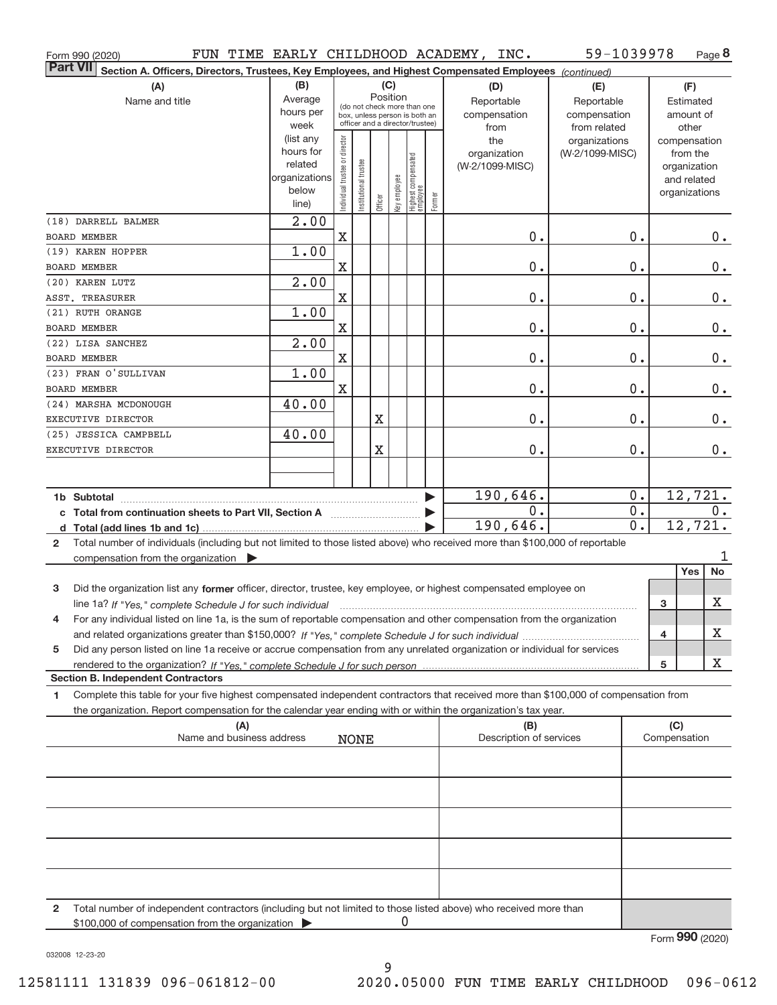| FUN TIME EARLY CHILDHOOD ACADEMY, INC.<br>Form 990 (2020)                                                                                                                                                                                                                   |                        |                                                                     |                       |             |              |                                   |        |                         | 59-1039978      |                        |              |                             | Page 8    |
|-----------------------------------------------------------------------------------------------------------------------------------------------------------------------------------------------------------------------------------------------------------------------------|------------------------|---------------------------------------------------------------------|-----------------------|-------------|--------------|-----------------------------------|--------|-------------------------|-----------------|------------------------|--------------|-----------------------------|-----------|
| <b>Part VII</b><br>Section A. Officers, Directors, Trustees, Key Employees, and Highest Compensated Employees (continued)                                                                                                                                                   |                        |                                                                     |                       |             |              |                                   |        |                         |                 |                        |              |                             |           |
| (A)                                                                                                                                                                                                                                                                         | (B)                    |                                                                     |                       |             | (C)          |                                   |        | (D)                     | (E)             |                        |              | (F)                         |           |
| Name and title                                                                                                                                                                                                                                                              | Average                | Position<br>Reportable<br>Reportable<br>(do not check more than one |                       |             |              |                                   |        |                         |                 |                        | Estimated    |                             |           |
|                                                                                                                                                                                                                                                                             | hours per              |                                                                     |                       |             |              | box, unless person is both an     |        | compensation            | compensation    |                        |              | amount of                   |           |
|                                                                                                                                                                                                                                                                             | week                   |                                                                     |                       |             |              | officer and a director/trustee)   |        | from                    | from related    |                        |              | other                       |           |
|                                                                                                                                                                                                                                                                             | (list any<br>hours for |                                                                     |                       |             |              |                                   |        | the                     | organizations   |                        |              | compensation                |           |
|                                                                                                                                                                                                                                                                             | related                |                                                                     |                       |             |              |                                   |        | organization            | (W-2/1099-MISC) |                        |              | from the                    |           |
|                                                                                                                                                                                                                                                                             | organizations          |                                                                     |                       |             |              |                                   |        | (W-2/1099-MISC)         |                 |                        |              | organization<br>and related |           |
|                                                                                                                                                                                                                                                                             | below                  |                                                                     |                       |             |              |                                   |        |                         |                 |                        |              | organizations               |           |
|                                                                                                                                                                                                                                                                             | line)                  | Individual trustee or director                                      | Institutional trustee | Officer     | Key employee | Highest compensated<br>  employee | Former |                         |                 |                        |              |                             |           |
| (18) DARRELL BALMER                                                                                                                                                                                                                                                         | $\overline{2.00}$      |                                                                     |                       |             |              |                                   |        |                         |                 |                        |              |                             |           |
| <b>BOARD MEMBER</b>                                                                                                                                                                                                                                                         |                        | X                                                                   |                       |             |              |                                   |        | 0.                      |                 | 0.                     |              |                             | $0$ .     |
| (19) KAREN HOPPER                                                                                                                                                                                                                                                           | 1.00                   |                                                                     |                       |             |              |                                   |        |                         |                 |                        |              |                             |           |
| <b>BOARD MEMBER</b>                                                                                                                                                                                                                                                         |                        | X                                                                   |                       |             |              |                                   |        | 0.                      |                 | 0.                     |              |                             | 0.        |
| (20) KAREN LUTZ                                                                                                                                                                                                                                                             | 2.00                   |                                                                     |                       |             |              |                                   |        |                         |                 |                        |              |                             |           |
| ASST. TREASURER                                                                                                                                                                                                                                                             |                        | X                                                                   |                       |             |              |                                   |        | 0.                      |                 | 0.                     |              |                             | 0.        |
| (21) RUTH ORANGE                                                                                                                                                                                                                                                            | 1.00                   |                                                                     |                       |             |              |                                   |        |                         |                 |                        |              |                             |           |
| <b>BOARD MEMBER</b>                                                                                                                                                                                                                                                         |                        | Χ                                                                   |                       |             |              |                                   |        | 0.                      |                 | 0.                     |              |                             | 0.        |
| (22) LISA SANCHEZ                                                                                                                                                                                                                                                           | 2.00                   |                                                                     |                       |             |              |                                   |        |                         |                 |                        |              |                             |           |
| <b>BOARD MEMBER</b>                                                                                                                                                                                                                                                         |                        | Χ                                                                   |                       |             |              |                                   |        | 0.                      |                 | 0.                     |              |                             | $0 \cdot$ |
| (23) FRAN O'SULLIVAN                                                                                                                                                                                                                                                        | 1.00                   |                                                                     |                       |             |              |                                   |        |                         |                 |                        |              |                             |           |
| <b>BOARD MEMBER</b>                                                                                                                                                                                                                                                         |                        | X                                                                   |                       |             |              |                                   |        | 0.                      |                 | 0.                     |              |                             | 0.        |
| (24) MARSHA MCDONOUGH                                                                                                                                                                                                                                                       | 40.00                  |                                                                     |                       |             |              |                                   |        |                         |                 |                        |              |                             |           |
| EXECUTIVE DIRECTOR                                                                                                                                                                                                                                                          |                        |                                                                     |                       | $\mathbf X$ |              |                                   |        | 0.                      |                 | 0.                     |              |                             | 0.        |
| (25) JESSICA CAMPBELL                                                                                                                                                                                                                                                       | 40.00                  |                                                                     |                       |             |              |                                   |        |                         |                 |                        |              |                             |           |
| EXECUTIVE DIRECTOR                                                                                                                                                                                                                                                          |                        |                                                                     |                       | Χ           |              |                                   |        | 0.                      |                 | 0.                     |              |                             | $0$ .     |
|                                                                                                                                                                                                                                                                             |                        |                                                                     |                       |             |              |                                   |        |                         |                 |                        |              |                             |           |
|                                                                                                                                                                                                                                                                             |                        |                                                                     |                       |             |              |                                   |        |                         |                 |                        |              |                             |           |
| 1b Subtotal                                                                                                                                                                                                                                                                 |                        |                                                                     |                       |             |              |                                   |        | 190,646.                |                 | 0.                     |              | 12,721.                     |           |
|                                                                                                                                                                                                                                                                             |                        |                                                                     |                       |             |              |                                   |        | 0.                      |                 | 0.<br>$\overline{0}$ . |              |                             | $0$ .     |
|                                                                                                                                                                                                                                                                             |                        |                                                                     |                       |             |              |                                   |        | 190,646.                |                 |                        |              | 12,721.                     |           |
| Total number of individuals (including but not limited to those listed above) who received more than \$100,000 of reportable<br>$\mathbf{2}$                                                                                                                                |                        |                                                                     |                       |             |              |                                   |        |                         |                 |                        |              |                             | 1         |
| compensation from the organization                                                                                                                                                                                                                                          |                        |                                                                     |                       |             |              |                                   |        |                         |                 |                        |              | Yes                         | No        |
|                                                                                                                                                                                                                                                                             |                        |                                                                     |                       |             |              |                                   |        |                         |                 |                        |              |                             |           |
| 3<br>Did the organization list any former officer, director, trustee, key employee, or highest compensated employee on                                                                                                                                                      |                        |                                                                     |                       |             |              |                                   |        |                         |                 |                        |              |                             | х         |
| line 1a? If "Yes," complete Schedule J for such individual manufactured contained and the 1a? If "Yes," complete Schedule J for such individual<br>For any individual listed on line 1a, is the sum of reportable compensation and other compensation from the organization |                        |                                                                     |                       |             |              |                                   |        |                         |                 |                        | з            |                             |           |
|                                                                                                                                                                                                                                                                             |                        |                                                                     |                       |             |              |                                   |        |                         |                 |                        | 4            |                             | x         |
| Did any person listed on line 1a receive or accrue compensation from any unrelated organization or individual for services<br>5                                                                                                                                             |                        |                                                                     |                       |             |              |                                   |        |                         |                 |                        |              |                             |           |
|                                                                                                                                                                                                                                                                             |                        |                                                                     |                       |             |              |                                   |        |                         |                 |                        | 5            |                             | х         |
| <b>Section B. Independent Contractors</b>                                                                                                                                                                                                                                   |                        |                                                                     |                       |             |              |                                   |        |                         |                 |                        |              |                             |           |
| Complete this table for your five highest compensated independent contractors that received more than \$100,000 of compensation from<br>1.                                                                                                                                  |                        |                                                                     |                       |             |              |                                   |        |                         |                 |                        |              |                             |           |
| the organization. Report compensation for the calendar year ending with or within the organization's tax year.                                                                                                                                                              |                        |                                                                     |                       |             |              |                                   |        |                         |                 |                        |              |                             |           |
| (A)                                                                                                                                                                                                                                                                         |                        |                                                                     |                       |             |              |                                   |        | (B)                     |                 |                        | (C)          |                             |           |
| Name and business address                                                                                                                                                                                                                                                   |                        |                                                                     | <b>NONE</b>           |             |              |                                   |        | Description of services |                 |                        | Compensation |                             |           |
|                                                                                                                                                                                                                                                                             |                        |                                                                     |                       |             |              |                                   |        |                         |                 |                        |              |                             |           |
|                                                                                                                                                                                                                                                                             |                        |                                                                     |                       |             |              |                                   |        |                         |                 |                        |              |                             |           |
|                                                                                                                                                                                                                                                                             |                        |                                                                     |                       |             |              |                                   |        |                         |                 |                        |              |                             |           |
|                                                                                                                                                                                                                                                                             |                        |                                                                     |                       |             |              |                                   |        |                         |                 |                        |              |                             |           |
|                                                                                                                                                                                                                                                                             |                        |                                                                     |                       |             |              |                                   |        |                         |                 |                        |              |                             |           |
|                                                                                                                                                                                                                                                                             |                        |                                                                     |                       |             |              |                                   |        |                         |                 |                        |              |                             |           |
|                                                                                                                                                                                                                                                                             |                        |                                                                     |                       |             |              |                                   |        |                         |                 |                        |              |                             |           |
|                                                                                                                                                                                                                                                                             |                        |                                                                     |                       |             |              |                                   |        |                         |                 |                        |              |                             |           |
| redent contractors (including but not limited to those ligted aboug) who resolued more                                                                                                                                                                                      |                        |                                                                     |                       |             |              |                                   |        |                         |                 |                        |              |                             |           |

**2** Total number of independent contractors (including but not limited to those listed above) who received more than \$100,000 of compensation from the organization 0

Form (2020) **990**

032008 12‐23‐20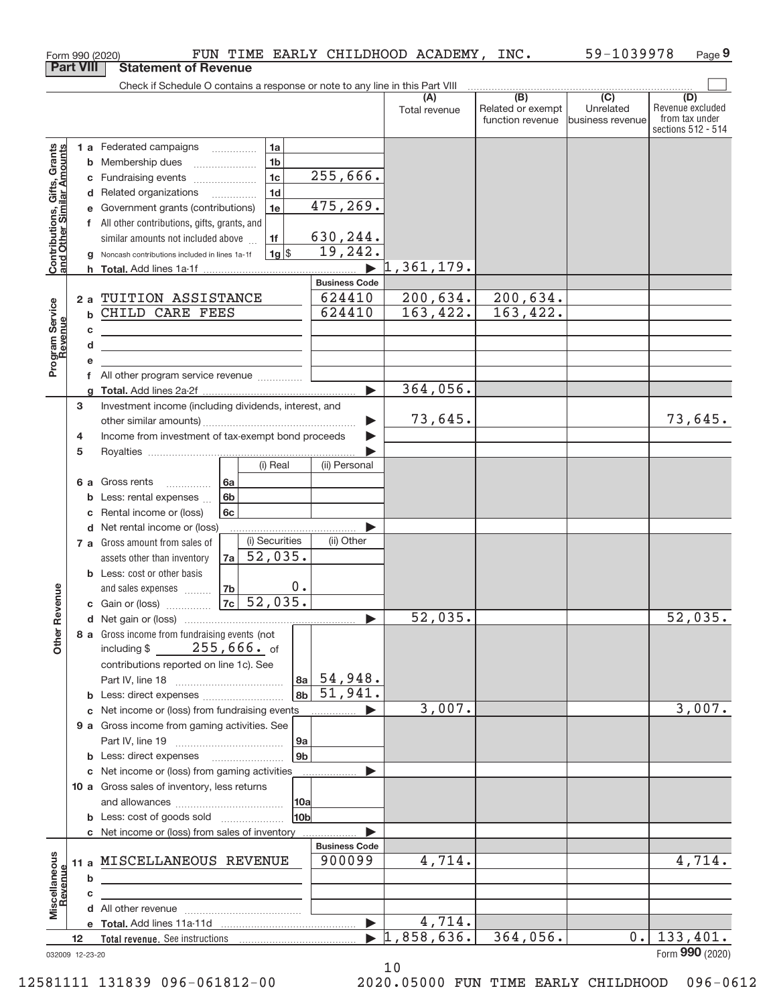|                                                                                         |                                      |                                                | FUN TIME EARLY CHILDHOOD ACADEMY,<br>Form 990 (2020)                                                                                                                                                                                                                                                                                                                                                                                                                                       |                                                                                         |                                     | INC.                                                      | 59-1039978                                        | Page 9                                                          |
|-----------------------------------------------------------------------------------------|--------------------------------------|------------------------------------------------|--------------------------------------------------------------------------------------------------------------------------------------------------------------------------------------------------------------------------------------------------------------------------------------------------------------------------------------------------------------------------------------------------------------------------------------------------------------------------------------------|-----------------------------------------------------------------------------------------|-------------------------------------|-----------------------------------------------------------|---------------------------------------------------|-----------------------------------------------------------------|
|                                                                                         | <b>Part VIII</b>                     |                                                | <b>Statement of Revenue</b>                                                                                                                                                                                                                                                                                                                                                                                                                                                                |                                                                                         |                                     |                                                           |                                                   |                                                                 |
|                                                                                         |                                      |                                                | Check if Schedule O contains a response or note to any line in this Part VIII                                                                                                                                                                                                                                                                                                                                                                                                              |                                                                                         | (A)<br>Total revenue                | $\overline{(B)}$<br>Related or exempt<br>function revenue | $\overline{(C)}$<br>Unrelated<br>business revenue | (D)<br>Revenue excluded<br>from tax under<br>sections 512 - 514 |
| Contributions, Gifts, Grants<br>and Other Similar Amounts<br>Program Service<br>Revenue | 2a                                   | b<br>С<br>d<br>g<br>h<br>$\mathbf b$<br>С<br>d | <b>1 a</b> Federated campaigns<br>1a<br>1 <sub>b</sub><br>Membership dues<br>1 <sub>c</sub><br>Fundraising events<br>1 <sub>d</sub><br>Related organizations<br>$\overline{\phantom{a}}$<br>Government grants (contributions)<br>1e<br>f All other contributions, gifts, grants, and<br>similar amounts not included above<br>1f<br>$1g$ \$<br>Noncash contributions included in lines 1a-1f<br>TUITION ASSISTANCE<br>CHILD CARE FEES<br><u> 1989 - Johann Barbara, martxa alemaniar a</u> | 255,666.<br>475,269.<br>630,244.<br>19,242.<br><b>Business Code</b><br>624410<br>624410 | 1,361,179.<br>200,634.<br>163, 422. | 200, 634.<br>163, 422.                                    |                                                   |                                                                 |
|                                                                                         |                                      | f                                              | All other program service revenue                                                                                                                                                                                                                                                                                                                                                                                                                                                          | ь                                                                                       | 364,056.                            |                                                           |                                                   |                                                                 |
|                                                                                         | 3<br>4<br>5                          |                                                | Investment income (including dividends, interest, and<br>Income from investment of tax-exempt bond proceeds                                                                                                                                                                                                                                                                                                                                                                                |                                                                                         | 73,645.                             |                                                           |                                                   | 73,645.                                                         |
|                                                                                         | 6а                                   | b<br>С<br>d                                    | (i) Real<br>Gross rents<br>6a<br>.<br>6b<br>Less: rental expenses<br>6c<br>Rental income or (loss)<br>Net rental income or (loss)                                                                                                                                                                                                                                                                                                                                                          | (ii) Personal                                                                           |                                     |                                                           |                                                   |                                                                 |
| evenue                                                                                  |                                      |                                                | (i) Securities<br>7 a Gross amount from sales of<br>52,035.<br>assets other than inventory<br>7a<br><b>b</b> Less: cost or other basis<br>7b<br>and sales expenses<br>$7c \mid 52,035.$<br>c Gain or (loss)                                                                                                                                                                                                                                                                                | (ii) Other<br>0.                                                                        |                                     |                                                           |                                                   |                                                                 |
|                                                                                         |                                      |                                                |                                                                                                                                                                                                                                                                                                                                                                                                                                                                                            |                                                                                         | 52,035.                             |                                                           |                                                   | 52,035.                                                         |
| Other <sub>R</sub>                                                                      |                                      | b                                              | 8 a Gross income from fundraising events (not<br>including $$255,666.$ of<br>contributions reported on line 1c). See                                                                                                                                                                                                                                                                                                                                                                       | 8a  54,948.<br>51,941.<br>8 <sub>b</sub>                                                |                                     |                                                           |                                                   |                                                                 |
|                                                                                         |                                      |                                                | c Net income or (loss) from fundraising events                                                                                                                                                                                                                                                                                                                                                                                                                                             | $\blacktriangleright$<br>.                                                              | 3,007.                              |                                                           |                                                   | 3,007.                                                          |
|                                                                                         |                                      |                                                | 9 a Gross income from gaming activities. See<br><b>b</b> Less: direct expenses <b>manually</b>                                                                                                                                                                                                                                                                                                                                                                                             | 9a<br>9 <sub>b</sub>                                                                    |                                     |                                                           |                                                   |                                                                 |
|                                                                                         |                                      |                                                | c Net income or (loss) from gaming activities<br>10 a Gross sales of inventory, less returns<br><b>b</b> Less: cost of goods sold                                                                                                                                                                                                                                                                                                                                                          | 10a <br>10bl                                                                            |                                     |                                                           |                                                   |                                                                 |
|                                                                                         |                                      |                                                | c Net income or (loss) from sales of inventory                                                                                                                                                                                                                                                                                                                                                                                                                                             | <b>Business Code</b>                                                                    |                                     |                                                           |                                                   |                                                                 |
| Miscellaneous                                                                           |                                      | b                                              | 11 a MISCELLANEOUS REVENUE                                                                                                                                                                                                                                                                                                                                                                                                                                                                 | 900099                                                                                  | 4,714.                              |                                                           |                                                   | 4,714.                                                          |
| Revenue                                                                                 |                                      | c                                              |                                                                                                                                                                                                                                                                                                                                                                                                                                                                                            |                                                                                         |                                     |                                                           |                                                   |                                                                 |
|                                                                                         |                                      |                                                |                                                                                                                                                                                                                                                                                                                                                                                                                                                                                            |                                                                                         |                                     |                                                           |                                                   |                                                                 |
|                                                                                         |                                      |                                                |                                                                                                                                                                                                                                                                                                                                                                                                                                                                                            | $\blacktriangleright$                                                                   | 4,714.                              |                                                           | $0 \cdot$                                         |                                                                 |
|                                                                                         | $12 \overline{ }$<br>032009 12-23-20 |                                                |                                                                                                                                                                                                                                                                                                                                                                                                                                                                                            |                                                                                         | 1,858,636.                          | 364,056.                                                  |                                                   | 133,401.<br>Form 990 (2020)                                     |

10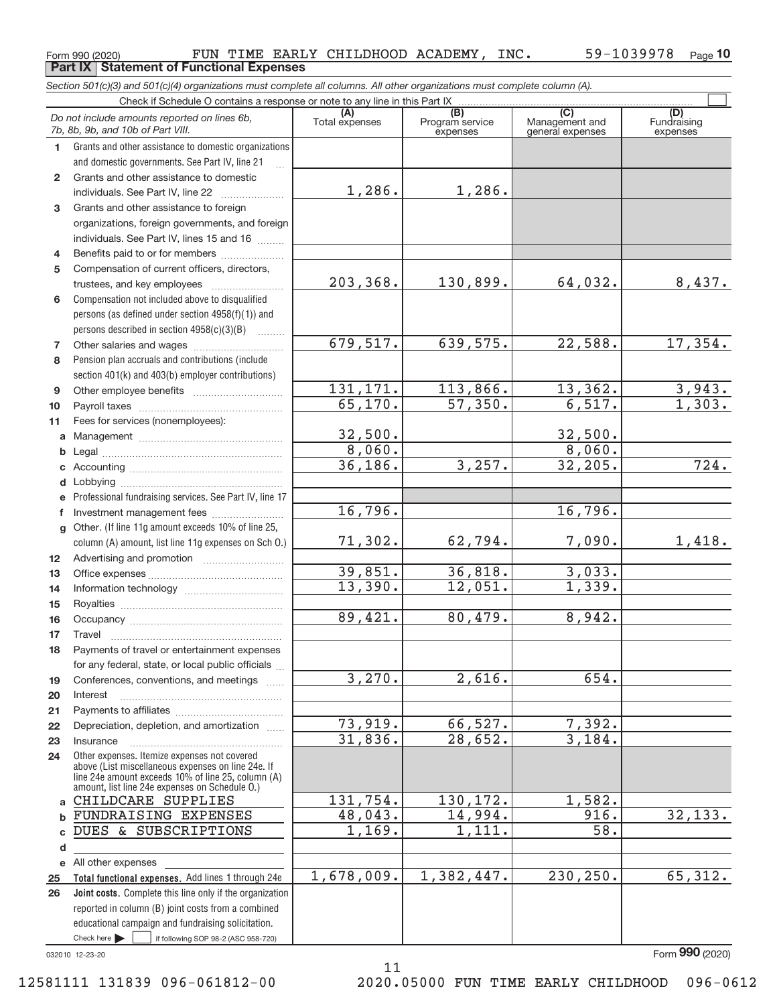Form 990 (2020) PUN TIME EARLY CHILDHOOD ACADEMY, INC.  $59-1039978$  Page **Part IX** (2020) **PUN TIME EARL**<br>**Part IX** | Statement of Functional Expenses

|                 | Section 501(c)(3) and 501(c)(4) organizations must complete all columns. All other organizations must complete column (A).                                                                                 |                       |                                    |                                           |                                |
|-----------------|------------------------------------------------------------------------------------------------------------------------------------------------------------------------------------------------------------|-----------------------|------------------------------------|-------------------------------------------|--------------------------------|
|                 | Check if Schedule O contains a response or note to any line in this Part IX                                                                                                                                |                       |                                    |                                           |                                |
|                 | Do not include amounts reported on lines 6b,<br>7b, 8b, 9b, and 10b of Part VIII.                                                                                                                          | (A)<br>Total expenses | (B)<br>Program service<br>expenses | (C)<br>Management and<br>general expenses | (D)<br>Fundraising<br>expenses |
| 1.              | Grants and other assistance to domestic organizations                                                                                                                                                      |                       |                                    |                                           |                                |
|                 | and domestic governments. See Part IV, line 21                                                                                                                                                             |                       |                                    |                                           |                                |
| $\mathbf{2}$    | Grants and other assistance to domestic                                                                                                                                                                    |                       |                                    |                                           |                                |
|                 | individuals. See Part IV, line 22                                                                                                                                                                          | 1,286.                | 1,286.                             |                                           |                                |
| 3               | Grants and other assistance to foreign                                                                                                                                                                     |                       |                                    |                                           |                                |
|                 | organizations, foreign governments, and foreign                                                                                                                                                            |                       |                                    |                                           |                                |
|                 | individuals. See Part IV, lines 15 and 16                                                                                                                                                                  |                       |                                    |                                           |                                |
| 4               |                                                                                                                                                                                                            |                       |                                    |                                           |                                |
| 5               | Compensation of current officers, directors,                                                                                                                                                               |                       |                                    |                                           |                                |
|                 |                                                                                                                                                                                                            | 203,368.              | 130,899.                           | 64,032.                                   | 8,437.                         |
| 6               | Compensation not included above to disqualified                                                                                                                                                            |                       |                                    |                                           |                                |
|                 | persons (as defined under section 4958(f)(1)) and                                                                                                                                                          |                       |                                    |                                           |                                |
|                 | persons described in section 4958(c)(3)(B)                                                                                                                                                                 |                       |                                    |                                           |                                |
| 7               |                                                                                                                                                                                                            | 679,517.              | 639,575.                           | 22,588.                                   | 17,354.                        |
| 8               | Pension plan accruals and contributions (include                                                                                                                                                           |                       |                                    |                                           |                                |
|                 | section 401(k) and 403(b) employer contributions)                                                                                                                                                          |                       |                                    |                                           |                                |
| 9               |                                                                                                                                                                                                            | 131, 171.             | 113,866.                           | 13,362.                                   | 3,943.                         |
| 10              |                                                                                                                                                                                                            | 65,170.               | 57,350.                            | 6,517.                                    | 1,303.                         |
| 11              | Fees for services (nonemployees):                                                                                                                                                                          |                       |                                    |                                           |                                |
|                 |                                                                                                                                                                                                            | 32,500.               |                                    | 32,500.                                   |                                |
| b               |                                                                                                                                                                                                            | 8,060.                |                                    | 8,060.                                    |                                |
| c               |                                                                                                                                                                                                            | 36, 186.              | 3,257.                             | 32, 205.                                  | 724.                           |
| d               |                                                                                                                                                                                                            |                       |                                    |                                           |                                |
| е               | Professional fundraising services. See Part IV, line 17                                                                                                                                                    |                       |                                    |                                           |                                |
| f               | Investment management fees                                                                                                                                                                                 | 16,796.               |                                    | 16,796.                                   |                                |
| q               | Other. (If line 11g amount exceeds 10% of line 25,                                                                                                                                                         |                       |                                    |                                           |                                |
|                 | column (A) amount, list line 11g expenses on Sch O.)                                                                                                                                                       | 71,302.               | 62,794.                            | 7,090.                                    | 1,418.                         |
| 12 <sup>2</sup> |                                                                                                                                                                                                            |                       |                                    |                                           |                                |
| 13              |                                                                                                                                                                                                            | 39,851.               | 36,818.                            | 3,033.                                    |                                |
| 14              |                                                                                                                                                                                                            | 13,390.               | 12,051.                            | 1,339.                                    |                                |
| 15              |                                                                                                                                                                                                            |                       |                                    |                                           |                                |
| 16              |                                                                                                                                                                                                            | 89,421.               | 80,479.                            | 8,942.                                    |                                |
| 17              |                                                                                                                                                                                                            |                       |                                    |                                           |                                |
| 18              | Payments of travel or entertainment expenses                                                                                                                                                               |                       |                                    |                                           |                                |
|                 | for any federal, state, or local public officials                                                                                                                                                          |                       |                                    |                                           |                                |
| 19              | Conferences, conventions, and meetings                                                                                                                                                                     | 3,270.                | 2,616.                             | 654.                                      |                                |
| 20              | Interest                                                                                                                                                                                                   |                       |                                    |                                           |                                |
| 21              |                                                                                                                                                                                                            |                       |                                    |                                           |                                |
| 22              | Depreciation, depletion, and amortization                                                                                                                                                                  | 73,919.               | 66,527.                            | 7,392.                                    |                                |
| 23              | Insurance                                                                                                                                                                                                  | 31,836.               | 28,652.                            | 3,184.                                    |                                |
| 24              | Other expenses. Itemize expenses not covered<br>above (List miscellaneous expenses on line 24e. If<br>line 24e amount exceeds 10% of line 25, column (A)<br>amount, list line 24e expenses on Schedule 0.) |                       |                                    |                                           |                                |
| a               | CHILDCARE SUPPLIES                                                                                                                                                                                         | 131,754.              | 130,172.                           | 1,582.                                    |                                |
| b               | FUNDRAISING EXPENSES                                                                                                                                                                                       | 48,043.               | 14,994.                            | 916.                                      | 32, 133.                       |
| C               | DUES & SUBSCRIPTIONS                                                                                                                                                                                       | 1,169.                | 1,111.                             | 58.                                       |                                |
| d               |                                                                                                                                                                                                            |                       |                                    |                                           |                                |
|                 | e All other expenses                                                                                                                                                                                       |                       |                                    |                                           |                                |
| 25              | Total functional expenses. Add lines 1 through 24e                                                                                                                                                         | 1,678,009.            | 1,382,447.                         | 230,250.                                  | 65,312.                        |
| 26              | Joint costs. Complete this line only if the organization                                                                                                                                                   |                       |                                    |                                           |                                |
|                 | reported in column (B) joint costs from a combined                                                                                                                                                         |                       |                                    |                                           |                                |
|                 | educational campaign and fundraising solicitation.                                                                                                                                                         |                       |                                    |                                           |                                |

032010 12‐23‐20

Check here if following SOP 98-2 (ASC 958-720)

Form (2020) **990**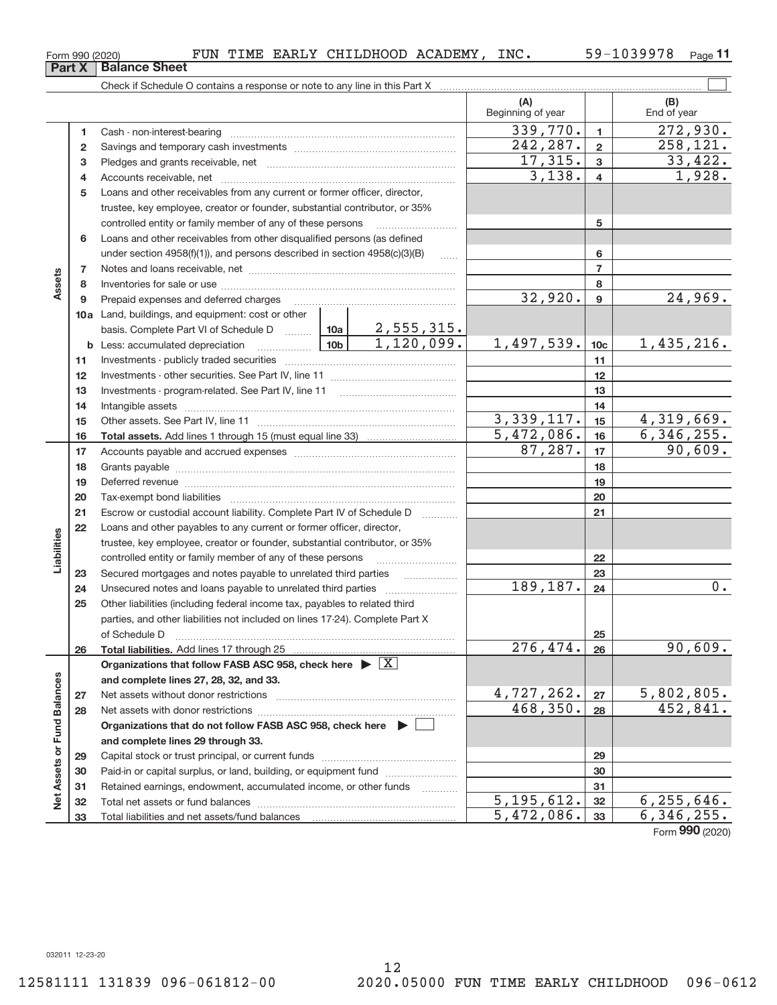# Form 990 (2020) PUN TIME EARLY CHILDHOOD ACADEMY, INC.  $59-1039978$  Page

**(A) (B)** Check if Schedule O contains a response or note to any line in this Part X

**11**

 $\boxed{\phantom{1}}$ 

Beginning of year  $\vert$  | End of year

| 1  |                                                                                                                                                                                                                                | 339,770.                   | $\overline{1}$   | 272,930.     |
|----|--------------------------------------------------------------------------------------------------------------------------------------------------------------------------------------------------------------------------------|----------------------------|------------------|--------------|
| 2  |                                                                                                                                                                                                                                | 242, 287.                  | $\overline{2}$   | 258, 121.    |
| з  |                                                                                                                                                                                                                                | 17,315.                    | $\mathbf{3}$     | 33,422.      |
| 4  |                                                                                                                                                                                                                                | 3,138.                     | $\overline{4}$   | 1,928.       |
| 5  | Loans and other receivables from any current or former officer, director,                                                                                                                                                      |                            |                  |              |
|    | trustee, key employee, creator or founder, substantial contributor, or 35%                                                                                                                                                     |                            |                  |              |
|    | controlled entity or family member of any of these persons                                                                                                                                                                     |                            | 5                |              |
| 6  | Loans and other receivables from other disqualified persons (as defined                                                                                                                                                        |                            |                  |              |
|    | under section $4958(f)(1)$ , and persons described in section $4958(c)(3)(B)$<br><b>September</b>                                                                                                                              |                            | 6                |              |
| 7  |                                                                                                                                                                                                                                |                            | $\overline{7}$   |              |
| 8  |                                                                                                                                                                                                                                |                            | 8                |              |
| 9  | Prepaid expenses and deferred charges                                                                                                                                                                                          | 32,920.                    | $\boldsymbol{9}$ | 24,969.      |
|    | <b>10a</b> Land, buildings, and equipment: cost or other                                                                                                                                                                       |                            |                  |              |
|    |                                                                                                                                                                                                                                |                            |                  |              |
|    | <u>  1</u> 0b<br><b>b</b> Less: accumulated depreciation                                                                                                                                                                       | 1,497,539.                 | 10 <sub>c</sub>  | 1,435,216.   |
| 11 |                                                                                                                                                                                                                                |                            | 11               |              |
| 12 |                                                                                                                                                                                                                                |                            | 12               |              |
| 13 |                                                                                                                                                                                                                                |                            | 13               |              |
| 14 |                                                                                                                                                                                                                                |                            | 14               |              |
| 15 |                                                                                                                                                                                                                                | 3,339,117.                 | 15               | 4,319,669.   |
| 16 |                                                                                                                                                                                                                                | 5,472,086.                 | 16               | 6, 346, 255. |
| 17 |                                                                                                                                                                                                                                | 87,287.                    | 17               | 90,609.      |
| 18 |                                                                                                                                                                                                                                |                            | 18               |              |
| 19 | Deferred revenue manual contracts and contracts are contracted and contract and contract are contracted and contract are contracted and contract are contracted and contract are contracted and contract are contracted and co |                            | 19               |              |
| 20 |                                                                                                                                                                                                                                |                            | 20               |              |
| 21 | Escrow or custodial account liability. Complete Part IV of Schedule D                                                                                                                                                          |                            | 21               |              |
| 22 | Loans and other payables to any current or former officer, director,                                                                                                                                                           |                            |                  |              |
|    | trustee, key employee, creator or founder, substantial contributor, or 35%                                                                                                                                                     |                            |                  |              |
|    | controlled entity or family member of any of these persons                                                                                                                                                                     |                            | 22               |              |
| 23 | Secured mortgages and notes payable to unrelated third parties                                                                                                                                                                 |                            | 23               |              |
| 24 |                                                                                                                                                                                                                                | 189,187.                   | 24               | $0$ .        |
| 25 | Other liabilities (including federal income tax, payables to related third                                                                                                                                                     |                            |                  |              |
|    | parties, and other liabilities not included on lines 17-24). Complete Part X                                                                                                                                                   |                            |                  |              |
|    | of Schedule D                                                                                                                                                                                                                  |                            | 25               |              |
| 26 |                                                                                                                                                                                                                                | 276,474.                   | 26               | 90,609.      |
|    | Organizations that follow FASB ASC 958, check here $\triangleright \lfloor X \rfloor$                                                                                                                                          |                            |                  |              |
|    | and complete lines 27, 28, 32, and 33.                                                                                                                                                                                         |                            |                  |              |
| 27 |                                                                                                                                                                                                                                | 4,727,262.                 | ${\bf 27}$       | 5,802,805.   |
| 28 |                                                                                                                                                                                                                                | 468,350.                   | 28               | 452,841.     |
|    | Organizations that do not follow FASB ASC 958, check here $\blacktriangleright \lfloor$                                                                                                                                        |                            |                  |              |
|    | and complete lines 29 through 33.                                                                                                                                                                                              |                            |                  |              |
| 29 |                                                                                                                                                                                                                                |                            | 29               |              |
| 30 | Paid-in or capital surplus, or land, building, or equipment fund                                                                                                                                                               |                            | 30               |              |
| 31 | Retained earnings, endowment, accumulated income, or other funds<br>.                                                                                                                                                          |                            | 31               | 6, 255, 646. |
| 32 |                                                                                                                                                                                                                                |                            |                  |              |
| 33 | Total liabilities and net assets/fund balances                                                                                                                                                                                 | 5, 195, 612.<br>5,472,086. | 32<br>33         | 6,346,255.   |

**Assets**

**Liabilities**

**Net Assets or Fund Balances**

Net Assets or Fund Balances

**Part X Balance Sheet**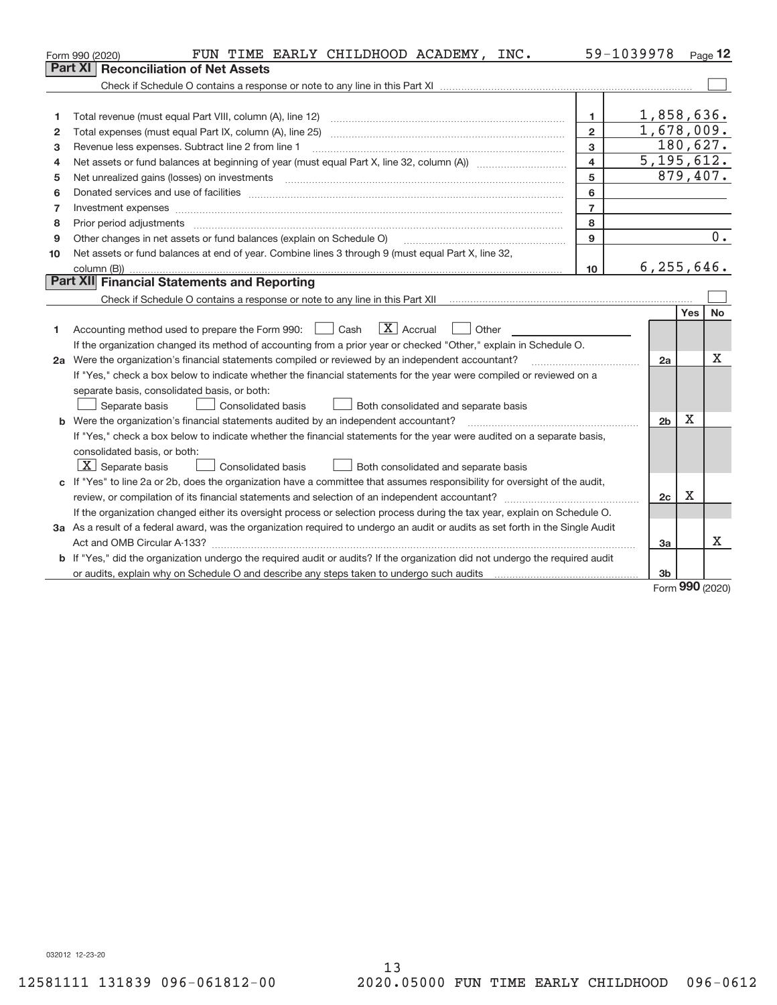|              | FUN TIME EARLY CHILDHOOD ACADEMY, INC.<br>Form 990 (2020)                                                                                                                                                                      | 59-1039978              |                |     | Page 12   |
|--------------|--------------------------------------------------------------------------------------------------------------------------------------------------------------------------------------------------------------------------------|-------------------------|----------------|-----|-----------|
|              | <b>Reconciliation of Net Assets</b><br>Part XI                                                                                                                                                                                 |                         |                |     |           |
|              |                                                                                                                                                                                                                                |                         |                |     |           |
|              |                                                                                                                                                                                                                                |                         |                |     |           |
| 1            |                                                                                                                                                                                                                                | $\mathbf{1}$            | 1,858,636.     |     |           |
| $\mathbf{2}$ |                                                                                                                                                                                                                                | $\overline{2}$          | 1,678,009.     |     |           |
| з            | Revenue less expenses. Subtract line 2 from line 1                                                                                                                                                                             | $\mathbf{3}$            |                |     | 180,627.  |
| 4            |                                                                                                                                                                                                                                | $\overline{\mathbf{4}}$ | 5, 195, 612.   |     |           |
| 5            |                                                                                                                                                                                                                                | 5                       | 879,407.       |     |           |
| 6            | Donated services and use of facilities [111] matter contracts and the facilities of facilities [11] matter contracts and use of facilities [11] matter contracts and the service of facilities [11] matter contracts and the s | 6                       |                |     |           |
| 7            | Investment expenses www.communication.com/multiplication.com/multiplication.com/multiplication.com/multiplication.com/multiplication.com/multiplication.com/multiplication.com/multiplication.com/multiplication.com/multiplic | $\overline{7}$          |                |     |           |
| 8            | Prior period adjustments manufactured contains and all the contract of the contract of the contract of the contract of the contract of the contract of the contract of the contract of the contract of the contract of the con | 8                       |                |     |           |
| 9            | Other changes in net assets or fund balances (explain on Schedule O)                                                                                                                                                           | 9                       |                |     | 0.        |
| 10           | Net assets or fund balances at end of year. Combine lines 3 through 9 (must equal Part X, line 32,                                                                                                                             |                         |                |     |           |
|              |                                                                                                                                                                                                                                | 10 <sup>1</sup>         | 6, 255, 646.   |     |           |
|              | Part XII Financial Statements and Reporting                                                                                                                                                                                    |                         |                |     |           |
|              |                                                                                                                                                                                                                                |                         |                |     |           |
|              |                                                                                                                                                                                                                                |                         |                | Yes | <b>No</b> |
| 1            | $\boxed{\mathbf{X}}$ Accrual<br>Accounting method used to prepare the Form 990: <u>June</u> Cash<br>Other                                                                                                                      |                         |                |     |           |
|              | If the organization changed its method of accounting from a prior year or checked "Other," explain in Schedule O.                                                                                                              |                         |                |     |           |
|              | 2a Were the organization's financial statements compiled or reviewed by an independent accountant?                                                                                                                             |                         | 2a             |     | Χ         |
|              | If "Yes," check a box below to indicate whether the financial statements for the year were compiled or reviewed on a                                                                                                           |                         |                |     |           |
|              | separate basis, consolidated basis, or both:                                                                                                                                                                                   |                         |                |     |           |
|              | Both consolidated and separate basis<br>Separate basis<br>Consolidated basis                                                                                                                                                   |                         |                |     |           |
|              | <b>b</b> Were the organization's financial statements audited by an independent accountant?                                                                                                                                    |                         | 2 <sub>b</sub> | X   |           |
|              | If "Yes," check a box below to indicate whether the financial statements for the year were audited on a separate basis,                                                                                                        |                         |                |     |           |
|              | consolidated basis, or both:                                                                                                                                                                                                   |                         |                |     |           |
|              | $X$ Separate basis<br>Consolidated basis<br>Both consolidated and separate basis                                                                                                                                               |                         |                |     |           |
|              | c If "Yes" to line 2a or 2b, does the organization have a committee that assumes responsibility for oversight of the audit,                                                                                                    |                         |                |     |           |
|              |                                                                                                                                                                                                                                |                         | 2c             | х   |           |
|              | If the organization changed either its oversight process or selection process during the tax year, explain on Schedule O.                                                                                                      |                         |                |     |           |
|              | 3a As a result of a federal award, was the organization required to undergo an audit or audits as set forth in the Single Audit                                                                                                |                         |                |     |           |
|              |                                                                                                                                                                                                                                |                         | 3a             |     | x         |
|              | b If "Yes," did the organization undergo the required audit or audits? If the organization did not undergo the required audit                                                                                                  |                         |                |     |           |
|              |                                                                                                                                                                                                                                |                         | 3 <sub>b</sub> |     |           |

Form (2020) **990**

032012 12‐23‐20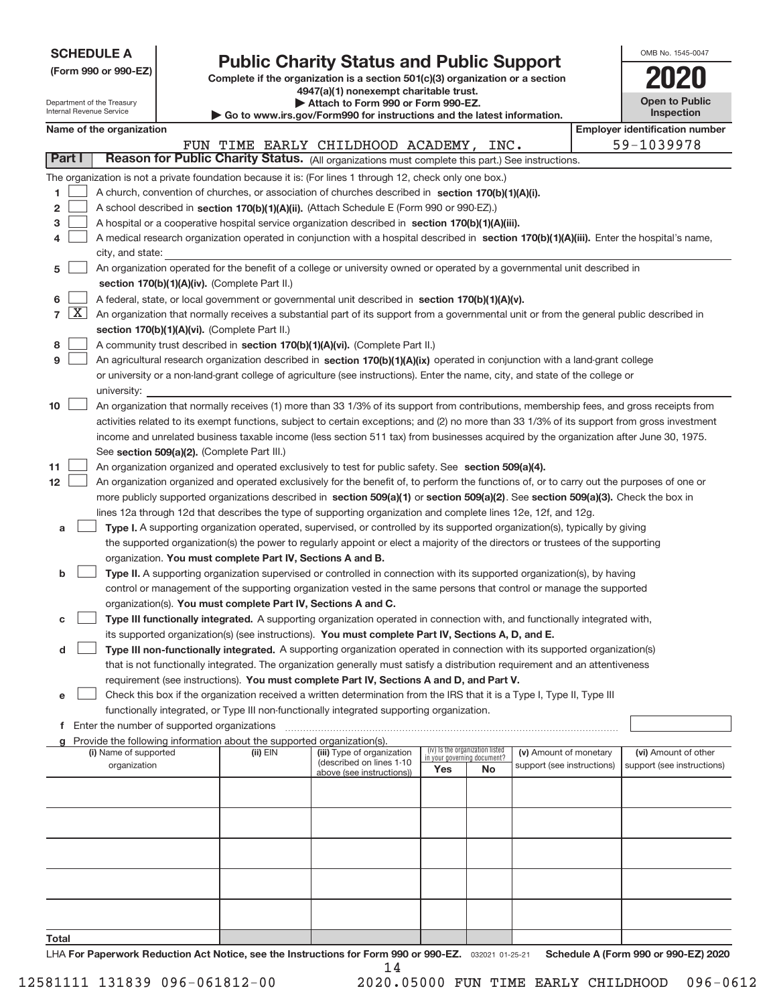| <b>SCHEDULE A</b> |  |
|-------------------|--|
|-------------------|--|

Department of the Treasury Internal Revenue Service

# **Public Charity Status and Public Support**

**(Form 990 or 990‐EZ) Complete if the organization is a section 501(c)(3) organization or a section 4947(a)(1) nonexempt charitable trust. | Attach to Form 990 or Form 990‐EZ.** 

|  |  |  | Go to www.irs.gov/Form990 for instructions and the latest information. |  |  |  |
|--|--|--|------------------------------------------------------------------------|--|--|--|
|  |  |  |                                                                        |  |  |  |

| OMB No. 1545-0047                   |  |
|-------------------------------------|--|
| 2020                                |  |
| <b>Open to Public</b><br>Inspection |  |

|    |                                                                                                                                            |                                                                                                                                              |            | <b>2</b> Go to www.irs.gov/Forms90 for instructions and the latest imormation. |                             |                                 |                            |  |                                       |  |  |  |
|----|--------------------------------------------------------------------------------------------------------------------------------------------|----------------------------------------------------------------------------------------------------------------------------------------------|------------|--------------------------------------------------------------------------------|-----------------------------|---------------------------------|----------------------------|--|---------------------------------------|--|--|--|
|    |                                                                                                                                            | Name of the organization                                                                                                                     |            |                                                                                |                             |                                 |                            |  | <b>Employer identification number</b> |  |  |  |
|    |                                                                                                                                            |                                                                                                                                              |            | FUN TIME EARLY CHILDHOOD ACADEMY, INC.                                         |                             |                                 |                            |  | 59-1039978                            |  |  |  |
|    | Part I                                                                                                                                     | Reason for Public Charity Status. (All organizations must complete this part.) See instructions.                                             |            |                                                                                |                             |                                 |                            |  |                                       |  |  |  |
|    |                                                                                                                                            | The organization is not a private foundation because it is: (For lines 1 through 12, check only one box.)                                    |            |                                                                                |                             |                                 |                            |  |                                       |  |  |  |
| 1  |                                                                                                                                            | A church, convention of churches, or association of churches described in section 170(b)(1)(A)(i).                                           |            |                                                                                |                             |                                 |                            |  |                                       |  |  |  |
| 2  |                                                                                                                                            | A school described in section 170(b)(1)(A)(ii). (Attach Schedule E (Form 990 or 990-EZ).)                                                    |            |                                                                                |                             |                                 |                            |  |                                       |  |  |  |
| з  |                                                                                                                                            | A hospital or a cooperative hospital service organization described in section 170(b)(1)(A)(iii).                                            |            |                                                                                |                             |                                 |                            |  |                                       |  |  |  |
| 4  | A medical research organization operated in conjunction with a hospital described in section 170(b)(1)(A)(iii). Enter the hospital's name, |                                                                                                                                              |            |                                                                                |                             |                                 |                            |  |                                       |  |  |  |
|    |                                                                                                                                            | city, and state:                                                                                                                             |            |                                                                                |                             |                                 |                            |  |                                       |  |  |  |
| 5  |                                                                                                                                            | An organization operated for the benefit of a college or university owned or operated by a governmental unit described in                    |            |                                                                                |                             |                                 |                            |  |                                       |  |  |  |
|    |                                                                                                                                            | section 170(b)(1)(A)(iv). (Complete Part II.)                                                                                                |            |                                                                                |                             |                                 |                            |  |                                       |  |  |  |
| 6  |                                                                                                                                            | A federal, state, or local government or governmental unit described in section 170(b)(1)(A)(v).                                             |            |                                                                                |                             |                                 |                            |  |                                       |  |  |  |
| 7  | $\lfloor x \rfloor$                                                                                                                        | An organization that normally receives a substantial part of its support from a governmental unit or from the general public described in    |            |                                                                                |                             |                                 |                            |  |                                       |  |  |  |
|    |                                                                                                                                            | section 170(b)(1)(A)(vi). (Complete Part II.)                                                                                                |            |                                                                                |                             |                                 |                            |  |                                       |  |  |  |
| 8  |                                                                                                                                            | A community trust described in section 170(b)(1)(A)(vi). (Complete Part II.)                                                                 |            |                                                                                |                             |                                 |                            |  |                                       |  |  |  |
| 9  |                                                                                                                                            | An agricultural research organization described in section 170(b)(1)(A)(ix) operated in conjunction with a land-grant college                |            |                                                                                |                             |                                 |                            |  |                                       |  |  |  |
|    |                                                                                                                                            | or university or a non-land-grant college of agriculture (see instructions). Enter the name, city, and state of the college or               |            |                                                                                |                             |                                 |                            |  |                                       |  |  |  |
|    |                                                                                                                                            | university:                                                                                                                                  |            |                                                                                |                             |                                 |                            |  |                                       |  |  |  |
| 10 |                                                                                                                                            | An organization that normally receives (1) more than 33 1/3% of its support from contributions, membership fees, and gross receipts from     |            |                                                                                |                             |                                 |                            |  |                                       |  |  |  |
|    |                                                                                                                                            | activities related to its exempt functions, subject to certain exceptions; and (2) no more than 33 1/3% of its support from gross investment |            |                                                                                |                             |                                 |                            |  |                                       |  |  |  |
|    |                                                                                                                                            | income and unrelated business taxable income (less section 511 tax) from businesses acquired by the organization after June 30, 1975.        |            |                                                                                |                             |                                 |                            |  |                                       |  |  |  |
|    |                                                                                                                                            | See section 509(a)(2). (Complete Part III.)                                                                                                  |            |                                                                                |                             |                                 |                            |  |                                       |  |  |  |
| 11 |                                                                                                                                            | An organization organized and operated exclusively to test for public safety. See section 509(a)(4).                                         |            |                                                                                |                             |                                 |                            |  |                                       |  |  |  |
| 12 |                                                                                                                                            | An organization organized and operated exclusively for the benefit of, to perform the functions of, or to carry out the purposes of one or   |            |                                                                                |                             |                                 |                            |  |                                       |  |  |  |
|    |                                                                                                                                            | more publicly supported organizations described in section 509(a)(1) or section 509(a)(2). See section 509(a)(3). Check the box in           |            |                                                                                |                             |                                 |                            |  |                                       |  |  |  |
|    |                                                                                                                                            | lines 12a through 12d that describes the type of supporting organization and complete lines 12e, 12f, and 12g.                               |            |                                                                                |                             |                                 |                            |  |                                       |  |  |  |
| а  |                                                                                                                                            | Type I. A supporting organization operated, supervised, or controlled by its supported organization(s), typically by giving                  |            |                                                                                |                             |                                 |                            |  |                                       |  |  |  |
|    |                                                                                                                                            | the supported organization(s) the power to regularly appoint or elect a majority of the directors or trustees of the supporting              |            |                                                                                |                             |                                 |                            |  |                                       |  |  |  |
|    |                                                                                                                                            | organization. You must complete Part IV, Sections A and B.                                                                                   |            |                                                                                |                             |                                 |                            |  |                                       |  |  |  |
| b  |                                                                                                                                            | Type II. A supporting organization supervised or controlled in connection with its supported organization(s), by having                      |            |                                                                                |                             |                                 |                            |  |                                       |  |  |  |
|    |                                                                                                                                            | control or management of the supporting organization vested in the same persons that control or manage the supported                         |            |                                                                                |                             |                                 |                            |  |                                       |  |  |  |
|    |                                                                                                                                            | organization(s). You must complete Part IV, Sections A and C.                                                                                |            |                                                                                |                             |                                 |                            |  |                                       |  |  |  |
| с  |                                                                                                                                            | Type III functionally integrated. A supporting organization operated in connection with, and functionally integrated with,                   |            |                                                                                |                             |                                 |                            |  |                                       |  |  |  |
|    |                                                                                                                                            | its supported organization(s) (see instructions). You must complete Part IV, Sections A, D, and E.                                           |            |                                                                                |                             |                                 |                            |  |                                       |  |  |  |
| d  |                                                                                                                                            | Type III non-functionally integrated. A supporting organization operated in connection with its supported organization(s)                    |            |                                                                                |                             |                                 |                            |  |                                       |  |  |  |
|    |                                                                                                                                            | that is not functionally integrated. The organization generally must satisfy a distribution requirement and an attentiveness                 |            |                                                                                |                             |                                 |                            |  |                                       |  |  |  |
|    |                                                                                                                                            | requirement (see instructions). You must complete Part IV, Sections A and D, and Part V.                                                     |            |                                                                                |                             |                                 |                            |  |                                       |  |  |  |
| е  |                                                                                                                                            | Check this box if the organization received a written determination from the IRS that it is a Type I, Type II, Type III                      |            |                                                                                |                             |                                 |                            |  |                                       |  |  |  |
|    |                                                                                                                                            | functionally integrated, or Type III non-functionally integrated supporting organization.                                                    |            |                                                                                |                             |                                 |                            |  |                                       |  |  |  |
|    |                                                                                                                                            | Enter the number of supported organizations                                                                                                  |            |                                                                                |                             |                                 |                            |  |                                       |  |  |  |
|    |                                                                                                                                            | Provide the following information about the supported organization(s).                                                                       |            |                                                                                |                             |                                 |                            |  |                                       |  |  |  |
|    |                                                                                                                                            | (i) Name of supported                                                                                                                        | $(ii)$ EIN | (iii) Type of organization<br>(described on lines 1-10                         | in your governing document? | (iv) Is the organization listed | (v) Amount of monetary     |  | (vi) Amount of other                  |  |  |  |
|    |                                                                                                                                            | organization                                                                                                                                 |            | above (see instructions))                                                      | Yes                         | No                              | support (see instructions) |  | support (see instructions)            |  |  |  |
|    |                                                                                                                                            |                                                                                                                                              |            |                                                                                |                             |                                 |                            |  |                                       |  |  |  |
|    |                                                                                                                                            |                                                                                                                                              |            |                                                                                |                             |                                 |                            |  |                                       |  |  |  |
|    |                                                                                                                                            |                                                                                                                                              |            |                                                                                |                             |                                 |                            |  |                                       |  |  |  |
|    |                                                                                                                                            |                                                                                                                                              |            |                                                                                |                             |                                 |                            |  |                                       |  |  |  |
|    |                                                                                                                                            |                                                                                                                                              |            |                                                                                |                             |                                 |                            |  |                                       |  |  |  |
|    |                                                                                                                                            |                                                                                                                                              |            |                                                                                |                             |                                 |                            |  |                                       |  |  |  |
|    |                                                                                                                                            |                                                                                                                                              |            |                                                                                |                             |                                 |                            |  |                                       |  |  |  |
|    |                                                                                                                                            |                                                                                                                                              |            |                                                                                |                             |                                 |                            |  |                                       |  |  |  |
|    |                                                                                                                                            |                                                                                                                                              |            |                                                                                |                             |                                 |                            |  |                                       |  |  |  |
|    |                                                                                                                                            |                                                                                                                                              |            |                                                                                |                             |                                 |                            |  |                                       |  |  |  |
|    |                                                                                                                                            |                                                                                                                                              |            |                                                                                |                             |                                 |                            |  |                                       |  |  |  |

**Total**

032021 01‐25‐21 **For Paperwork Reduction Act Notice, see the Instructions for Form 990 or 990‐EZ. Schedule A (Form 990 or 990‐EZ) 2020** LHA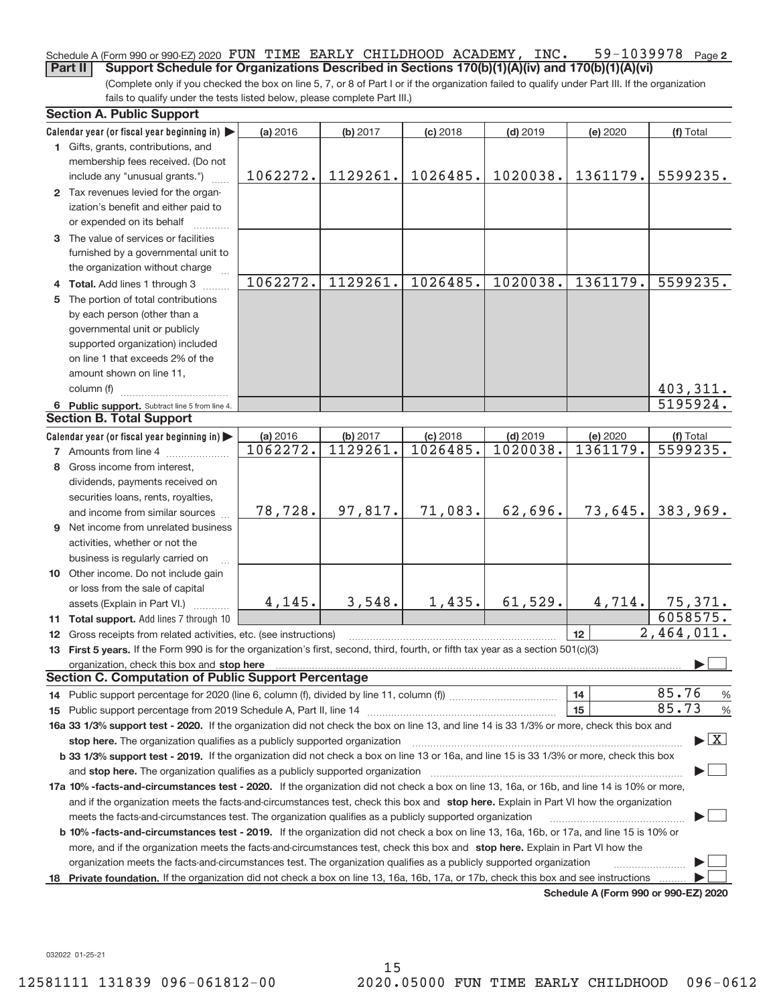### 59-1039978 Page 2 Schedule A (Form 990 or 990-EZ) 2020 FUN TIME EARLY CHILDHOOD ACADEMY, INC.  $59-1039978$  Page **Part II** Support Schedule for Organizations Described in Sections 170(b)(1)(A)(iv) and 170(b)(1)(A)(vi)

(Complete only if you checked the box on line 5, 7, or 8 of Part I or if the organization failed to qualify under Part III. If the organization fails to qualify under the tests listed below, please complete Part III.)

|    | <b>Section A. Public Support</b>                                                                                                                                                                                               |          |          |            |            |                                      |                                          |
|----|--------------------------------------------------------------------------------------------------------------------------------------------------------------------------------------------------------------------------------|----------|----------|------------|------------|--------------------------------------|------------------------------------------|
|    | Calendar year (or fiscal year beginning in)                                                                                                                                                                                    | (a) 2016 | (b) 2017 | $(c)$ 2018 | $(d)$ 2019 | (e) 2020                             | (f) Total                                |
|    | 1 Gifts, grants, contributions, and                                                                                                                                                                                            |          |          |            |            |                                      |                                          |
|    | membership fees received. (Do not                                                                                                                                                                                              |          |          |            |            |                                      |                                          |
|    | include any "unusual grants.")                                                                                                                                                                                                 | 1062272. | 1129261. | 1026485.   | 1020038.   | 1361179.                             | 5599235.                                 |
|    | 2 Tax revenues levied for the organ-                                                                                                                                                                                           |          |          |            |            |                                      |                                          |
|    | ization's benefit and either paid to                                                                                                                                                                                           |          |          |            |            |                                      |                                          |
|    | or expended on its behalf                                                                                                                                                                                                      |          |          |            |            |                                      |                                          |
|    | 3 The value of services or facilities                                                                                                                                                                                          |          |          |            |            |                                      |                                          |
|    | furnished by a governmental unit to                                                                                                                                                                                            |          |          |            |            |                                      |                                          |
|    | the organization without charge                                                                                                                                                                                                |          |          |            |            |                                      |                                          |
|    | 4 Total. Add lines 1 through 3                                                                                                                                                                                                 | 1062272. | 1129261. | 1026485.   | 1020038.   | 1361179.                             | 5599235.                                 |
|    | 5 The portion of total contributions                                                                                                                                                                                           |          |          |            |            |                                      |                                          |
|    | by each person (other than a                                                                                                                                                                                                   |          |          |            |            |                                      |                                          |
|    | governmental unit or publicly                                                                                                                                                                                                  |          |          |            |            |                                      |                                          |
|    | supported organization) included                                                                                                                                                                                               |          |          |            |            |                                      |                                          |
|    | on line 1 that exceeds 2% of the                                                                                                                                                                                               |          |          |            |            |                                      |                                          |
|    | amount shown on line 11,                                                                                                                                                                                                       |          |          |            |            |                                      |                                          |
|    | column (f)                                                                                                                                                                                                                     |          |          |            |            |                                      | 403, 311.                                |
|    | 6 Public support. Subtract line 5 from line 4.                                                                                                                                                                                 |          |          |            |            |                                      | 5195924.                                 |
|    | <b>Section B. Total Support</b>                                                                                                                                                                                                |          |          |            |            |                                      |                                          |
|    | Calendar year (or fiscal year beginning in)                                                                                                                                                                                    | (a) 2016 | (b) 2017 | $(c)$ 2018 | $(d)$ 2019 | (e) 2020                             | (f) Total                                |
|    | <b>7</b> Amounts from line 4                                                                                                                                                                                                   | 1062272. | 1129261. | 1026485.   | 1020038.   | 1361179.                             | 5599235.                                 |
|    | 8 Gross income from interest,                                                                                                                                                                                                  |          |          |            |            |                                      |                                          |
|    | dividends, payments received on                                                                                                                                                                                                |          |          |            |            |                                      |                                          |
|    | securities loans, rents, royalties,                                                                                                                                                                                            |          |          |            |            |                                      |                                          |
|    | and income from similar sources                                                                                                                                                                                                | 78,728.  | 97,817.  | 71,083.    | 62,696.    | 73,645.                              | 383,969.                                 |
|    | <b>9</b> Net income from unrelated business                                                                                                                                                                                    |          |          |            |            |                                      |                                          |
|    | activities, whether or not the                                                                                                                                                                                                 |          |          |            |            |                                      |                                          |
|    | business is regularly carried on                                                                                                                                                                                               |          |          |            |            |                                      |                                          |
|    | 10 Other income. Do not include gain                                                                                                                                                                                           |          |          |            |            |                                      |                                          |
|    | or loss from the sale of capital                                                                                                                                                                                               |          |          |            |            |                                      |                                          |
|    | assets (Explain in Part VI.)                                                                                                                                                                                                   | 4,145.   | 3,548.   | 1,435.     | 61,529.    | 4,714.                               | 75,371.                                  |
|    | 11 Total support. Add lines 7 through 10                                                                                                                                                                                       |          |          |            |            |                                      | 6058575.                                 |
|    | 12 Gross receipts from related activities, etc. (see instructions)                                                                                                                                                             |          |          |            |            | 12                                   | 2,464,011.                               |
|    | 13 First 5 years. If the Form 990 is for the organization's first, second, third, fourth, or fifth tax year as a section 501(c)(3)                                                                                             |          |          |            |            |                                      |                                          |
|    | organization, check this box and stop here manufactured and according to the state of the state of the state of the state of the state of the state of the state of the state of the state of the state of the state of the st |          |          |            |            |                                      |                                          |
|    | Section C. Computation of Public Support Percentage                                                                                                                                                                            |          |          |            |            |                                      |                                          |
|    |                                                                                                                                                                                                                                |          |          |            |            | 14                                   | 85.76<br>$\frac{9}{6}$                   |
|    |                                                                                                                                                                                                                                |          |          |            |            | 15                                   | 85.73<br>$\frac{9}{6}$                   |
|    | 16a 33 1/3% support test - 2020. If the organization did not check the box on line 13, and line 14 is 33 1/3% or more, check this box and                                                                                      |          |          |            |            |                                      |                                          |
|    | stop here. The organization qualifies as a publicly supported organization                                                                                                                                                     |          |          |            |            |                                      | $\blacktriangleright$ $\boxed{\text{X}}$ |
|    | b 33 1/3% support test - 2019. If the organization did not check a box on line 13 or 16a, and line 15 is 33 1/3% or more, check this box                                                                                       |          |          |            |            |                                      |                                          |
|    | and stop here. The organization qualifies as a publicly supported organization                                                                                                                                                 |          |          |            |            |                                      |                                          |
|    | 17a 10% -facts-and-circumstances test - 2020. If the organization did not check a box on line 13, 16a, or 16b, and line 14 is 10% or more,                                                                                     |          |          |            |            |                                      |                                          |
|    | and if the organization meets the facts-and-circumstances test, check this box and stop here. Explain in Part VI how the organization                                                                                          |          |          |            |            |                                      |                                          |
|    | meets the facts-and-circumstances test. The organization qualifies as a publicly supported organization                                                                                                                        |          |          |            |            |                                      |                                          |
|    | b 10% -facts-and-circumstances test - 2019. If the organization did not check a box on line 13, 16a, 16b, or 17a, and line 15 is 10% or                                                                                        |          |          |            |            |                                      |                                          |
|    | more, and if the organization meets the facts-and-circumstances test, check this box and stop here. Explain in Part VI how the                                                                                                 |          |          |            |            |                                      |                                          |
|    | organization meets the facts-and-circumstances test. The organization qualifies as a publicly supported organization                                                                                                           |          |          |            |            |                                      |                                          |
| 18 | Private foundation. If the organization did not check a box on line 13, 16a, 16b, 17a, or 17b, check this box and see instructions                                                                                             |          |          |            |            |                                      |                                          |
|    |                                                                                                                                                                                                                                |          |          |            |            | Schedule A (Form 990 or 990-EZ) 2020 |                                          |

032022 01‐25‐21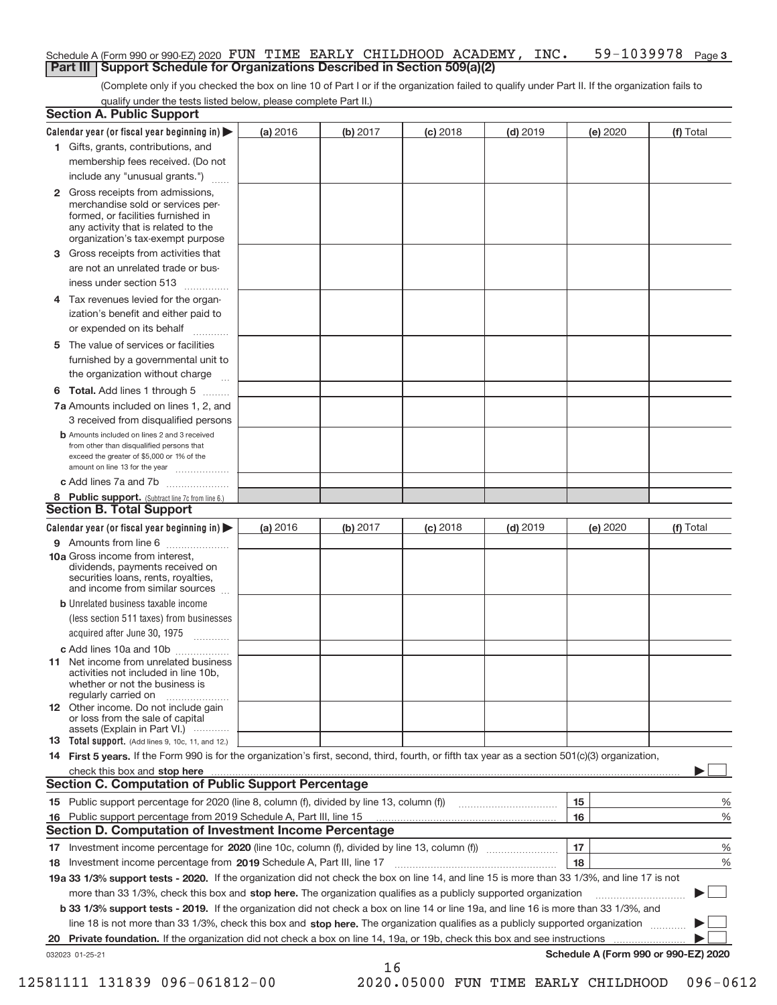### 59-1039978 Page 3 Schedule A (Form 990 or 990-EZ) 2020 FUN TIME EARLY CHILDHOOD ACADEMY, INC.  $59-1039978$  Page **Part III | Support Schedule for Organizations Described in Section 509(a)(2)**

(Complete only if you checked the box on line 10 of Part I or if the organization failed to qualify under Part II. If the organization fails to qualify under the tests listed below, please complete Part II.)

| <b>Section A. Public Support</b>                                                                                                                                                                                               |          |          |            |            |          |                                      |
|--------------------------------------------------------------------------------------------------------------------------------------------------------------------------------------------------------------------------------|----------|----------|------------|------------|----------|--------------------------------------|
| Calendar year (or fiscal year beginning in) $\blacktriangleright$                                                                                                                                                              | (a) 2016 | (b) 2017 | $(c)$ 2018 | $(d)$ 2019 | (e) 2020 | (f) Total                            |
| 1 Gifts, grants, contributions, and                                                                                                                                                                                            |          |          |            |            |          |                                      |
| membership fees received. (Do not                                                                                                                                                                                              |          |          |            |            |          |                                      |
| include any "unusual grants.")                                                                                                                                                                                                 |          |          |            |            |          |                                      |
| <b>2</b> Gross receipts from admissions,<br>merchandise sold or services per-<br>formed, or facilities furnished in<br>any activity that is related to the<br>organization's tax-exempt purpose                                |          |          |            |            |          |                                      |
| Gross receipts from activities that<br>3                                                                                                                                                                                       |          |          |            |            |          |                                      |
| are not an unrelated trade or bus-                                                                                                                                                                                             |          |          |            |            |          |                                      |
| iness under section 513                                                                                                                                                                                                        |          |          |            |            |          |                                      |
| 4 Tax revenues levied for the organ-<br>ization's benefit and either paid to                                                                                                                                                   |          |          |            |            |          |                                      |
| or expended on its behalf                                                                                                                                                                                                      |          |          |            |            |          |                                      |
| 5 The value of services or facilities                                                                                                                                                                                          |          |          |            |            |          |                                      |
| furnished by a governmental unit to                                                                                                                                                                                            |          |          |            |            |          |                                      |
| the organization without charge                                                                                                                                                                                                |          |          |            |            |          |                                      |
| <b>6 Total.</b> Add lines 1 through 5                                                                                                                                                                                          |          |          |            |            |          |                                      |
| 7a Amounts included on lines 1, 2, and                                                                                                                                                                                         |          |          |            |            |          |                                      |
| 3 received from disqualified persons                                                                                                                                                                                           |          |          |            |            |          |                                      |
| <b>b</b> Amounts included on lines 2 and 3 received<br>from other than disqualified persons that<br>exceed the greater of \$5,000 or 1% of the<br>amount on line 13 for the year                                               |          |          |            |            |          |                                      |
| c Add lines 7a and 7b                                                                                                                                                                                                          |          |          |            |            |          |                                      |
| 8 Public support. (Subtract line 7c from line 6.)                                                                                                                                                                              |          |          |            |            |          |                                      |
| <b>Section B. Total Support</b>                                                                                                                                                                                                |          |          |            |            |          |                                      |
| Calendar year (or fiscal year beginning in) $\blacktriangleright$                                                                                                                                                              | (a) 2016 | (b) 2017 | $(c)$ 2018 | $(d)$ 2019 | (e) 2020 | (f) Total                            |
| 9 Amounts from line 6                                                                                                                                                                                                          |          |          |            |            |          |                                      |
| 10a Gross income from interest,<br>dividends, payments received on<br>securities loans, rents, royalties,<br>and income from similar sources                                                                                   |          |          |            |            |          |                                      |
| <b>b</b> Unrelated business taxable income<br>(less section 511 taxes) from businesses                                                                                                                                         |          |          |            |            |          |                                      |
| acquired after June 30, 1975<br>$\ldots \ldots \ldots$                                                                                                                                                                         |          |          |            |            |          |                                      |
| c Add lines 10a and 10b                                                                                                                                                                                                        |          |          |            |            |          |                                      |
| <b>11</b> Net income from unrelated business<br>activities not included in line 10b,<br>whether or not the business is<br>regularly carried on                                                                                 |          |          |            |            |          |                                      |
| 12 Other income. Do not include gain<br>or loss from the sale of capital<br>assets (Explain in Part VI.)                                                                                                                       |          |          |            |            |          |                                      |
| <b>13</b> Total support. (Add lines 9, 10c, 11, and 12.)                                                                                                                                                                       |          |          |            |            |          |                                      |
| 14 First 5 years. If the Form 990 is for the organization's first, second, third, fourth, or fifth tax year as a section 501(c)(3) organization,                                                                               |          |          |            |            |          |                                      |
| check this box and stop here measurements are all the state of the state of the state of the state of the state of the state of the state of the state of the state of the state of the state of the state of the state of the |          |          |            |            |          |                                      |
| <b>Section C. Computation of Public Support Percentage</b>                                                                                                                                                                     |          |          |            |            |          |                                      |
|                                                                                                                                                                                                                                |          |          |            |            | 15       | %                                    |
| 16 Public support percentage from 2019 Schedule A, Part III, line 15                                                                                                                                                           |          |          |            |            | 16       | %                                    |
| <b>Section D. Computation of Investment Income Percentage</b>                                                                                                                                                                  |          |          |            |            |          |                                      |
|                                                                                                                                                                                                                                |          |          |            |            | 17       | %                                    |
| 18 Investment income percentage from 2019 Schedule A, Part III, line 17                                                                                                                                                        |          |          |            |            | 18       | %                                    |
| 19a 33 1/3% support tests - 2020. If the organization did not check the box on line 14, and line 15 is more than 33 1/3%, and line 17 is not                                                                                   |          |          |            |            |          |                                      |
| more than 33 1/3%, check this box and stop here. The organization qualifies as a publicly supported organization                                                                                                               |          |          |            |            |          |                                      |
| b 33 1/3% support tests - 2019. If the organization did not check a box on line 14 or line 19a, and line 16 is more than 33 1/3%, and                                                                                          |          |          |            |            |          |                                      |
| line 18 is not more than 33 1/3%, check this box and stop here. The organization qualifies as a publicly supported organization                                                                                                |          |          |            |            |          |                                      |
| Private foundation. If the organization did not check a box on line 14, 19a, or 19b, check this box and see instructions<br>20                                                                                                 |          |          |            |            |          | .                                    |
| 032023 01-25-21                                                                                                                                                                                                                |          | 16       |            |            |          | Schedule A (Form 990 or 990-EZ) 2020 |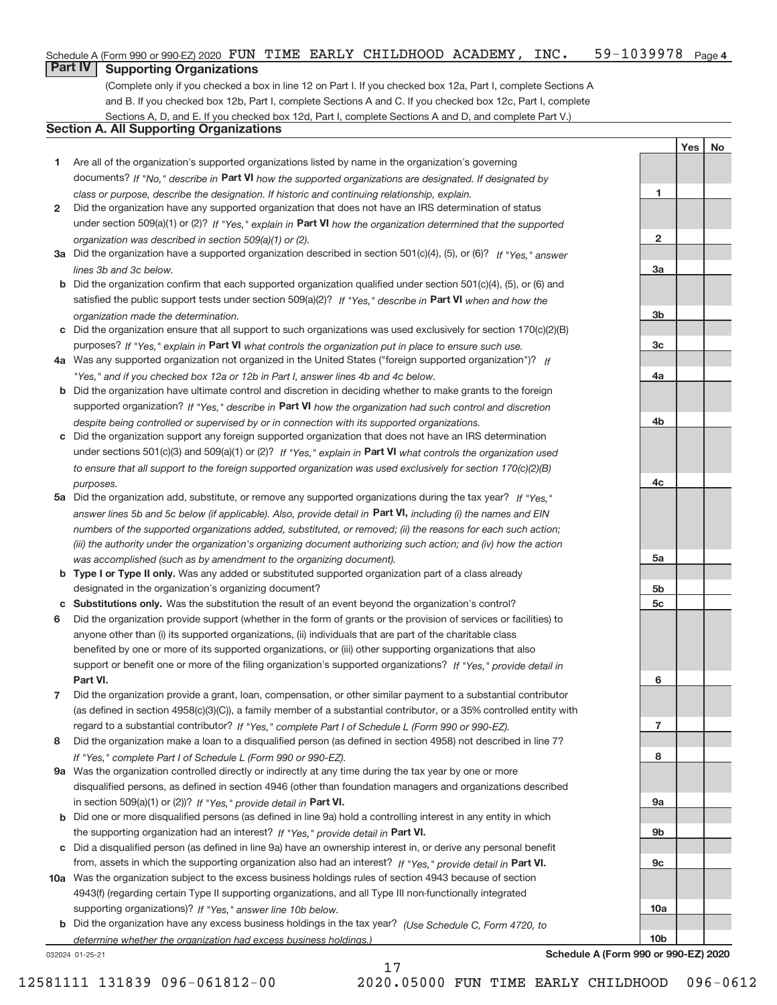| Schedule A (Form 990 or 990-EZ) 2020 FUN TIME EARLY CHILDHOOD ACADEMY, INC. |  |  |  | 59-1039978 <sub>Page 4</sub> |  |
|-----------------------------------------------------------------------------|--|--|--|------------------------------|--|
| _______                                                                     |  |  |  |                              |  |

## **Part IV** | Supporting Organizations

(Complete only if you checked a box in line 12 on Part I. If you checked box 12a, Part I, complete Sections A and B. If you checked box 12b, Part I, complete Sections A and C. If you checked box 12c, Part I, complete Sections A, D, and E. If you checked box 12d, Part I, complete Sections A and D, and complete Part V.)

### **Section A. All Supporting Organizations**

- **1** Are all of the organization's supported organizations listed by name in the organization's governing documents? If "No," describe in Part VI how the supported organizations are designated. If designated by *class or purpose, describe the designation. If historic and continuing relationship, explain.*
- **2** Did the organization have any supported organization that does not have an IRS determination of status under section 509(a)(1) or (2)? If "Yes," explain in Part VI how the organization determined that the supported *organization was described in section 509(a)(1) or (2).*
- **3a** Did the organization have a supported organization described in section 501(c)(4), (5), or (6)? If "Yes," answer *lines 3b and 3c below.*
- **b** Did the organization confirm that each supported organization qualified under section 501(c)(4), (5), or (6) and satisfied the public support tests under section 509(a)(2)? If "Yes," describe in Part VI when and how the *organization made the determination.*
- **c** Did the organization ensure that all support to such organizations was used exclusively for section 170(c)(2)(B) purposes? If "Yes," explain in Part VI what controls the organization put in place to ensure such use.
- **4 a** *If* Was any supported organization not organized in the United States ("foreign supported organization")? *"Yes," and if you checked box 12a or 12b in Part I, answer lines 4b and 4c below.*
- **b** Did the organization have ultimate control and discretion in deciding whether to make grants to the foreign supported organization? If "Yes," describe in Part VI how the organization had such control and discretion *despite being controlled or supervised by or in connection with its supported organizations.*
- **c** Did the organization support any foreign supported organization that does not have an IRS determination under sections 501(c)(3) and 509(a)(1) or (2)? If "Yes," explain in Part VI what controls the organization used *to ensure that all support to the foreign supported organization was used exclusively for section 170(c)(2)(B) purposes.*
- **5a** Did the organization add, substitute, or remove any supported organizations during the tax year? If "Yes," answer lines 5b and 5c below (if applicable). Also, provide detail in Part VI, including (i) the names and EIN *numbers of the supported organizations added, substituted, or removed; (ii) the reasons for each such action; (iii) the authority under the organization's organizing document authorizing such action; and (iv) how the action was accomplished (such as by amendment to the organizing document).*
- **b** Type I or Type II only. Was any added or substituted supported organization part of a class already designated in the organization's organizing document?
- **c Substitutions only.**  Was the substitution the result of an event beyond the organization's control?
- **6** Did the organization provide support (whether in the form of grants or the provision of services or facilities) to **Part VI.** *If "Yes," provide detail in* support or benefit one or more of the filing organization's supported organizations? anyone other than (i) its supported organizations, (ii) individuals that are part of the charitable class benefited by one or more of its supported organizations, or (iii) other supporting organizations that also
- **7** Did the organization provide a grant, loan, compensation, or other similar payment to a substantial contributor regard to a substantial contributor? If "Yes," complete Part I of Schedule L (Form 990 or 990-EZ). (as defined in section 4958(c)(3)(C)), a family member of a substantial contributor, or a 35% controlled entity with
- **8** Did the organization make a loan to a disqualified person (as defined in section 4958) not described in line 7? *If "Yes," complete Part I of Schedule L (Form 990 or 990-EZ).*
- **9 a** Was the organization controlled directly or indirectly at any time during the tax year by one or more in section 509(a)(1) or (2))? If "Yes," provide detail in Part VI. disqualified persons, as defined in section 4946 (other than foundation managers and organizations described
- **b** the supporting organization had an interest? If "Yes," provide detail in Part VI. Did one or more disqualified persons (as defined in line 9a) hold a controlling interest in any entity in which
- **c** Did a disqualified person (as defined in line 9a) have an ownership interest in, or derive any personal benefit from, assets in which the supporting organization also had an interest? If "Yes," provide detail in Part VI.
- **10 a** Was the organization subject to the excess business holdings rules of section 4943 because of section supporting organizations)? If "Yes," answer line 10b below. 4943(f) (regarding certain Type II supporting organizations, and all Type III non-functionally integrated
- **b** Did the organization have any excess business holdings in the tax year? (Use Schedule C, Form 4720, to *determine whether the organization had excess business holdings.)*

17

032024 01‐25‐21

**Schedule A (Form 990 or 990‐EZ) 2020**

Yes | No

**1**

**2**

**3a**

**3b**

**3c**

**4a**

**4b**

**4c**

**5a**

**5b 5c**

**6**

**7**

**8**

**9a**

**9b**

**9c**

**10a**

**10b**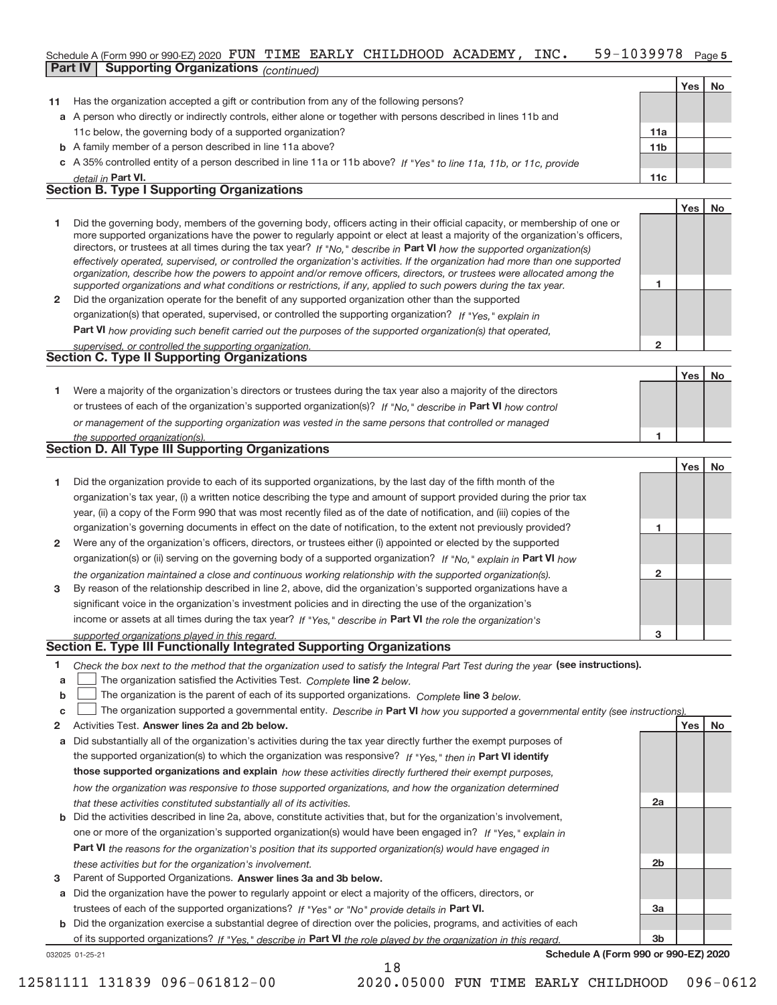### 59-1039978 Page 5 Schedule A (Form 990 or 990-EZ) 2020 FUN TIME EARLY CHILDHOOD ACADEMY, INC.  $59-1039978$  Page **Part IV | Supporting Organizations** *(continued)*

|    |                                                                                                                                                                                                                                                             |                 | Yes | <b>No</b> |
|----|-------------------------------------------------------------------------------------------------------------------------------------------------------------------------------------------------------------------------------------------------------------|-----------------|-----|-----------|
| 11 | Has the organization accepted a gift or contribution from any of the following persons?                                                                                                                                                                     |                 |     |           |
|    | a A person who directly or indirectly controls, either alone or together with persons described in lines 11b and                                                                                                                                            |                 |     |           |
|    | 11c below, the governing body of a supported organization?                                                                                                                                                                                                  | 11a             |     |           |
|    | <b>b</b> A family member of a person described in line 11a above?                                                                                                                                                                                           | 11 <sub>b</sub> |     |           |
|    | c A 35% controlled entity of a person described in line 11a or 11b above? If "Yes" to line 11a, 11b, or 11c, provide                                                                                                                                        |                 |     |           |
|    | detail in Part VI.                                                                                                                                                                                                                                          | 11c             |     |           |
|    | <b>Section B. Type I Supporting Organizations</b>                                                                                                                                                                                                           |                 |     |           |
|    |                                                                                                                                                                                                                                                             |                 | Yes | <b>No</b> |
|    | Did the governing body, members of the governing body, officers acting in their official capacity, or membership of one or<br>more supported organizations have the power to regularly appoint or elect at least a majority of the organization's officers, |                 |     |           |

|              | directors, or trustees at all times during the tax year? If "No," describe in Part VI how the supported organization(s)        |
|--------------|--------------------------------------------------------------------------------------------------------------------------------|
|              | effectively operated, supervised, or controlled the organization's activities. If the organization had more than one supported |
|              | organization, describe how the powers to appoint and/or remove officers, directors, or trustees were allocated among the       |
|              | supported organizations and what conditions or restrictions, if any, applied to such powers during the tax year.               |
| $\mathbf{2}$ | Did the organization operate for the benefit of any supported organization other than the supported                            |
|              | organization(s) that operated, supervised, or controlled the supporting organization? If "Yes," explain in                     |

Part VI how providing such benefit carried out the purposes of the supported organization(s) that operated,

| supervised, or controlled the supporting organization. |  |
|--------------------------------------------------------|--|
| <b>Section C. Type II Supporting Organizations</b>     |  |

Yes | No **1** or trustees of each of the organization's supported organization(s)? If "No," describe in Part VI how control **1** *or management of the supporting organization was vested in the same persons that controlled or managed the supported organization(s).* Were a majority of the organization's directors or trustees during the tax year also a majority of the directors

|  | <b>Section D. All Type III Supporting Organizations</b>                                     |
|--|---------------------------------------------------------------------------------------------|
|  |                                                                                             |
|  | Did the organization provide to each of its supported organizations, by the last day of the |

|              | Did the organization provide to each of its supported organizations, by the last day of the fifth month of the         |   |  |
|--------------|------------------------------------------------------------------------------------------------------------------------|---|--|
|              | organization's tax year, (i) a written notice describing the type and amount of support provided during the prior tax  |   |  |
|              | year, (ii) a copy of the Form 990 that was most recently filed as of the date of notification, and (iii) copies of the |   |  |
|              | organization's governing documents in effect on the date of notification, to the extent not previously provided?       |   |  |
| $\mathbf{2}$ | Were any of the organization's officers, directors, or trustees either (i) appointed or elected by the supported       |   |  |
|              | organization(s) or (ii) serving on the governing body of a supported organization? If "No," explain in Part VI how     |   |  |
|              | the organization maintained a close and continuous working relationship with the supported organization(s).            | 2 |  |
| 3            | By reason of the relationship described in line 2, above, did the organization's supported organizations have a        |   |  |
|              | significant voice in the organization's investment policies and in directing the use of the organization's             |   |  |
|              | income or assets at all times during the tax year? If "Yes," describe in Part VI the role the organization's           |   |  |
|              | supported organizations played in this regard.                                                                         | з |  |

### **Section E. Type III Functionally Integrated Supporting Organizations**

- **1** Check the box next to the method that the organization used to satisfy the Integral Part Test during the year (see instructions).
- **a The organization satisfied the Activities Test.** Complete line 2 below.
- **b** The organization is the parent of each of its supported organizations. Complete line 3 below.  $\overline{\phantom{a}}$

|  | c $\Box$ The organization supported a governmental entity. Describe in Part VI how you supported a governmental entity (see instructions). |  |
|--|--------------------------------------------------------------------------------------------------------------------------------------------|--|
|  |                                                                                                                                            |  |

18

- **2 Answer lines 2a and 2b below. Yes No** Activities Test.
- **a** Did substantially all of the organization's activities during the tax year directly further the exempt purposes of the supported organization(s) to which the organization was responsive? If "Yes," then in Part VI identify **those supported organizations and explain**  *how these activities directly furthered their exempt purposes, how the organization was responsive to those supported organizations, and how the organization determined that these activities constituted substantially all of its activities.*
- **b** Did the activities described in line 2a, above, constitute activities that, but for the organization's involvement, **Part VI**  *the reasons for the organization's position that its supported organization(s) would have engaged in* one or more of the organization's supported organization(s) would have been engaged in? If "Yes," explain in *these activities but for the organization's involvement.*
- 3 Parent of Supported Organizations. Answer lines 3a and 3b below.

**a** Did the organization have the power to regularly appoint or elect a majority of the officers, directors, or trustees of each of the supported organizations? If "Yes" or "No" provide details in Part VI.

**b** Did the organization exercise a substantial degree of direction over the policies, programs, and activities of each of its supported organizations? If "Yes," describe in Part VI the role played by the organization in this regard.

032025 01‐25‐21

**Schedule A (Form 990 or 990‐EZ) 2020**

**2a**

**2b**

**3a**

**3b**

**1**

**2**

Yes | No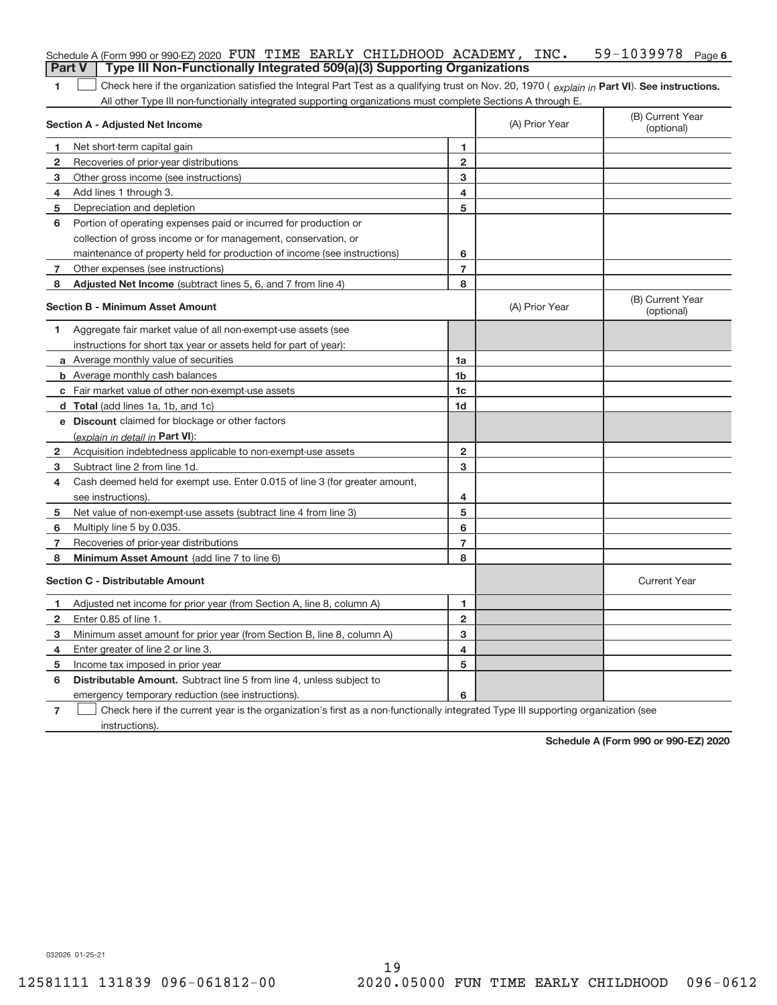|                | Schedule A (Form 990 or 990-EZ) 2020 FUN TIME EARLY CHILDHOOD ACADEMY, INC.                                                                    |                |                | 59-1039978 Page 6              |  |  |
|----------------|------------------------------------------------------------------------------------------------------------------------------------------------|----------------|----------------|--------------------------------|--|--|
|                | Type III Non-Functionally Integrated 509(a)(3) Supporting Organizations<br><b>Part V</b>                                                       |                |                |                                |  |  |
| 1              | Check here if the organization satisfied the Integral Part Test as a qualifying trust on Nov. 20, 1970 (explain in Part VI). See instructions. |                |                |                                |  |  |
|                | All other Type III non-functionally integrated supporting organizations must complete Sections A through E.                                    |                |                |                                |  |  |
|                | Section A - Adjusted Net Income                                                                                                                |                | (A) Prior Year | (B) Current Year<br>(optional) |  |  |
| $\mathbf{1}$   | Net short-term capital gain                                                                                                                    | 1              |                |                                |  |  |
| 2              | Recoveries of prior-year distributions                                                                                                         | $\mathbf{2}$   |                |                                |  |  |
| 3              | Other gross income (see instructions)                                                                                                          | 3              |                |                                |  |  |
| 4              | Add lines 1 through 3.                                                                                                                         | 4              |                |                                |  |  |
| 5              | Depreciation and depletion                                                                                                                     | 5              |                |                                |  |  |
| 6              | Portion of operating expenses paid or incurred for production or                                                                               |                |                |                                |  |  |
|                | collection of gross income or for management, conservation, or                                                                                 |                |                |                                |  |  |
|                | maintenance of property held for production of income (see instructions)                                                                       | 6              |                |                                |  |  |
| $\mathbf{7}$   | Other expenses (see instructions)                                                                                                              | $\overline{7}$ |                |                                |  |  |
| 8              | Adjusted Net Income (subtract lines 5, 6, and 7 from line 4)                                                                                   | 8              |                |                                |  |  |
|                | <b>Section B - Minimum Asset Amount</b>                                                                                                        |                | (A) Prior Year | (B) Current Year<br>(optional) |  |  |
| 1              | Aggregate fair market value of all non-exempt-use assets (see                                                                                  |                |                |                                |  |  |
|                | instructions for short tax year or assets held for part of year):                                                                              |                |                |                                |  |  |
|                | a Average monthly value of securities                                                                                                          | 1a             |                |                                |  |  |
|                | <b>b</b> Average monthly cash balances                                                                                                         | 1b             |                |                                |  |  |
|                | c Fair market value of other non-exempt-use assets                                                                                             | 1c             |                |                                |  |  |
|                | d Total (add lines 1a, 1b, and 1c)                                                                                                             | 1d             |                |                                |  |  |
|                | e Discount claimed for blockage or other factors                                                                                               |                |                |                                |  |  |
|                | (explain in detail in Part VI):                                                                                                                |                |                |                                |  |  |
|                | 2 Acquisition indebtedness applicable to non-exempt-use assets                                                                                 | $\mathbf 2$    |                |                                |  |  |
| 3              | Subtract line 2 from line 1d.                                                                                                                  | 3              |                |                                |  |  |
| 4              | Cash deemed held for exempt use. Enter 0.015 of line 3 (for greater amount,                                                                    |                |                |                                |  |  |
|                | see instructions).                                                                                                                             | 4              |                |                                |  |  |
| 5              | Net value of non-exempt-use assets (subtract line 4 from line 3)                                                                               | 5              |                |                                |  |  |
| 6              | Multiply line 5 by 0.035.                                                                                                                      | 6              |                |                                |  |  |
| 7              | Recoveries of prior-year distributions                                                                                                         | $\overline{7}$ |                |                                |  |  |
| 8              | Minimum Asset Amount (add line 7 to line 6)                                                                                                    | 8              |                |                                |  |  |
|                | <b>Section C - Distributable Amount</b>                                                                                                        |                |                | <b>Current Year</b>            |  |  |
| 1.             | Adjusted net income for prior year (from Section A, line 8, column A)                                                                          | 1              |                |                                |  |  |
| 2              | Enter 0.85 of line 1.                                                                                                                          | 2              |                |                                |  |  |
| 3              | Minimum asset amount for prior year (from Section B, line 8, column A)                                                                         | 3              |                |                                |  |  |
| 4              | Enter greater of line 2 or line 3.                                                                                                             | 4              |                |                                |  |  |
| 5              | Income tax imposed in prior year                                                                                                               | 5              |                |                                |  |  |
| 6              | <b>Distributable Amount.</b> Subtract line 5 from line 4, unless subject to                                                                    |                |                |                                |  |  |
|                | emergency temporary reduction (see instructions).                                                                                              | 6              |                |                                |  |  |
| $\overline{7}$ | Check here if the current year is the organization's first as a non-functionally integrated Type III supporting organization (see              |                |                |                                |  |  |

instructions).

**Schedule A (Form 990 or 990‐EZ) 2020**

032026 01‐25‐21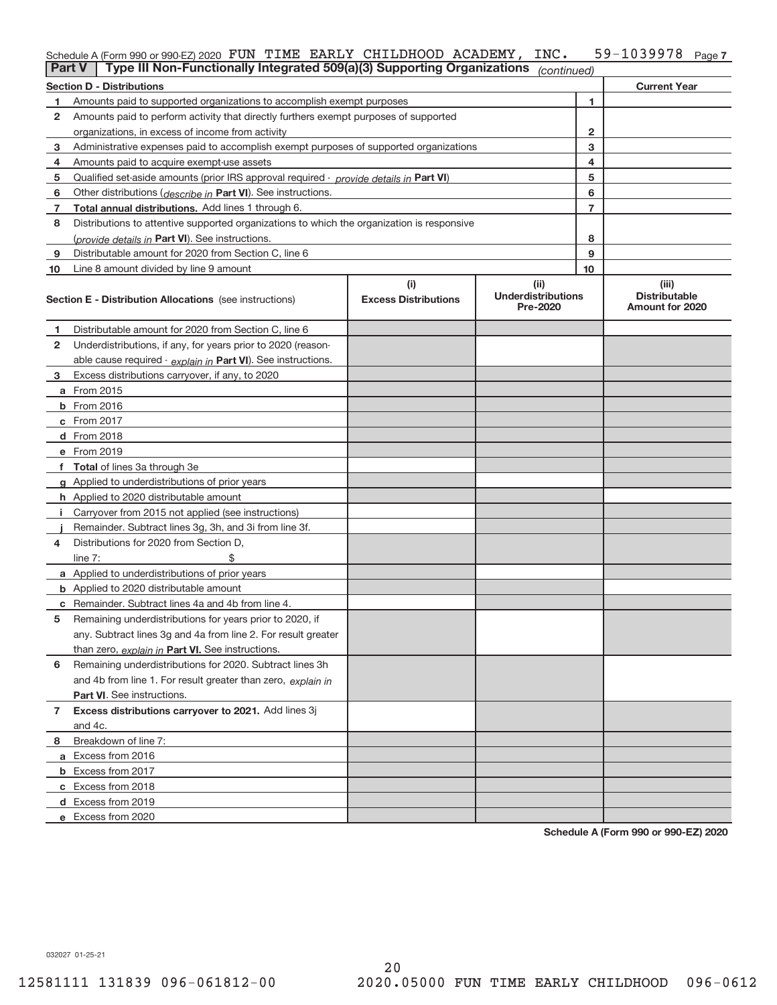| Schedule A (Form 990 or 990-EZ) 2020 FUN TIME EARLY CHILDHOOD ACADEMY, INC. |  |  |  | 59-1039978 Page 7 |  |
|-----------------------------------------------------------------------------|--|--|--|-------------------|--|
|                                                                             |  |  |  |                   |  |

| Part V       | Type III Non-Functionally Integrated 509(a)(3) Supporting Organizations                    |                             | (continued)                           |                |                                                |
|--------------|--------------------------------------------------------------------------------------------|-----------------------------|---------------------------------------|----------------|------------------------------------------------|
|              | <b>Section D - Distributions</b>                                                           |                             |                                       |                | <b>Current Year</b>                            |
| 1            | Amounts paid to supported organizations to accomplish exempt purposes                      |                             |                                       | 1              |                                                |
| 2            | Amounts paid to perform activity that directly furthers exempt purposes of supported       |                             |                                       |                |                                                |
|              | organizations, in excess of income from activity                                           |                             | $\overline{2}$                        |                |                                                |
| 3            | Administrative expenses paid to accomplish exempt purposes of supported organizations      |                             | 3                                     |                |                                                |
| 4            | Amounts paid to acquire exempt-use assets                                                  |                             |                                       | 4              |                                                |
| 5            | Qualified set-aside amounts (prior IRS approval required - provide details in Part VI)     |                             |                                       | 5              |                                                |
| 6            | Other distributions (describe in Part VI). See instructions.                               |                             |                                       | 6              |                                                |
| 7            | Total annual distributions. Add lines 1 through 6.                                         |                             |                                       | $\overline{7}$ |                                                |
| 8            | Distributions to attentive supported organizations to which the organization is responsive |                             |                                       |                |                                                |
|              | (provide details in Part VI). See instructions.                                            |                             |                                       | 8              |                                                |
| 9            | Distributable amount for 2020 from Section C, line 6                                       |                             |                                       | 9              |                                                |
| 10           | Line 8 amount divided by line 9 amount                                                     |                             |                                       | 10             |                                                |
|              |                                                                                            | (i)                         | (ii)                                  |                | (iii)                                          |
|              | <b>Section E - Distribution Allocations</b> (see instructions)                             | <b>Excess Distributions</b> | <b>Underdistributions</b><br>Pre-2020 |                | <b>Distributable</b><br><b>Amount for 2020</b> |
| 1            | Distributable amount for 2020 from Section C, line 6                                       |                             |                                       |                |                                                |
| 2            | Underdistributions, if any, for years prior to 2020 (reason-                               |                             |                                       |                |                                                |
|              | able cause required - explain in Part VI). See instructions.                               |                             |                                       |                |                                                |
| 3            | Excess distributions carryover, if any, to 2020                                            |                             |                                       |                |                                                |
|              | <b>a</b> From 2015                                                                         |                             |                                       |                |                                                |
|              | <b>b</b> From 2016                                                                         |                             |                                       |                |                                                |
|              | c From 2017                                                                                |                             |                                       |                |                                                |
|              | d From 2018                                                                                |                             |                                       |                |                                                |
|              | e From 2019                                                                                |                             |                                       |                |                                                |
|              | f Total of lines 3a through 3e                                                             |                             |                                       |                |                                                |
|              | g Applied to underdistributions of prior years                                             |                             |                                       |                |                                                |
|              | <b>h</b> Applied to 2020 distributable amount                                              |                             |                                       |                |                                                |
|              | Carryover from 2015 not applied (see instructions)                                         |                             |                                       |                |                                                |
|              | Remainder. Subtract lines 3g, 3h, and 3i from line 3f.                                     |                             |                                       |                |                                                |
| 4            | Distributions for 2020 from Section D,                                                     |                             |                                       |                |                                                |
|              | line $7:$                                                                                  |                             |                                       |                |                                                |
|              | a Applied to underdistributions of prior years                                             |                             |                                       |                |                                                |
|              | <b>b</b> Applied to 2020 distributable amount                                              |                             |                                       |                |                                                |
|              | c Remainder. Subtract lines 4a and 4b from line 4.                                         |                             |                                       |                |                                                |
| 5            | Remaining underdistributions for years prior to 2020, if                                   |                             |                                       |                |                                                |
|              | any. Subtract lines 3g and 4a from line 2. For result greater                              |                             |                                       |                |                                                |
|              | than zero, explain in Part VI. See instructions.                                           |                             |                                       |                |                                                |
| 6            | Remaining underdistributions for 2020. Subtract lines 3h                                   |                             |                                       |                |                                                |
|              | and 4b from line 1. For result greater than zero, explain in                               |                             |                                       |                |                                                |
|              | Part VI. See instructions.                                                                 |                             |                                       |                |                                                |
| $\mathbf{7}$ | Excess distributions carryover to 2021. Add lines 3j                                       |                             |                                       |                |                                                |
|              | and 4c.                                                                                    |                             |                                       |                |                                                |
| 8            | Breakdown of line 7:                                                                       |                             |                                       |                |                                                |
|              | a Excess from 2016                                                                         |                             |                                       |                |                                                |
|              | <b>b</b> Excess from 2017                                                                  |                             |                                       |                |                                                |
|              | c Excess from 2018                                                                         |                             |                                       |                |                                                |
|              | d Excess from 2019                                                                         |                             |                                       |                |                                                |
|              | e Excess from 2020                                                                         |                             |                                       |                |                                                |

**Schedule A (Form 990 or 990‐EZ) 2020**

032027 01‐25‐21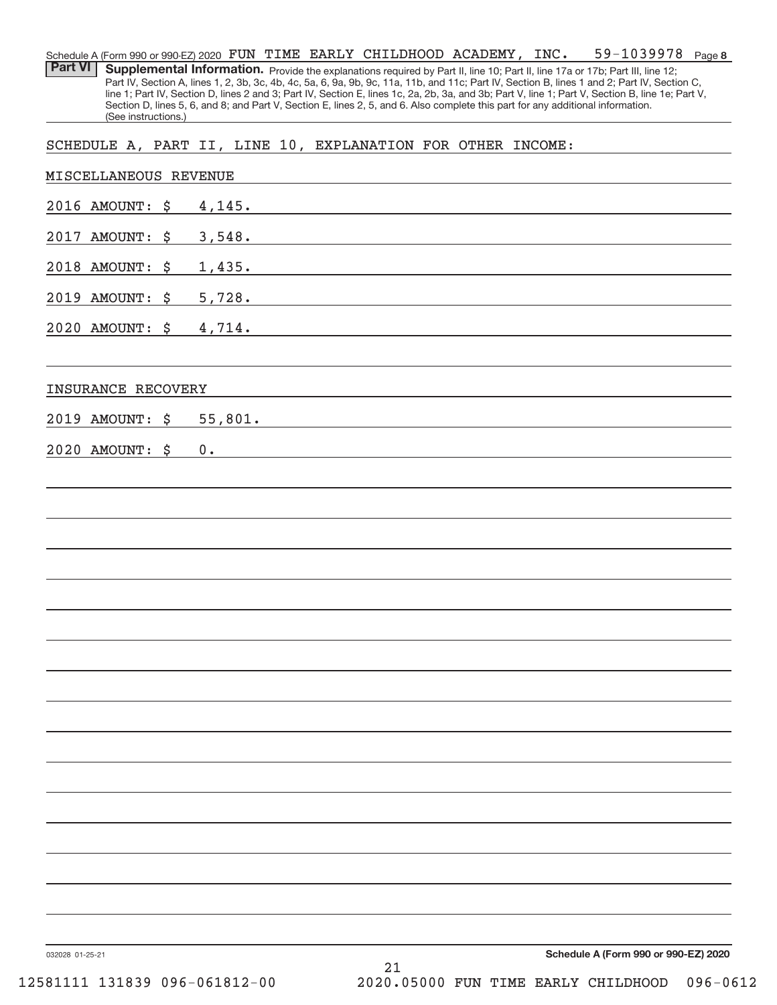**8** 59‐1039978 Schedule A (Form 990 or 990-EZ) 2020 FUN TIME EARLY CHILDHOOD ACADEMY, INC.  $59-1039978$  Page Part VI | Supplemental Information. Provide the explanations required by Part II, line 10; Part II, line 17a or 17b; Part III, line 12; Part IV, Section A, lines 1, 2, 3b, 3c, 4b, 4c, 5a, 6, 9a, 9b, 9c, 11a, 11b, and 11c; Part IV, Section B, lines 1 and 2; Part IV, Section C, line 1; Part IV, Section D, lines 2 and 3; Part IV, Section E, lines 1c, 2a, 2b, 3a, and 3b; Part V, line 1; Part V, Section B, line 1e; Part V, Section D, lines 5, 6, and 8; and Part V, Section E, lines 2, 5, and 6. Also complete this part for any additional information. (See instructions.)

SCHEDULE A, PART II, LINE 10, EXPLANATION FOR OTHER INCOME:

|                 | MISCELLANEOUS REVENUE  |                                |                                                                                 |  |                                      |              |
|-----------------|------------------------|--------------------------------|---------------------------------------------------------------------------------|--|--------------------------------------|--------------|
|                 |                        | 2016 AMOUNT: \$ 4,145.         |                                                                                 |  |                                      |              |
|                 |                        | 2017 AMOUNT: \$ 3,548.         |                                                                                 |  |                                      |              |
|                 |                        | $2018$ AMOUNT: $\sharp$ 1,435. |                                                                                 |  |                                      |              |
|                 |                        | 2019 AMOUNT: \$ 5,728.         | <u> 1980 - Johann Barn, amerikan personal (h. 1980)</u>                         |  |                                      |              |
|                 | 2020 AMOUNT: \$ 4,714. |                                |                                                                                 |  |                                      |              |
|                 | INSURANCE RECOVERY     |                                |                                                                                 |  |                                      |              |
|                 |                        | 2019 AMOUNT: \$55,801.         |                                                                                 |  |                                      |              |
|                 | 2020 AMOUNT: \$ 0.     |                                | the contract of the contract of the contract of the contract of the contract of |  |                                      |              |
|                 |                        |                                |                                                                                 |  |                                      |              |
|                 |                        |                                |                                                                                 |  |                                      |              |
|                 |                        |                                |                                                                                 |  |                                      |              |
|                 |                        |                                |                                                                                 |  |                                      |              |
|                 |                        |                                |                                                                                 |  |                                      |              |
|                 |                        |                                |                                                                                 |  |                                      |              |
|                 |                        |                                |                                                                                 |  |                                      |              |
|                 |                        |                                |                                                                                 |  |                                      |              |
|                 |                        |                                |                                                                                 |  |                                      |              |
|                 |                        |                                |                                                                                 |  |                                      |              |
|                 |                        |                                |                                                                                 |  |                                      |              |
|                 |                        |                                |                                                                                 |  |                                      |              |
|                 |                        |                                |                                                                                 |  |                                      |              |
|                 |                        |                                |                                                                                 |  |                                      |              |
|                 |                        |                                |                                                                                 |  |                                      |              |
|                 |                        |                                |                                                                                 |  |                                      |              |
| 032028 01-25-21 |                        |                                |                                                                                 |  | Schedule A (Form 990 or 990-EZ) 2020 |              |
|                 |                        | 12581111 131839 096-061812-00  | 21                                                                              |  | 2020.05000 FUN TIME EARLY CHILDHOOD  | $096 - 0612$ |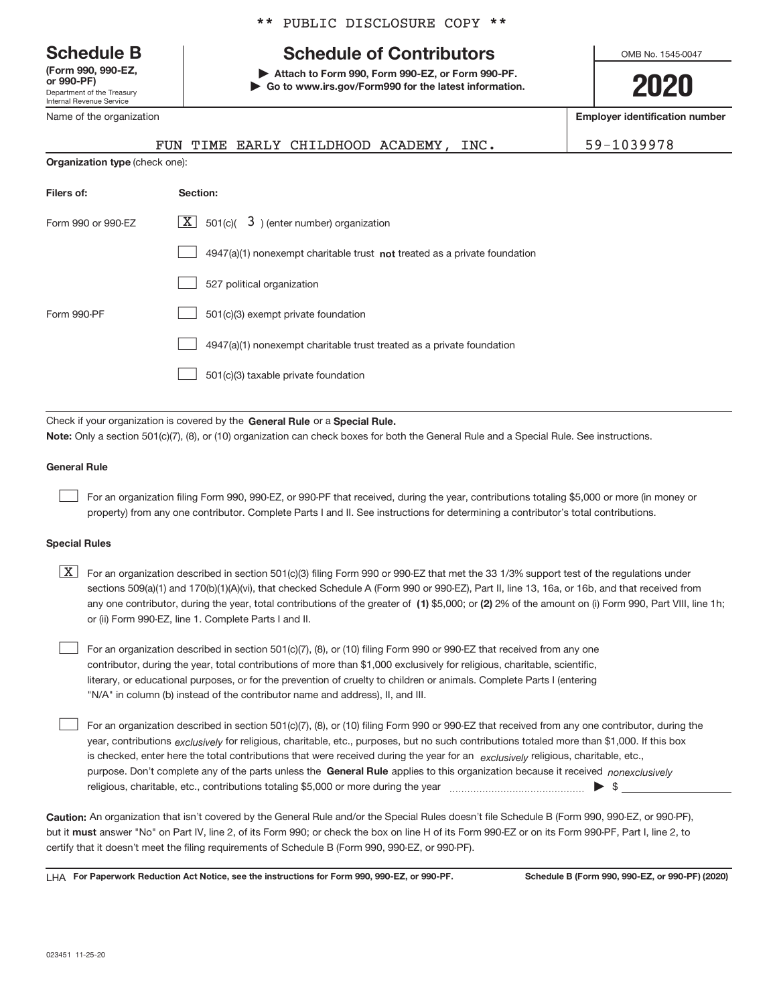Department of the Treasury Internal Revenue Service **(Form 990, 990‐EZ,**

Name of the organization

### \*\* PUBLIC DISCLOSURE COPY \*\*

# **Schedule B Schedule of Contributors**

**or 990‐PF) | Attach to Form 990, Form 990‐EZ, or Form 990‐PF. | Go to www.irs.gov/Form990 for the latest information.** OMB No. 1545-0047

**2020**

**Employer identification number**

|                                                                       | FUN TIME EARLY CHILDHOOD ACADEMY, INC.                                             | 59-1039978 |  |
|-----------------------------------------------------------------------|------------------------------------------------------------------------------------|------------|--|
| Organization type (check one):                                        |                                                                                    |            |  |
| Filers of:                                                            | Section:                                                                           |            |  |
| Form 990 or 990-EZ                                                    | $ \mathbf{X} $ 501(c)( 3) (enter number) organization                              |            |  |
|                                                                       | $4947(a)(1)$ nonexempt charitable trust <b>not</b> treated as a private foundation |            |  |
|                                                                       | 527 political organization                                                         |            |  |
| Form 990-PF<br>501(c)(3) exempt private foundation                    |                                                                                    |            |  |
| 4947(a)(1) nonexempt charitable trust treated as a private foundation |                                                                                    |            |  |

501(c)(3) taxable private foundation  $\overline{\phantom{a}}$ 

Check if your organization is covered by the General Rule or a Special Rule. **Note:**  Only a section 501(c)(7), (8), or (10) organization can check boxes for both the General Rule and a Special Rule. See instructions.

### **General Rule**

 $\begin{array}{c} \hline \end{array}$ 

For an organization filing Form 990, 990‐EZ, or 990‐PF that received, during the year, contributions totaling \$5,000 or more (in money or property) from any one contributor. Complete Parts I and II. See instructions for determining a contributor's total contributions.

### **Special Rules**

any one contributor, during the year, total contributions of the greater of  $\,$  (1) \$5,000; or (2) 2% of the amount on (i) Form 990, Part VIII, line 1h;  $\boxed{\text{X}}$  For an organization described in section 501(c)(3) filing Form 990 or 990-EZ that met the 33 1/3% support test of the regulations under sections 509(a)(1) and 170(b)(1)(A)(vi), that checked Schedule A (Form 990 or 990‐EZ), Part II, line 13, 16a, or 16b, and that received from or (ii) Form 990‐EZ, line 1. Complete Parts I and II.

For an organization described in section 501(c)(7), (8), or (10) filing Form 990 or 990‐EZ that received from any one contributor, during the year, total contributions of more than \$1,000 exclusively for religious, charitable, scientific, literary, or educational purposes, or for the prevention of cruelty to children or animals. Complete Parts I (entering "N/A" in column (b) instead of the contributor name and address), II, and III.  $\begin{array}{c} \hline \end{array}$ 

purpose. Don't complete any of the parts unless the General Rule applies to this organization because it received nonexclusively year, contributions <sub>exclusively</sub> for religious, charitable, etc., purposes, but no such contributions totaled more than \$1,000. If this box is checked, enter here the total contributions that were received during the year for an *exclusively* religious, charitable, etc., For an organization described in section 501(c)(7), (8), or (10) filing Form 990 or 990‐EZ that received from any one contributor, during the religious, charitable, etc., contributions totaling \$5,000 or more during the year  $\Box$ — $\Box$   $\Box$  $\begin{array}{c} \hline \end{array}$ 

**Caution:**  An organization that isn't covered by the General Rule and/or the Special Rules doesn't file Schedule B (Form 990, 990‐EZ, or 990‐PF),  **must** but it answer "No" on Part IV, line 2, of its Form 990; or check the box on line H of its Form 990‐EZ or on its Form 990‐PF, Part I, line 2, to certify that it doesn't meet the filing requirements of Schedule B (Form 990, 990‐EZ, or 990‐PF).

**For Paperwork Reduction Act Notice, see the instructions for Form 990, 990-EZ, or 990-PF. Schedule B (Form 990, 990-EZ, or 990-PF) (2020)** LHA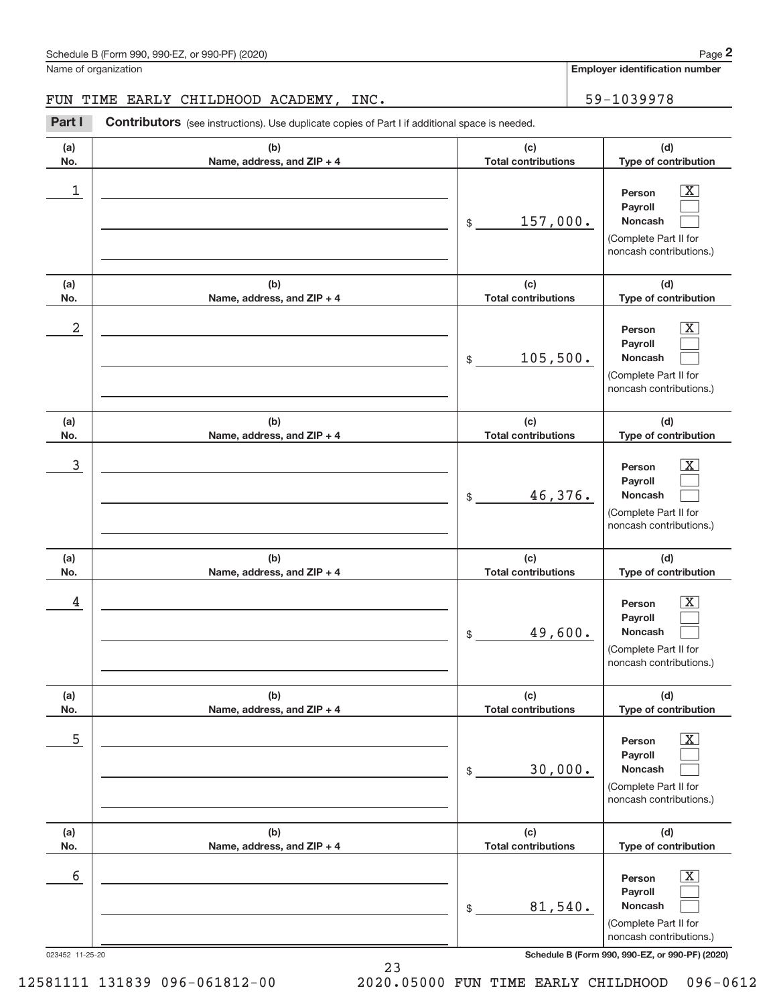**Employer identification number**

### FUN TIME EARLY CHILDHOOD ACADEMY, INC.  $\vert$  59–1039978

**(a) No. (b) Name, address, and ZIP + 4 (c) Total contributions (d) Type of contribution Person Payroll Noncash (a) No. (b) Name, address, and ZIP + 4 (c) Total contributions (d) Type of contribution Person Payroll Noncash (a) No. (b) Name, address, and ZIP + 4 (c) Total contributions (d) Type of contribution Person Payroll Noncash (a) No. (b) Name, address, and ZIP + 4 (c) Total contributions (d) Type of contribution Person Payroll Noncash (a) No. (b) Name, address, and ZIP + 4 (c) Total contributions (d) Type of contribution Person Payroll Noncash (a) No. (b) Name, address, and ZIP + 4 (c) Total contributions (d) Type of contribution Person Payroll Noncash Part I** Contributors (see instructions). Use duplicate copies of Part I if additional space is needed. \$ (Complete Part II for noncash contributions.) \$ (Complete Part II for noncash contributions.) \$ (Complete Part II for noncash contributions.) \$ (Complete Part II for noncash contributions.) \$ (Complete Part II for noncash contributions.) \$ (Complete Part II for noncash contributions.)  $|X|$  $\overline{\phantom{a}}$  $\overline{\phantom{a}}$  $\lfloor x \rfloor$  $\overline{\phantom{a}}$  $\overline{\phantom{a}}$  $|X|$  $\overline{\phantom{a}}$  $\overline{\phantom{a}}$  $|X|$  $\overline{\phantom{a}}$  $\overline{\phantom{a}}$  $\lfloor x \rfloor$  $\overline{\phantom{a}}$  $\overline{\phantom{a}}$  $\lfloor x \rfloor$  $\overline{\phantom{a}}$  $\overline{\phantom{a}}$ 1 X 157,000.  $2$  Person  $\overline{\text{X}}$ 105,500. 3 X 46,376.  $\begin{array}{|c|c|c|c|c|c|}\hline \text{4} & \text{Person} & \overline{\text{X}}\ \hline \end{array}$ 49,600.  $\overline{\phantom{a}}$  5  $\overline{\phantom{a}}$  Person  $\overline{\phantom{a}}$   $\overline{\phantom{a}}$ 30,000. 6 X 81,540.

023452 11‐25‐20 **Schedule B (Form 990, 990-EZ, or 990-PF) (2020)**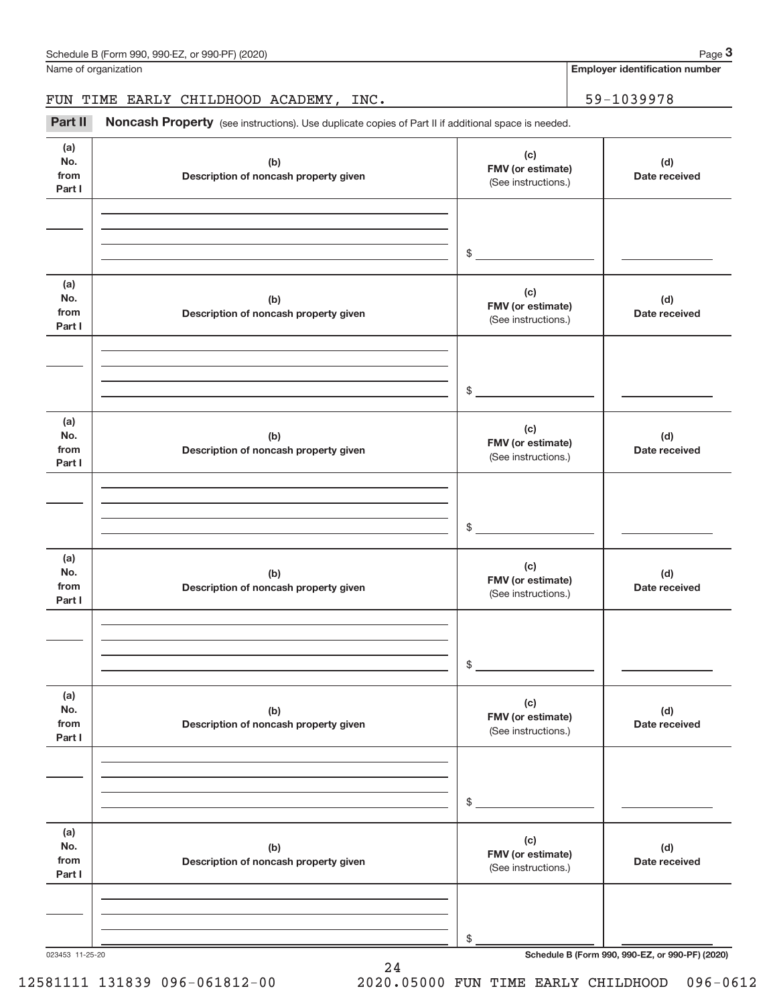Name of organization

**Employer identification number**

FUN TIME EARLY CHILDHOOD ACADEMY, INC. | 59-1039978

| Part II                      | Noncash Property (see instructions). Use duplicate copies of Part II if additional space is needed. |                                                 |                                                 |  |  |
|------------------------------|-----------------------------------------------------------------------------------------------------|-------------------------------------------------|-------------------------------------------------|--|--|
| (a)<br>No.<br>from<br>Part I | (b)<br>Description of noncash property given                                                        | (c)<br>FMV (or estimate)<br>(See instructions.) | (d)<br>Date received                            |  |  |
|                              |                                                                                                     | $\mathfrak{S}$                                  |                                                 |  |  |
| (a)<br>No.<br>from<br>Part I | (b)<br>Description of noncash property given                                                        | (c)<br>FMV (or estimate)<br>(See instructions.) | (d)<br>Date received                            |  |  |
|                              |                                                                                                     | $\mathfrak{S}$                                  |                                                 |  |  |
| (a)<br>No.<br>from<br>Part I | (b)<br>Description of noncash property given                                                        | (c)<br>FMV (or estimate)<br>(See instructions.) | (d)<br>Date received                            |  |  |
|                              |                                                                                                     | $\mathfrak{S}$                                  |                                                 |  |  |
| (a)<br>No.<br>from<br>Part I | (b)<br>Description of noncash property given                                                        | (c)<br>FMV (or estimate)<br>(See instructions.) | (d)<br>Date received                            |  |  |
|                              |                                                                                                     | \$                                              |                                                 |  |  |
| (a)<br>No.<br>from<br>Part I | (b)<br>Description of noncash property given                                                        | (c)<br>FMV (or estimate)<br>(See instructions.) | (d)<br>Date received                            |  |  |
|                              |                                                                                                     | \$                                              |                                                 |  |  |
| (a)<br>No.<br>from<br>Part I | (b)<br>Description of noncash property given                                                        | (c)<br>FMV (or estimate)<br>(See instructions.) | (d)<br>Date received                            |  |  |
|                              |                                                                                                     | \$                                              |                                                 |  |  |
| 023453 11-25-20              |                                                                                                     |                                                 | Schedule B (Form 990, 990-EZ, or 990-PF) (2020) |  |  |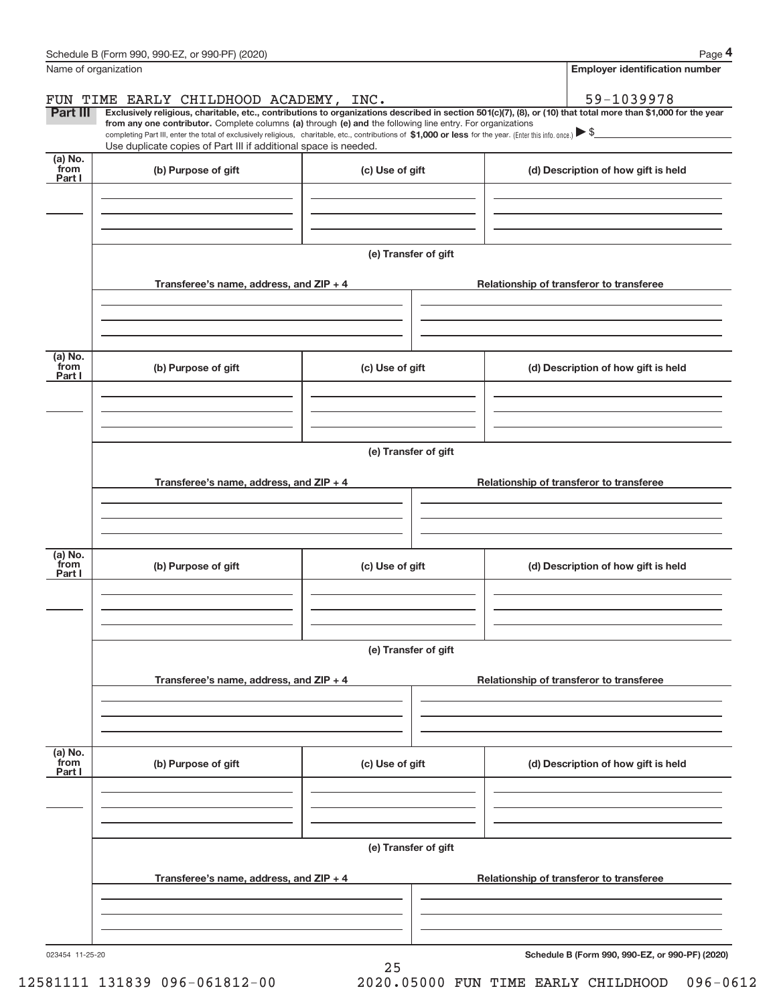|                           | Schedule B (Form 990, 990-EZ, or 990-PF) (2020)                                                                                                                                                                                                      |                      | Page 4                                                                                                                                                         |  |  |  |  |  |
|---------------------------|------------------------------------------------------------------------------------------------------------------------------------------------------------------------------------------------------------------------------------------------------|----------------------|----------------------------------------------------------------------------------------------------------------------------------------------------------------|--|--|--|--|--|
|                           | Name of organization                                                                                                                                                                                                                                 |                      | <b>Employer identification number</b>                                                                                                                          |  |  |  |  |  |
|                           | FUN TIME EARLY CHILDHOOD ACADEMY, INC.                                                                                                                                                                                                               |                      | 59-1039978                                                                                                                                                     |  |  |  |  |  |
| Part III                  | from any one contributor. Complete columns (a) through (e) and the following line entry. For organizations                                                                                                                                           |                      | Exclusively religious, charitable, etc., contributions to organizations described in section 501(c)(7), (8), or (10) that total more than \$1,000 for the year |  |  |  |  |  |
|                           | completing Part III, enter the total of exclusively religious, charitable, etc., contributions of \$1,000 or less for the year. (Enter this info. once.) $\blacktriangleright$ \$<br>Use duplicate copies of Part III if additional space is needed. |                      |                                                                                                                                                                |  |  |  |  |  |
| (a) No.<br>from           |                                                                                                                                                                                                                                                      |                      |                                                                                                                                                                |  |  |  |  |  |
| Part I                    | (b) Purpose of gift                                                                                                                                                                                                                                  | (c) Use of gift      | (d) Description of how gift is held                                                                                                                            |  |  |  |  |  |
|                           |                                                                                                                                                                                                                                                      |                      |                                                                                                                                                                |  |  |  |  |  |
|                           |                                                                                                                                                                                                                                                      |                      |                                                                                                                                                                |  |  |  |  |  |
|                           |                                                                                                                                                                                                                                                      |                      |                                                                                                                                                                |  |  |  |  |  |
|                           |                                                                                                                                                                                                                                                      | (e) Transfer of gift |                                                                                                                                                                |  |  |  |  |  |
|                           | Transferee's name, address, and ZIP + 4                                                                                                                                                                                                              |                      | Relationship of transferor to transferee                                                                                                                       |  |  |  |  |  |
|                           |                                                                                                                                                                                                                                                      |                      |                                                                                                                                                                |  |  |  |  |  |
|                           |                                                                                                                                                                                                                                                      |                      |                                                                                                                                                                |  |  |  |  |  |
|                           |                                                                                                                                                                                                                                                      |                      |                                                                                                                                                                |  |  |  |  |  |
| (a) No.<br>from<br>Part I | (b) Purpose of gift                                                                                                                                                                                                                                  | (c) Use of gift      | (d) Description of how gift is held                                                                                                                            |  |  |  |  |  |
|                           |                                                                                                                                                                                                                                                      |                      |                                                                                                                                                                |  |  |  |  |  |
|                           |                                                                                                                                                                                                                                                      |                      |                                                                                                                                                                |  |  |  |  |  |
|                           |                                                                                                                                                                                                                                                      |                      |                                                                                                                                                                |  |  |  |  |  |
|                           | (e) Transfer of gift                                                                                                                                                                                                                                 |                      |                                                                                                                                                                |  |  |  |  |  |
|                           | Transferee's name, address, and ZIP + 4                                                                                                                                                                                                              |                      | Relationship of transferor to transferee                                                                                                                       |  |  |  |  |  |
|                           |                                                                                                                                                                                                                                                      |                      |                                                                                                                                                                |  |  |  |  |  |
|                           |                                                                                                                                                                                                                                                      |                      |                                                                                                                                                                |  |  |  |  |  |
|                           |                                                                                                                                                                                                                                                      |                      |                                                                                                                                                                |  |  |  |  |  |
| (a) No.<br>from           | (b) Purpose of gift                                                                                                                                                                                                                                  | (c) Use of gift      | (d) Description of how gift is held                                                                                                                            |  |  |  |  |  |
| Part I                    |                                                                                                                                                                                                                                                      |                      |                                                                                                                                                                |  |  |  |  |  |
|                           |                                                                                                                                                                                                                                                      |                      |                                                                                                                                                                |  |  |  |  |  |
|                           |                                                                                                                                                                                                                                                      |                      |                                                                                                                                                                |  |  |  |  |  |
|                           |                                                                                                                                                                                                                                                      | (e) Transfer of gift |                                                                                                                                                                |  |  |  |  |  |
|                           |                                                                                                                                                                                                                                                      |                      |                                                                                                                                                                |  |  |  |  |  |
|                           | Transferee's name, address, and ZIP + 4                                                                                                                                                                                                              |                      | Relationship of transferor to transferee                                                                                                                       |  |  |  |  |  |
|                           |                                                                                                                                                                                                                                                      |                      |                                                                                                                                                                |  |  |  |  |  |
|                           |                                                                                                                                                                                                                                                      |                      |                                                                                                                                                                |  |  |  |  |  |
| (a) No.<br>from           |                                                                                                                                                                                                                                                      |                      |                                                                                                                                                                |  |  |  |  |  |
| Part I                    | (b) Purpose of gift                                                                                                                                                                                                                                  | (c) Use of gift      | (d) Description of how gift is held                                                                                                                            |  |  |  |  |  |
|                           |                                                                                                                                                                                                                                                      |                      |                                                                                                                                                                |  |  |  |  |  |
|                           |                                                                                                                                                                                                                                                      |                      |                                                                                                                                                                |  |  |  |  |  |
|                           |                                                                                                                                                                                                                                                      |                      |                                                                                                                                                                |  |  |  |  |  |
|                           |                                                                                                                                                                                                                                                      | (e) Transfer of gift |                                                                                                                                                                |  |  |  |  |  |
|                           | Transferee's name, address, and ZIP + 4                                                                                                                                                                                                              |                      | Relationship of transferor to transferee                                                                                                                       |  |  |  |  |  |
|                           |                                                                                                                                                                                                                                                      |                      |                                                                                                                                                                |  |  |  |  |  |
|                           |                                                                                                                                                                                                                                                      |                      |                                                                                                                                                                |  |  |  |  |  |
|                           |                                                                                                                                                                                                                                                      |                      |                                                                                                                                                                |  |  |  |  |  |
| 023454 11-25-20           |                                                                                                                                                                                                                                                      | 25                   | Schedule B (Form 990, 990-EZ, or 990-PF) (2020)                                                                                                                |  |  |  |  |  |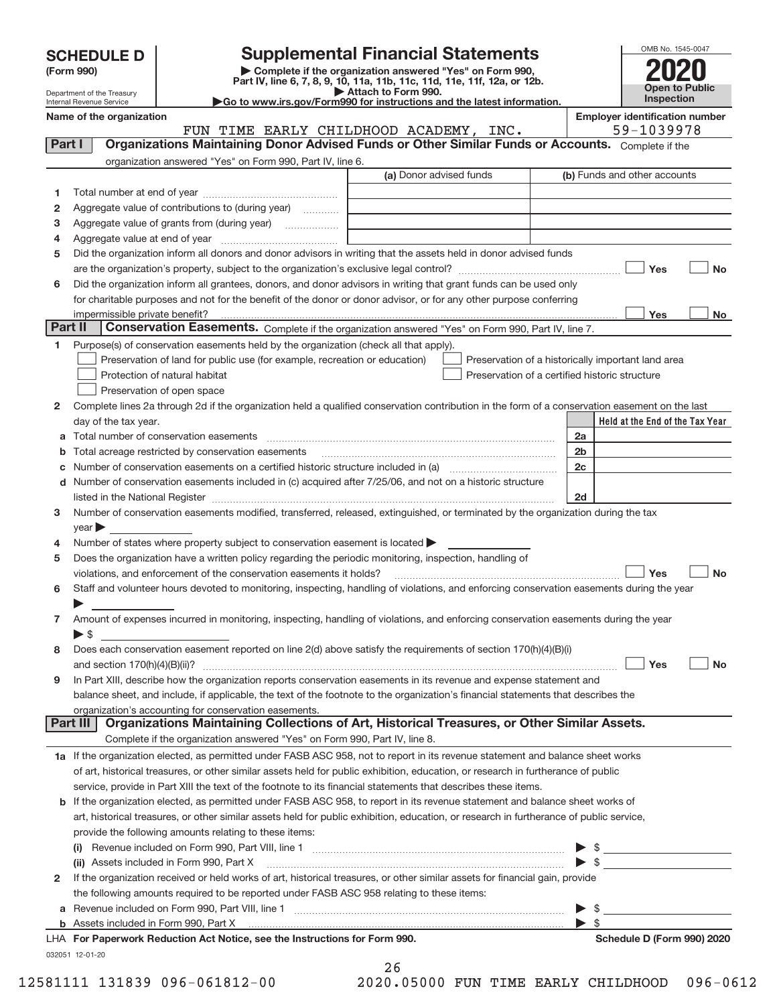| <b>SCHEDULE D</b> |  |
|-------------------|--|
|-------------------|--|

Department of the Treasury Internal Revenue Service

| (Form 990) |  |
|------------|--|
|------------|--|

**(Form 990) | Complete if the organization answered "Yes" on Form 990, Part IV, line 6, 7, 8, 9, 10, 11a, 11b, 11c, 11d, 11e, 11f, 12a, or 12b. SCHEDULE D Supplemental Financial Statements**<br> **Example to the organization answered "Yes" on Form 990,**<br>
Part IV, line 6, 7, 8, 9, 10, 11a, 11b, 11c, 11d, 11e, 11f, 12a, or 12b.





|                | Name of the organization<br>FUN TIME EARLY CHILDHOOD ACADEMY, INC.                                                                             |                         | <b>Employer identification number</b><br>59-1039978 |
|----------------|------------------------------------------------------------------------------------------------------------------------------------------------|-------------------------|-----------------------------------------------------|
| Part I         | Organizations Maintaining Donor Advised Funds or Other Similar Funds or Accounts. Complete if the                                              |                         |                                                     |
|                | organization answered "Yes" on Form 990, Part IV, line 6.                                                                                      |                         |                                                     |
|                |                                                                                                                                                | (a) Donor advised funds | (b) Funds and other accounts                        |
|                |                                                                                                                                                |                         |                                                     |
| 1.<br>2        | Aggregate value of contributions to (during year)                                                                                              |                         |                                                     |
| 3              | Aggregate value of grants from (during year)                                                                                                   |                         |                                                     |
| 4              |                                                                                                                                                |                         |                                                     |
| 5              | Did the organization inform all donors and donor advisors in writing that the assets held in donor advised funds                               |                         |                                                     |
|                |                                                                                                                                                |                         | Yes<br>No                                           |
| 6              | Did the organization inform all grantees, donors, and donor advisors in writing that grant funds can be used only                              |                         |                                                     |
|                | for charitable purposes and not for the benefit of the donor or donor advisor, or for any other purpose conferring                             |                         |                                                     |
|                |                                                                                                                                                |                         | Yes<br>No                                           |
| <b>Part II</b> | Conservation Easements. Complete if the organization answered "Yes" on Form 990, Part IV, line 7.                                              |                         |                                                     |
| 1              | Purpose(s) of conservation easements held by the organization (check all that apply).                                                          |                         |                                                     |
|                | Preservation of land for public use (for example, recreation or education)                                                                     |                         | Preservation of a historically important land area  |
|                | Protection of natural habitat                                                                                                                  |                         | Preservation of a certified historic structure      |
|                | Preservation of open space                                                                                                                     |                         |                                                     |
| 2              | Complete lines 2a through 2d if the organization held a qualified conservation contribution in the form of a conservation easement on the last |                         |                                                     |
|                | day of the tax year.                                                                                                                           |                         | Held at the End of the Tax Year                     |
|                | a Total number of conservation easements                                                                                                       |                         | 2a                                                  |
| b              | Total acreage restricted by conservation easements                                                                                             |                         | 2b                                                  |
| С              |                                                                                                                                                |                         | 2c                                                  |
|                | d Number of conservation easements included in (c) acquired after 7/25/06, and not on a historic structure                                     |                         |                                                     |
|                |                                                                                                                                                |                         | 2d                                                  |
| з              | Number of conservation easements modified, transferred, released, extinguished, or terminated by the organization during the tax               |                         |                                                     |
|                | $year \rightarrow$                                                                                                                             |                         |                                                     |
| 4              | Number of states where property subject to conservation easement is located $\blacktriangleright$                                              |                         |                                                     |
| 5              | Does the organization have a written policy regarding the periodic monitoring, inspection, handling of                                         |                         |                                                     |
|                | violations, and enforcement of the conservation easements it holds?                                                                            |                         | Yes<br><b>No</b>                                    |
| 6              | Staff and volunteer hours devoted to monitoring, inspecting, handling of violations, and enforcing conservation easements during the year      |                         |                                                     |
|                |                                                                                                                                                |                         |                                                     |
| 7              | Amount of expenses incurred in monitoring, inspecting, handling of violations, and enforcing conservation easements during the year            |                         |                                                     |
|                | $\blacktriangleright$ \$                                                                                                                       |                         |                                                     |
| 8              | Does each conservation easement reported on line $2(d)$ above satisfy the requirements of section $170(h)(4)(B)(i)$                            |                         |                                                     |
|                |                                                                                                                                                |                         | Yes<br><b>No</b>                                    |
|                | In Part XIII, describe how the organization reports conservation easements in its revenue and expense statement and                            |                         |                                                     |
|                | balance sheet, and include, if applicable, the text of the footnote to the organization's financial statements that describes the              |                         |                                                     |
|                | organization's accounting for conservation easements.                                                                                          |                         |                                                     |
|                | Organizations Maintaining Collections of Art, Historical Treasures, or Other Similar Assets.<br>Part III                                       |                         |                                                     |
|                | Complete if the organization answered "Yes" on Form 990, Part IV, line 8.                                                                      |                         |                                                     |
|                | 1a If the organization elected, as permitted under FASB ASC 958, not to report in its revenue statement and balance sheet works                |                         |                                                     |
|                | of art, historical treasures, or other similar assets held for public exhibition, education, or research in furtherance of public              |                         |                                                     |
|                | service, provide in Part XIII the text of the footnote to its financial statements that describes these items.                                 |                         |                                                     |
|                | <b>b</b> If the organization elected, as permitted under FASB ASC 958, to report in its revenue statement and balance sheet works of           |                         |                                                     |
|                | art, historical treasures, or other similar assets held for public exhibition, education, or research in furtherance of public service,        |                         |                                                     |
|                | provide the following amounts relating to these items:                                                                                         |                         |                                                     |
|                |                                                                                                                                                |                         | $\triangleright$ \$                                 |
|                | (ii) Assets included in Form 990, Part X                                                                                                       |                         | $\blacktriangleright$ \$                            |
| 2              | If the organization received or held works of art, historical treasures, or other similar assets for financial gain, provide                   |                         |                                                     |
|                | the following amounts required to be reported under FASB ASC 958 relating to these items:                                                      |                         |                                                     |
|                |                                                                                                                                                |                         | $\blacktriangleright$ \$                            |
|                |                                                                                                                                                |                         | $\blacktriangleright$ \$                            |
|                | LHA For Paperwork Reduction Act Notice, see the Instructions for Form 990.                                                                     |                         | Schedule D (Form 990) 2020                          |
|                | 032051 12-01-20                                                                                                                                |                         |                                                     |

26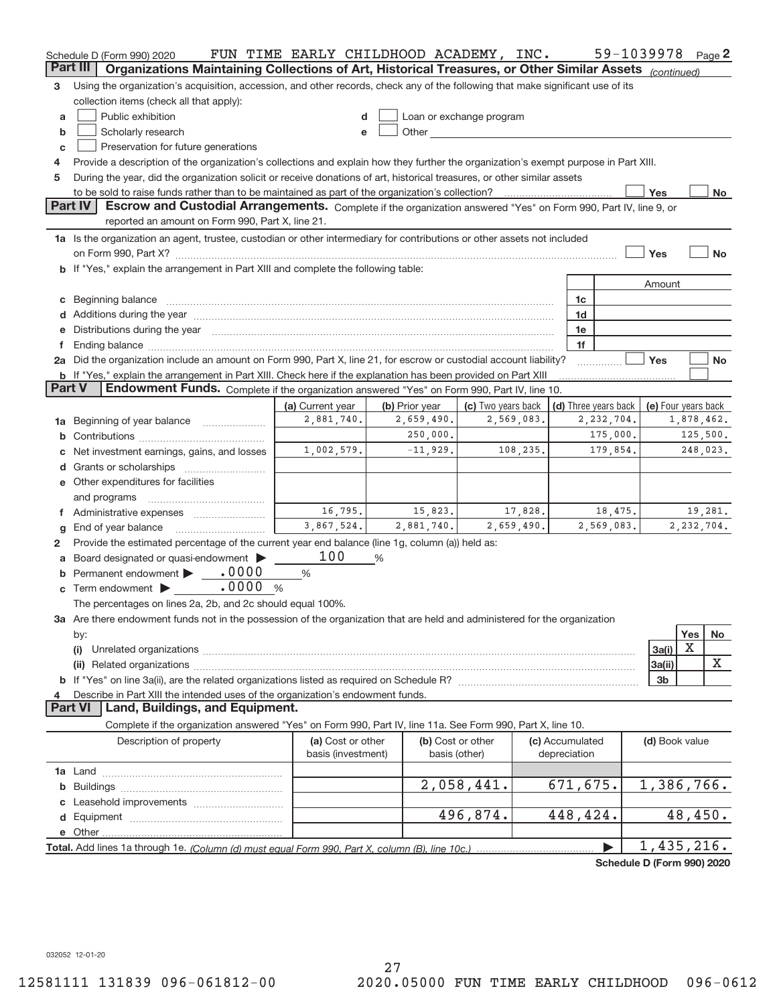|        | Schedule D (Form 990) 2020                                                                                                                                                                                                           |                    | FUN TIME EARLY CHILDHOOD ACADEMY, INC. |                            |          |                 | 59-1039978                                   |                |             | Page 2    |
|--------|--------------------------------------------------------------------------------------------------------------------------------------------------------------------------------------------------------------------------------------|--------------------|----------------------------------------|----------------------------|----------|-----------------|----------------------------------------------|----------------|-------------|-----------|
|        | Part III<br>Organizations Maintaining Collections of Art, Historical Treasures, or Other Similar Assets (continued)                                                                                                                  |                    |                                        |                            |          |                 |                                              |                |             |           |
| 3      | Using the organization's acquisition, accession, and other records, check any of the following that make significant use of its                                                                                                      |                    |                                        |                            |          |                 |                                              |                |             |           |
|        | collection items (check all that apply):                                                                                                                                                                                             |                    |                                        |                            |          |                 |                                              |                |             |           |
| a      | Public exhibition                                                                                                                                                                                                                    | d                  |                                        | Loan or exchange program   |          |                 |                                              |                |             |           |
| b      | Scholarly research                                                                                                                                                                                                                   | e                  |                                        | Other <u>Communication</u> |          |                 |                                              |                |             |           |
| C      | Preservation for future generations                                                                                                                                                                                                  |                    |                                        |                            |          |                 |                                              |                |             |           |
| 4      | Provide a description of the organization's collections and explain how they further the organization's exempt purpose in Part XIII.                                                                                                 |                    |                                        |                            |          |                 |                                              |                |             |           |
| 5      | During the year, did the organization solicit or receive donations of art, historical treasures, or other similar assets                                                                                                             |                    |                                        |                            |          |                 |                                              |                |             |           |
|        |                                                                                                                                                                                                                                      |                    |                                        |                            |          |                 |                                              | Yes            |             | No        |
|        | Part IV<br>Escrow and Custodial Arrangements. Complete if the organization answered "Yes" on Form 990, Part IV, line 9, or                                                                                                           |                    |                                        |                            |          |                 |                                              |                |             |           |
|        | reported an amount on Form 990, Part X, line 21.                                                                                                                                                                                     |                    |                                        |                            |          |                 |                                              |                |             |           |
|        | 1a Is the organization an agent, trustee, custodian or other intermediary for contributions or other assets not included                                                                                                             |                    |                                        |                            |          |                 |                                              |                |             |           |
|        | on Form 990, Part X? [11] matter contracts and contracts and contracts are contracted as a function of the set of the set of the set of the set of the set of the set of the set of the set of the set of the set of the set o       |                    |                                        |                            |          |                 |                                              | Yes            |             | <b>No</b> |
|        | b If "Yes," explain the arrangement in Part XIII and complete the following table:                                                                                                                                                   |                    |                                        |                            |          |                 |                                              |                |             |           |
|        |                                                                                                                                                                                                                                      |                    |                                        |                            |          |                 |                                              | Amount         |             |           |
|        | c Beginning balance measurements and the contract of the contract of the contract of the contract of the contract of the contract of the contract of the contract of the contract of the contract of the contract of the contr       |                    |                                        |                            |          | 1c              |                                              |                |             |           |
|        |                                                                                                                                                                                                                                      |                    |                                        |                            |          | 1d              |                                              |                |             |           |
|        | e Distributions during the year manufactured and a control of the year manufactured and the year manufactured and the year manufactured and the year manufactured and the year manufactured and the year manufactured and the        |                    |                                        |                            |          | 1e              |                                              |                |             |           |
| f      |                                                                                                                                                                                                                                      |                    |                                        |                            |          | 1f              |                                              | <b>Yes</b>     |             |           |
|        | 2a Did the organization include an amount on Form 990, Part X, line 21, for escrow or custodial account liability?<br>b If "Yes," explain the arrangement in Part XIII. Check here if the explanation has been provided on Part XIII |                    |                                        |                            |          |                 |                                              |                |             | <b>No</b> |
| Part V | Endowment Funds. Complete if the organization answered "Yes" on Form 990, Part IV, line 10.                                                                                                                                          |                    |                                        |                            |          |                 |                                              |                |             |           |
|        |                                                                                                                                                                                                                                      | (a) Current year   | (b) Prior year                         | (c) Two years back         |          |                 | (d) Three years back $ $ (e) Four years back |                |             |           |
|        | <b>1a</b> Beginning of year balance <i>manumum</i>                                                                                                                                                                                   | 2,881,740.         | 2,659,490.                             | 2,569,083.                 |          |                 | 2, 232, 704.                                 |                | 1,878,462.  |           |
|        |                                                                                                                                                                                                                                      |                    | 250,000.                               |                            |          |                 | 175,000.                                     |                |             | 125,500.  |
|        | <b>c</b> Net investment earnings, gains, and losses                                                                                                                                                                                  | 1,002,579.         | $-11,929.$                             |                            | 108,235. |                 | 179,854.                                     | 248,023.       |             |           |
|        |                                                                                                                                                                                                                                      |                    |                                        |                            |          |                 |                                              |                |             |           |
|        | e Other expenditures for facilities                                                                                                                                                                                                  |                    |                                        |                            |          |                 |                                              |                |             |           |
|        | and programs                                                                                                                                                                                                                         |                    |                                        |                            |          |                 |                                              |                |             |           |
|        | f Administrative expenses <i></i>                                                                                                                                                                                                    | 16,795.            | 15,823.                                |                            | 17,828.  |                 | 18,475.                                      |                |             | 19,281.   |
| g      | End of year balance                                                                                                                                                                                                                  | 3,867,524.         | 2,881,740.                             | 2,659,490.                 |          |                 | 2,569,083.                                   |                | 2,232,704.  |           |
| 2      | Provide the estimated percentage of the current year end balance (line 1g, column (a)) held as:                                                                                                                                      |                    |                                        |                            |          |                 |                                              |                |             |           |
|        | a Board designated or quasi-endowment >                                                                                                                                                                                              | 100                | %                                      |                            |          |                 |                                              |                |             |           |
|        | <b>b</b> Permanent endowment <b>D</b> . 0000                                                                                                                                                                                         | $\%$               |                                        |                            |          |                 |                                              |                |             |           |
|        | c Term endowment <b>C</b> .0000 %                                                                                                                                                                                                    |                    |                                        |                            |          |                 |                                              |                |             |           |
|        | The percentages on lines 2a, 2b, and 2c should equal 100%.                                                                                                                                                                           |                    |                                        |                            |          |                 |                                              |                |             |           |
|        | 3a Are there endowment funds not in the possession of the organization that are held and administered for the organization                                                                                                           |                    |                                        |                            |          |                 |                                              |                |             |           |
|        | by:                                                                                                                                                                                                                                  |                    |                                        |                            |          |                 |                                              |                | Yes         | No        |
|        | (i)                                                                                                                                                                                                                                  |                    |                                        |                            |          |                 |                                              | 3a(i)          | $\mathbf X$ |           |
|        |                                                                                                                                                                                                                                      |                    |                                        |                            |          |                 |                                              | 3a(ii)         |             | х         |
|        |                                                                                                                                                                                                                                      |                    |                                        |                            |          |                 |                                              | 3b             |             |           |
| 4      | Describe in Part XIII the intended uses of the organization's endowment funds.                                                                                                                                                       |                    |                                        |                            |          |                 |                                              |                |             |           |
|        | Land, Buildings, and Equipment.<br><b>Part VI</b>                                                                                                                                                                                    |                    |                                        |                            |          |                 |                                              |                |             |           |
|        | Complete if the organization answered "Yes" on Form 990, Part IV, line 11a. See Form 990, Part X, line 10.                                                                                                                           |                    |                                        |                            |          |                 |                                              |                |             |           |
|        | Description of property                                                                                                                                                                                                              | (a) Cost or other  |                                        | (b) Cost or other          |          | (c) Accumulated |                                              | (d) Book value |             |           |
|        |                                                                                                                                                                                                                                      | basis (investment) | basis (other)                          |                            |          | depreciation    |                                              |                |             |           |
|        |                                                                                                                                                                                                                                      |                    |                                        |                            |          |                 |                                              |                |             |           |
|        |                                                                                                                                                                                                                                      |                    |                                        | 2,058,441.                 |          | 671,675.        |                                              | 1,386,766.     |             |           |
|        |                                                                                                                                                                                                                                      |                    |                                        |                            |          |                 |                                              |                |             |           |
|        |                                                                                                                                                                                                                                      |                    |                                        | 496,874.                   |          | 448,424.        |                                              |                | 48,450.     |           |
|        |                                                                                                                                                                                                                                      |                    |                                        |                            |          |                 |                                              |                |             |           |
|        |                                                                                                                                                                                                                                      |                    |                                        |                            |          |                 |                                              | 1,435,216.     |             |           |
|        |                                                                                                                                                                                                                                      |                    |                                        |                            |          |                 | Schedule D (Form 990) 2020                   |                |             |           |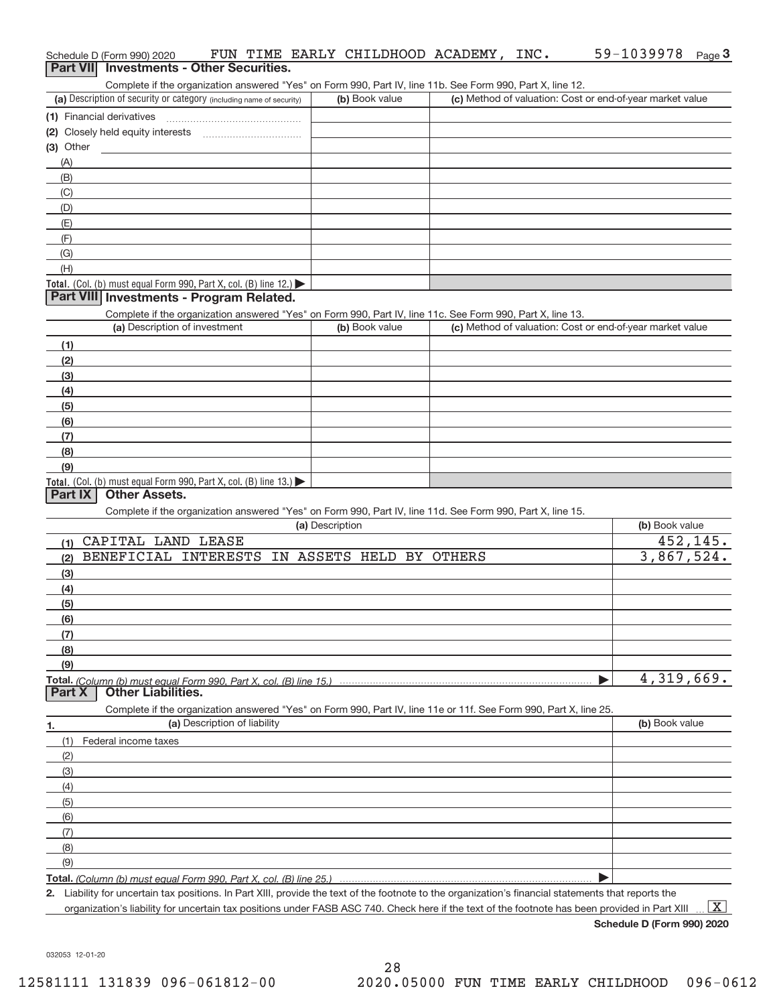| Part VII Investments - Other Securities.                                                                                                             |                          |                                                           |                    |
|------------------------------------------------------------------------------------------------------------------------------------------------------|--------------------------|-----------------------------------------------------------|--------------------|
| Complete if the organization answered "Yes" on Form 990, Part IV, line 11b. See Form 990, Part X, line 12.                                           |                          |                                                           |                    |
| (a) Description of security or category (including name of security)                                                                                 | (b) Book value           | (c) Method of valuation: Cost or end-of-year market value |                    |
| (1) Financial derivatives                                                                                                                            |                          |                                                           |                    |
|                                                                                                                                                      |                          |                                                           |                    |
| (3) Other                                                                                                                                            |                          |                                                           |                    |
| (A)                                                                                                                                                  |                          |                                                           |                    |
| (B)<br>(C)                                                                                                                                           |                          |                                                           |                    |
| (D)                                                                                                                                                  |                          |                                                           |                    |
| (E)                                                                                                                                                  |                          |                                                           |                    |
| (F)                                                                                                                                                  |                          |                                                           |                    |
| (G)                                                                                                                                                  |                          |                                                           |                    |
| (H)                                                                                                                                                  |                          |                                                           |                    |
| Total. (Col. (b) must equal Form 990, Part X, col. (B) line 12.) $\blacktriangleright$                                                               |                          |                                                           |                    |
| Part VIII Investments - Program Related.                                                                                                             |                          |                                                           |                    |
| Complete if the organization answered "Yes" on Form 990, Part IV, line 11c. See Form 990, Part X, line 13.                                           |                          |                                                           |                    |
| (a) Description of investment                                                                                                                        | (b) Book value           | (c) Method of valuation: Cost or end-of-year market value |                    |
| (1)                                                                                                                                                  |                          |                                                           |                    |
| (2)                                                                                                                                                  |                          |                                                           |                    |
| (3)                                                                                                                                                  |                          |                                                           |                    |
| (4)                                                                                                                                                  |                          |                                                           |                    |
| (5)                                                                                                                                                  |                          |                                                           |                    |
| (6)                                                                                                                                                  |                          |                                                           |                    |
| (7)                                                                                                                                                  |                          |                                                           |                    |
| (8)                                                                                                                                                  |                          |                                                           |                    |
| (9)                                                                                                                                                  |                          |                                                           |                    |
| <b>Total.</b> (Col. (b) must equal Form 990, Part X, col. (B) line $13.$<br><b>Other Assets.</b><br>Part IX                                          |                          |                                                           |                    |
| Complete if the organization answered "Yes" on Form 990, Part IV, line 11d. See Form 990, Part X, line 15.                                           |                          |                                                           |                    |
|                                                                                                                                                      | (a) Description          |                                                           | (b) Book value     |
| (1) CAPITAL LAND LEASE                                                                                                                               |                          |                                                           | 452,145.           |
| BENEFICIAL INTERESTS<br>(2)                                                                                                                          | IN ASSETS HELD BY OTHERS |                                                           | 3,867,524.         |
| (3)                                                                                                                                                  |                          |                                                           |                    |
| (4)                                                                                                                                                  |                          |                                                           |                    |
| (5)                                                                                                                                                  |                          |                                                           |                    |
| (6)                                                                                                                                                  |                          |                                                           |                    |
| (7)                                                                                                                                                  |                          |                                                           |                    |
| (8)                                                                                                                                                  |                          |                                                           |                    |
| (9)                                                                                                                                                  |                          |                                                           |                    |
| <b>Other Liabilities.</b><br>Part X                                                                                                                  |                          |                                                           | 4,319,669.         |
| Complete if the organization answered "Yes" on Form 990, Part IV, line 11e or 11f. See Form 990, Part X, line 25.                                    |                          |                                                           |                    |
| (a) Description of liability<br>1.                                                                                                                   |                          |                                                           | (b) Book value     |
| Federal income taxes<br>(1)                                                                                                                          |                          |                                                           |                    |
| (2)                                                                                                                                                  |                          |                                                           |                    |
| (3)                                                                                                                                                  |                          |                                                           |                    |
| (4)                                                                                                                                                  |                          |                                                           |                    |
| (5)                                                                                                                                                  |                          |                                                           |                    |
| (6)                                                                                                                                                  |                          |                                                           |                    |
| (7)                                                                                                                                                  |                          |                                                           |                    |
| (8)                                                                                                                                                  |                          |                                                           |                    |
| (9)                                                                                                                                                  |                          |                                                           |                    |
|                                                                                                                                                      |                          |                                                           |                    |
| 2. Liability for uncertain tax positions. In Part XIII, provide the text of the footnote to the organization's financial statements that reports the |                          |                                                           |                    |
| organization's liability for uncertain tax positions under FASB ASC 740. Check here if the text of the footnote has been provided in Part XIII       |                          |                                                           | $\boxed{\text{X}}$ |

Schedule D (Form 990) 2020  $\;$  FUN TIME EARLY CHILDHOOD ACADEMY, INC.  $\;$  59-1039978  $\;$  Page

**3** 59‐1039978

032053 12‐01‐20

**Schedule D (Form 990) 2020**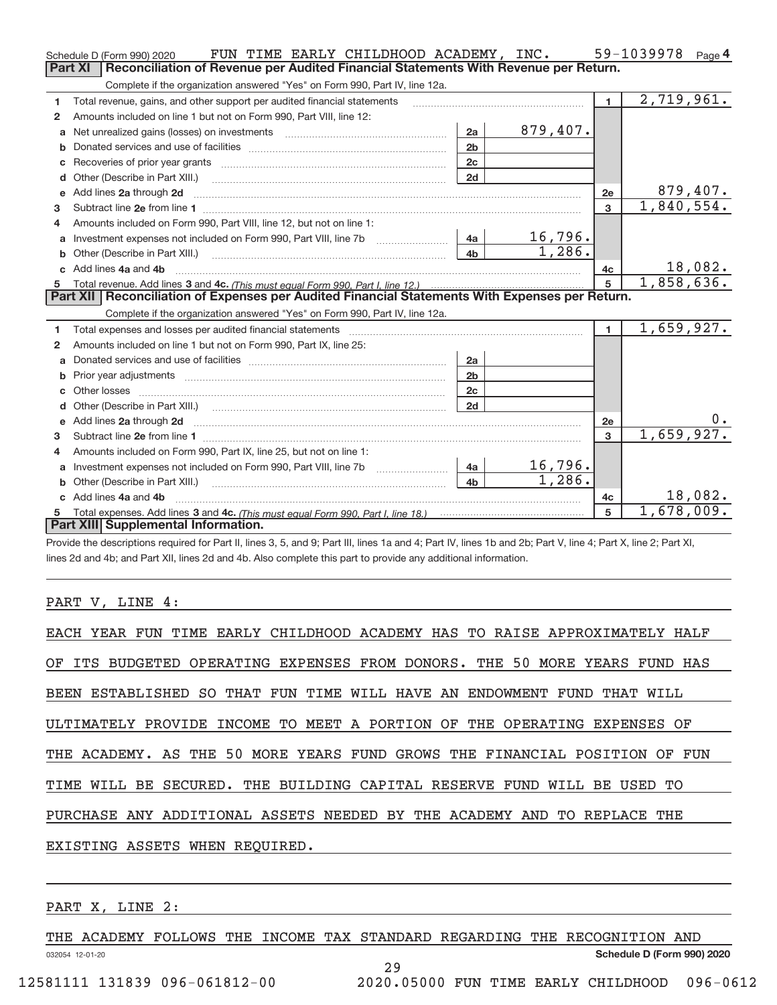|              | FUN TIME EARLY CHILDHOOD ACADEMY, INC.<br>Schedule D (Form 990) 2020                                                                                                                                                               |                |          |                | 59-1039978<br>Page 4    |    |
|--------------|------------------------------------------------------------------------------------------------------------------------------------------------------------------------------------------------------------------------------------|----------------|----------|----------------|-------------------------|----|
|              | Reconciliation of Revenue per Audited Financial Statements With Revenue per Return.<br><b>Part XI</b>                                                                                                                              |                |          |                |                         |    |
|              | Complete if the organization answered "Yes" on Form 990, Part IV, line 12a.                                                                                                                                                        |                |          |                |                         |    |
| 1            | Total revenue, gains, and other support per audited financial statements                                                                                                                                                           |                |          | $\blacksquare$ | $\overline{2,719,961.}$ |    |
| $\mathbf{2}$ | Amounts included on line 1 but not on Form 990, Part VIII, line 12:                                                                                                                                                                |                |          |                |                         |    |
| a            | Net unrealized gains (losses) on investments [11] matter contracts and the unrealized gains (losses) on investments                                                                                                                | 2a             | 879,407. |                |                         |    |
|              |                                                                                                                                                                                                                                    | 2 <sub>b</sub> |          |                |                         |    |
|              | Recoveries of prior year grants [11,111] Recoveries of prior year grants [11,111] Recoveries of prior year grants                                                                                                                  | 2c             |          |                |                         |    |
|              |                                                                                                                                                                                                                                    | 2d             |          |                |                         |    |
| e            | Add lines 2a through 2d <b>must be a constructed as the constant of the construction</b> and the state of the state of the state of the state of the state of the state of the state of the state of the state of the state of the |                |          | 2e             | 879,407.                |    |
| 3            |                                                                                                                                                                                                                                    |                |          | $\overline{3}$ | 1,840,554.              |    |
| 4            | Amounts included on Form 990, Part VIII, line 12, but not on line 1:                                                                                                                                                               |                |          |                |                         |    |
|              |                                                                                                                                                                                                                                    | 4a             | 16,796.  |                |                         |    |
|              |                                                                                                                                                                                                                                    | 4 <sub>h</sub> | 1,286.   |                |                         |    |
| c.           | Add lines 4a and 4b                                                                                                                                                                                                                |                |          | 4с             | 18,082.                 |    |
| 5            |                                                                                                                                                                                                                                    |                |          | 5              | 1,858,636.              |    |
|              | Part XII   Reconciliation of Expenses per Audited Financial Statements With Expenses per Return.                                                                                                                                   |                |          |                |                         |    |
|              | Complete if the organization answered "Yes" on Form 990, Part IV, line 12a.                                                                                                                                                        |                |          |                |                         |    |
| 1            |                                                                                                                                                                                                                                    |                |          | $\blacksquare$ | 1,659,927.              |    |
| 2            | Amounts included on line 1 but not on Form 990, Part IX, line 25:                                                                                                                                                                  |                |          |                |                         |    |
| a            |                                                                                                                                                                                                                                    |                |          |                |                         |    |
|              |                                                                                                                                                                                                                                    | 2a             |          |                |                         |    |
|              |                                                                                                                                                                                                                                    | 2 <sub>b</sub> |          |                |                         |    |
| C            |                                                                                                                                                                                                                                    | 2c             |          |                |                         |    |
|              |                                                                                                                                                                                                                                    | 2d             |          |                |                         |    |
|              |                                                                                                                                                                                                                                    |                |          | 2e             |                         | 0. |
| 3            |                                                                                                                                                                                                                                    |                |          | $\mathbf{R}$   | 1,659,927.              |    |
| 4            | Amounts included on Form 990, Part IX, line 25, but not on line 1:                                                                                                                                                                 |                |          |                |                         |    |
| a            | Investment expenses not included on Form 990, Part VIII, line 7b [1000000000000000000000000000000000                                                                                                                               | 4a             | 16,796.  |                |                         |    |
|              |                                                                                                                                                                                                                                    | 4 <sub>b</sub> | 1,286.   |                |                         |    |
|              | Add lines 4a and 4b                                                                                                                                                                                                                |                |          | 4c             | 18,082.                 |    |
|              | Part XIII Supplemental Information.                                                                                                                                                                                                |                |          | 5              | 1,678,009.              |    |

Provide the descriptions required for Part II, lines 3, 5, and 9; Part III, lines 1a and 4; Part IV, lines 1b and 2b; Part V, line 4; Part X, line 2; Part XI, lines 2d and 4b; and Part XII, lines 2d and 4b. Also complete this part to provide any additional information.

### PART V, LINE 4:

| EACH YEAR FUN TIME EARLY CHILDHOOD ACADEMY HAS TO RAISE APPROXIMATELY HALF |
|----------------------------------------------------------------------------|
| OF ITS BUDGETED OPERATING EXPENSES FROM DONORS. THE 50 MORE YEARS FUND HAS |
| BEEN ESTABLISHED SO THAT FUN TIME WILL HAVE AN ENDOWMENT FUND<br>THAT WILL |
| ULTIMATELY PROVIDE INCOME TO MEET A PORTION OF THE OPERATING EXPENSES OF   |
| THE ACADEMY. AS THE 50 MORE YEARS FUND GROWS THE FINANCIAL POSITION OF FUN |
| TIME WILL BE SECURED. THE BUILDING CAPITAL RESERVE FUND WILL BE USED TO    |
| PURCHASE ANY ADDITIONAL ASSETS NEEDED BY THE ACADEMY AND<br>TO REPLACE THE |
| EXISTING ASSETS WHEN REOUIRED.                                             |
|                                                                            |

### PART X, LINE 2:

032054 12‐01‐20 **Schedule D (Form 990) 2020** THE ACADEMY FOLLOWS THE INCOME TAX STANDARD REGARDING THE RECOGNITION AND 29 12581111 131839 096‐061812‐00 2020.05000 FUN TIME EARLY CHILDHOOD 096‐0612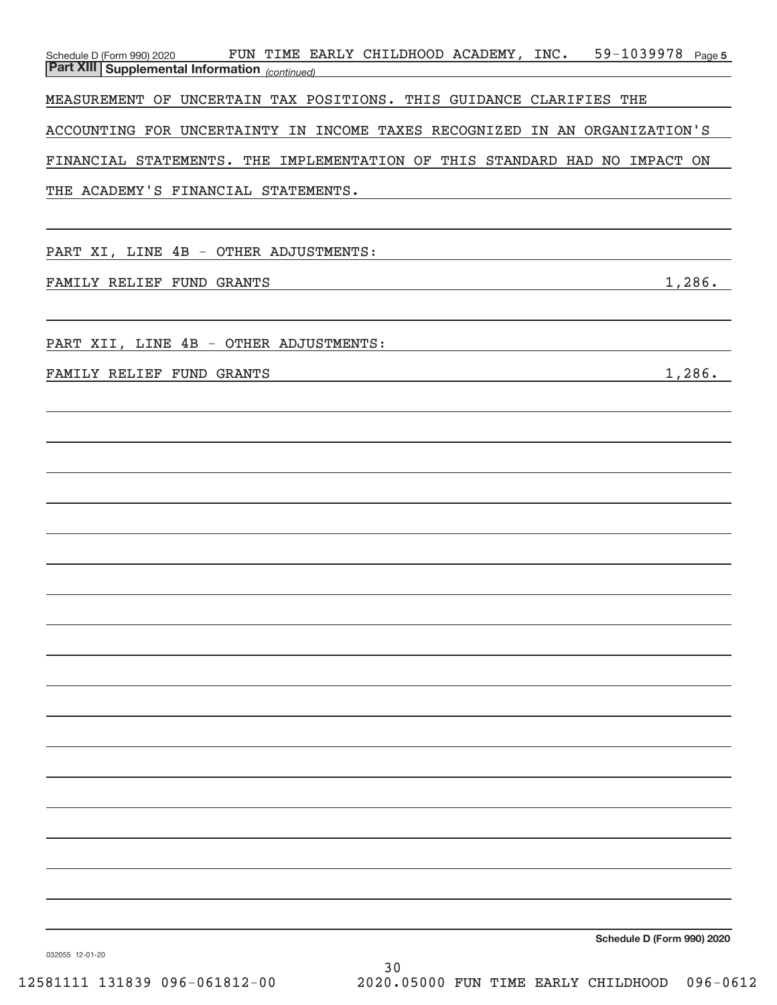| Schedule D (Form 990) 2020 FUN TIME EARLY CHILDHOOD ACADEMY, INC. 59-1039978 Page 5<br>Part XIII Supplemental Information (continued) |
|---------------------------------------------------------------------------------------------------------------------------------------|
| MEASUREMENT OF UNCERTAIN TAX POSITIONS. THIS GUIDANCE CLARIFIES THE                                                                   |
| ACCOUNTING FOR UNCERTAINTY IN INCOME TAXES RECOGNIZED IN AN ORGANIZATION'S                                                            |
| FINANCIAL STATEMENTS. THE IMPLEMENTATION OF THIS STANDARD HAD NO IMPACT ON                                                            |
| THE ACADEMY'S FINANCIAL STATEMENTS.                                                                                                   |
|                                                                                                                                       |
| PART XI, LINE 4B - OTHER ADJUSTMENTS:                                                                                                 |
| 1,286.<br>FAMILY RELIEF FUND GRANTS                                                                                                   |
| PART XII, LINE 4B - OTHER ADJUSTMENTS:                                                                                                |
| 1,286.<br>FAMILY RELIEF FUND GRANTS                                                                                                   |
|                                                                                                                                       |
|                                                                                                                                       |
|                                                                                                                                       |
|                                                                                                                                       |
|                                                                                                                                       |
|                                                                                                                                       |
|                                                                                                                                       |
|                                                                                                                                       |
|                                                                                                                                       |
|                                                                                                                                       |
|                                                                                                                                       |
|                                                                                                                                       |
|                                                                                                                                       |
|                                                                                                                                       |
|                                                                                                                                       |
|                                                                                                                                       |
|                                                                                                                                       |
| Schedule D (Form 990) 2020                                                                                                            |

032055 12‐01‐20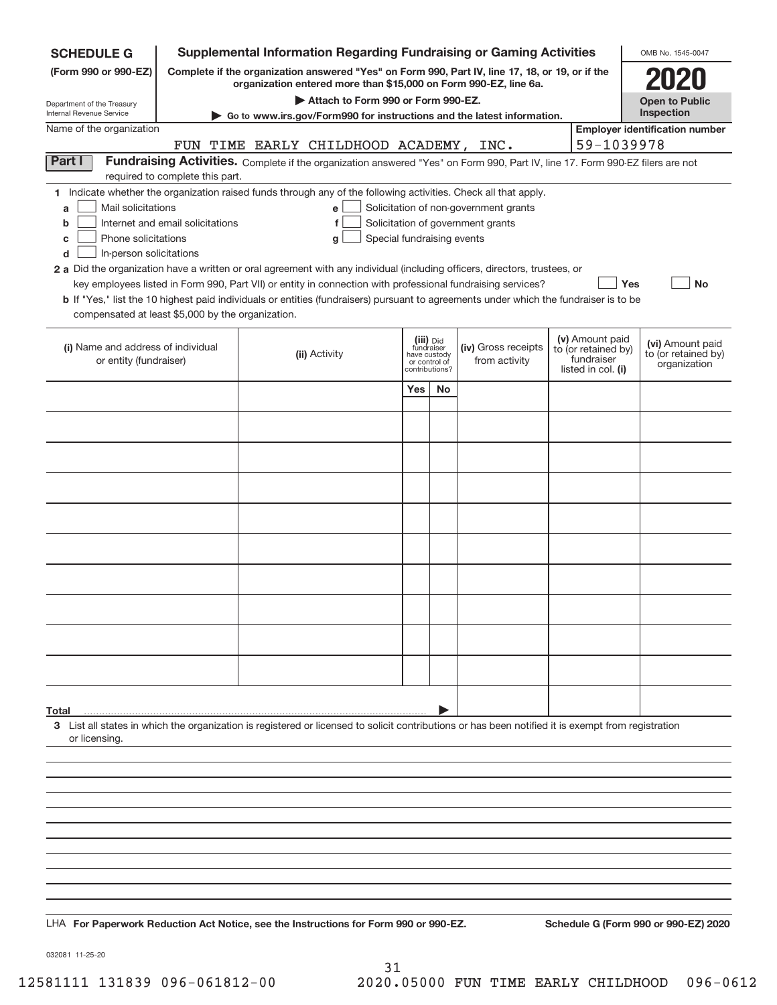| <b>SCHEDULE G</b>                                                                        |                                  | <b>Supplemental Information Regarding Fundraising or Gaming Activities</b>                                                                                                                                                                                                                                                                                                                                                                                                                                           |                            |                                                                            |                                                                            |                                                                            | OMB No. 1545-0047                                       |  |
|------------------------------------------------------------------------------------------|----------------------------------|----------------------------------------------------------------------------------------------------------------------------------------------------------------------------------------------------------------------------------------------------------------------------------------------------------------------------------------------------------------------------------------------------------------------------------------------------------------------------------------------------------------------|----------------------------|----------------------------------------------------------------------------|----------------------------------------------------------------------------|----------------------------------------------------------------------------|---------------------------------------------------------|--|
| (Form 990 or 990-EZ)                                                                     |                                  | Complete if the organization answered "Yes" on Form 990, Part IV, line 17, 18, or 19, or if the                                                                                                                                                                                                                                                                                                                                                                                                                      |                            |                                                                            |                                                                            |                                                                            |                                                         |  |
|                                                                                          |                                  | organization entered more than \$15,000 on Form 990-EZ, line 6a.<br>Attach to Form 990 or Form 990-EZ.                                                                                                                                                                                                                                                                                                                                                                                                               |                            |                                                                            |                                                                            |                                                                            | <b>Open to Public</b>                                   |  |
| Department of the Treasury<br>Internal Revenue Service                                   |                                  | Go to www.irs.gov/Form990 for instructions and the latest information.                                                                                                                                                                                                                                                                                                                                                                                                                                               |                            |                                                                            |                                                                            |                                                                            | Inspection                                              |  |
| Name of the organization                                                                 |                                  | FUN TIME EARLY CHILDHOOD ACADEMY, INC.                                                                                                                                                                                                                                                                                                                                                                                                                                                                               |                            |                                                                            |                                                                            | 59-1039978                                                                 | <b>Employer identification number</b>                   |  |
| Part I                                                                                   |                                  | Fundraising Activities. Complete if the organization answered "Yes" on Form 990, Part IV, line 17. Form 990-EZ filers are not                                                                                                                                                                                                                                                                                                                                                                                        |                            |                                                                            |                                                                            |                                                                            |                                                         |  |
|                                                                                          | required to complete this part.  |                                                                                                                                                                                                                                                                                                                                                                                                                                                                                                                      |                            |                                                                            |                                                                            |                                                                            |                                                         |  |
| Mail solicitations<br>a<br>b<br>Phone solicitations<br>c<br>In-person solicitations<br>d | Internet and email solicitations | 1 Indicate whether the organization raised funds through any of the following activities. Check all that apply.<br>e<br>f<br>g<br>2 a Did the organization have a written or oral agreement with any individual (including officers, directors, trustees, or<br>key employees listed in Form 990, Part VII) or entity in connection with professional fundraising services?<br>b If "Yes," list the 10 highest paid individuals or entities (fundraisers) pursuant to agreements under which the fundraiser is to be | Special fundraising events |                                                                            | Solicitation of non-government grants<br>Solicitation of government grants | Yes                                                                        | <b>No</b>                                               |  |
| compensated at least \$5,000 by the organization.                                        |                                  |                                                                                                                                                                                                                                                                                                                                                                                                                                                                                                                      |                            |                                                                            |                                                                            |                                                                            |                                                         |  |
| (i) Name and address of individual<br>or entity (fundraiser)                             |                                  | (ii) Activity                                                                                                                                                                                                                                                                                                                                                                                                                                                                                                        |                            | (iii) Did<br>fundraiser<br>have custody<br>or control of<br>contributions? | (iv) Gross receipts<br>from activity                                       | (v) Amount paid<br>to (or retained by)<br>fundraiser<br>listed in col. (i) | (vi) Amount paid<br>to (or retained by)<br>organization |  |
|                                                                                          |                                  |                                                                                                                                                                                                                                                                                                                                                                                                                                                                                                                      | <b>Yes</b>                 | No                                                                         |                                                                            |                                                                            |                                                         |  |
|                                                                                          |                                  |                                                                                                                                                                                                                                                                                                                                                                                                                                                                                                                      |                            |                                                                            |                                                                            |                                                                            |                                                         |  |
|                                                                                          |                                  |                                                                                                                                                                                                                                                                                                                                                                                                                                                                                                                      |                            |                                                                            |                                                                            |                                                                            |                                                         |  |
|                                                                                          |                                  |                                                                                                                                                                                                                                                                                                                                                                                                                                                                                                                      |                            |                                                                            |                                                                            |                                                                            |                                                         |  |
|                                                                                          |                                  |                                                                                                                                                                                                                                                                                                                                                                                                                                                                                                                      |                            |                                                                            |                                                                            |                                                                            |                                                         |  |
|                                                                                          |                                  |                                                                                                                                                                                                                                                                                                                                                                                                                                                                                                                      |                            |                                                                            |                                                                            |                                                                            |                                                         |  |
|                                                                                          |                                  |                                                                                                                                                                                                                                                                                                                                                                                                                                                                                                                      |                            |                                                                            |                                                                            |                                                                            |                                                         |  |
|                                                                                          |                                  |                                                                                                                                                                                                                                                                                                                                                                                                                                                                                                                      |                            |                                                                            |                                                                            |                                                                            |                                                         |  |
|                                                                                          |                                  |                                                                                                                                                                                                                                                                                                                                                                                                                                                                                                                      |                            |                                                                            |                                                                            |                                                                            |                                                         |  |
|                                                                                          |                                  |                                                                                                                                                                                                                                                                                                                                                                                                                                                                                                                      |                            |                                                                            |                                                                            |                                                                            |                                                         |  |
|                                                                                          |                                  |                                                                                                                                                                                                                                                                                                                                                                                                                                                                                                                      |                            |                                                                            |                                                                            |                                                                            |                                                         |  |
|                                                                                          |                                  |                                                                                                                                                                                                                                                                                                                                                                                                                                                                                                                      |                            |                                                                            |                                                                            |                                                                            |                                                         |  |
|                                                                                          |                                  |                                                                                                                                                                                                                                                                                                                                                                                                                                                                                                                      |                            |                                                                            |                                                                            |                                                                            |                                                         |  |
| Total                                                                                    |                                  | 3 List all states in which the organization is registered or licensed to solicit contributions or has been notified it is exempt from registration                                                                                                                                                                                                                                                                                                                                                                   |                            |                                                                            |                                                                            |                                                                            |                                                         |  |
| or licensing.                                                                            |                                  |                                                                                                                                                                                                                                                                                                                                                                                                                                                                                                                      |                            |                                                                            |                                                                            |                                                                            |                                                         |  |
|                                                                                          |                                  |                                                                                                                                                                                                                                                                                                                                                                                                                                                                                                                      |                            |                                                                            |                                                                            |                                                                            |                                                         |  |
|                                                                                          |                                  |                                                                                                                                                                                                                                                                                                                                                                                                                                                                                                                      |                            |                                                                            |                                                                            |                                                                            |                                                         |  |
|                                                                                          |                                  |                                                                                                                                                                                                                                                                                                                                                                                                                                                                                                                      |                            |                                                                            |                                                                            |                                                                            |                                                         |  |
|                                                                                          |                                  |                                                                                                                                                                                                                                                                                                                                                                                                                                                                                                                      |                            |                                                                            |                                                                            |                                                                            |                                                         |  |
|                                                                                          |                                  |                                                                                                                                                                                                                                                                                                                                                                                                                                                                                                                      |                            |                                                                            |                                                                            |                                                                            |                                                         |  |
|                                                                                          |                                  |                                                                                                                                                                                                                                                                                                                                                                                                                                                                                                                      |                            |                                                                            |                                                                            |                                                                            |                                                         |  |
|                                                                                          |                                  |                                                                                                                                                                                                                                                                                                                                                                                                                                                                                                                      |                            |                                                                            |                                                                            |                                                                            |                                                         |  |
|                                                                                          |                                  | LHA For Paperwork Reduction Act Notice, see the Instructions for Form 990 or 990-EZ.                                                                                                                                                                                                                                                                                                                                                                                                                                 |                            |                                                                            |                                                                            |                                                                            | Schedule G (Form 990 or 990-EZ) 2020                    |  |

032081 11‐25‐20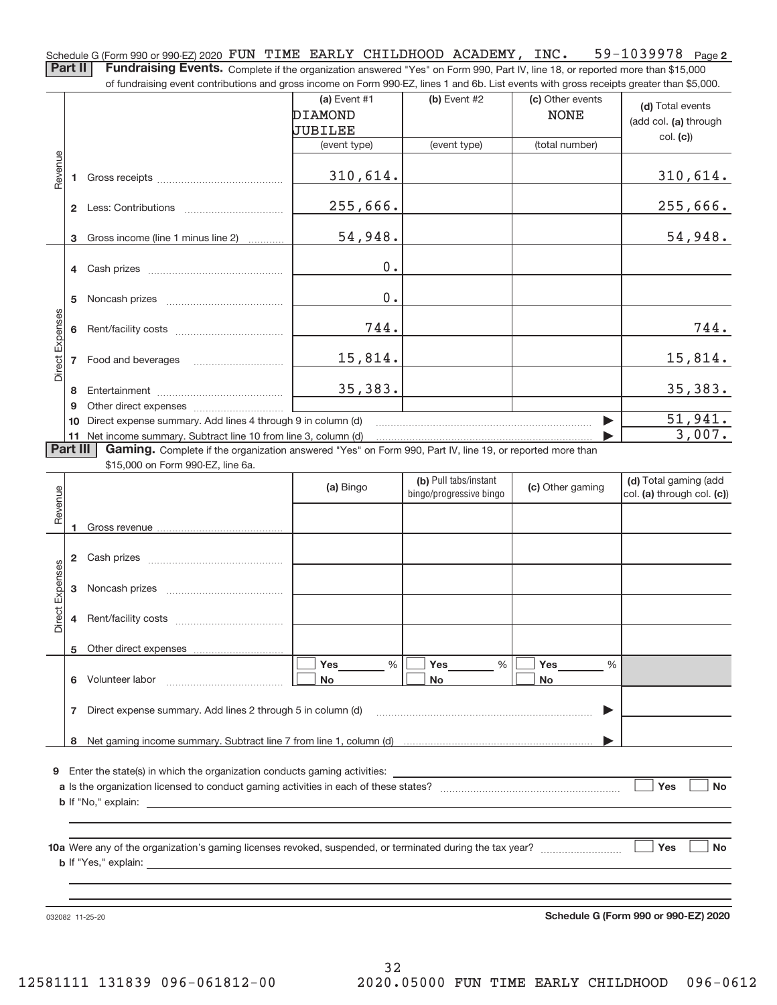Schedule G (Form 990 or 990‐EZ) 2020 FUN TIME EARLY CHILDHOOD ACADEMY, INC. 59-1039978 Page 2 Part II | Fundraising Events. Complete if the organization answered "Yes" on Form 990, Part IV, line 18, or reported more than \$15,000

of fundraising event contributions and gross income on Form 990‐EZ, lines 1 and 6b. List events with gross receipts greater than \$5,000.

|                 |                | of fundraising event contributions and gross income on Form 990-EZ, lines T and 6D. List events with gross receipts greater than \$5,000. | (a) Event $#1$<br>DIAMOND<br>JUBILEE | $(b)$ Event #2                                   | (c) Other events<br><b>NONE</b> | (d) Total events<br>(add col. (a) through<br>col. (c) |
|-----------------|----------------|-------------------------------------------------------------------------------------------------------------------------------------------|--------------------------------------|--------------------------------------------------|---------------------------------|-------------------------------------------------------|
|                 |                |                                                                                                                                           | (event type)                         | (event type)                                     | (total number)                  |                                                       |
| Revenue         | 1.             |                                                                                                                                           | 310,614.                             |                                                  |                                 | 310,614.                                              |
|                 |                |                                                                                                                                           | 255,666.                             |                                                  |                                 | 255,666.                                              |
|                 | 3              | Gross income (line 1 minus line 2)                                                                                                        | 54,948.                              |                                                  |                                 | 54,948.                                               |
|                 |                |                                                                                                                                           | 0.                                   |                                                  |                                 |                                                       |
|                 | 5              |                                                                                                                                           | 0.                                   |                                                  |                                 |                                                       |
| Direct Expenses | 6              |                                                                                                                                           | 744.                                 |                                                  |                                 | 744.                                                  |
|                 | $\overline{7}$ |                                                                                                                                           | 15,814.                              |                                                  |                                 | 15,814.                                               |
|                 | 8              |                                                                                                                                           | 35,383.                              |                                                  |                                 | 35,383.                                               |
|                 | 9<br>10        | Direct expense summary. Add lines 4 through 9 in column (d)                                                                               |                                      |                                                  | ▶                               | 51,941.                                               |
|                 |                | 11 Net income summary. Subtract line 10 from line 3, column (d)                                                                           |                                      |                                                  |                                 | 3,007.                                                |
|                 | Part III       | Gaming. Complete if the organization answered "Yes" on Form 990, Part IV, line 19, or reported more than                                  |                                      |                                                  |                                 |                                                       |
|                 |                | \$15,000 on Form 990-EZ, line 6a.                                                                                                         |                                      |                                                  |                                 |                                                       |
| Revenue         |                |                                                                                                                                           | (a) Bingo                            | (b) Pull tabs/instant<br>bingo/progressive bingo | (c) Other gaming                | (d) Total gaming (add<br>col. (a) through col. (c))   |
|                 | 1              |                                                                                                                                           |                                      |                                                  |                                 |                                                       |
|                 | $\mathbf{2}$   |                                                                                                                                           |                                      |                                                  |                                 |                                                       |
|                 | 3              |                                                                                                                                           |                                      |                                                  |                                 |                                                       |
| Direct Expenses | 4              |                                                                                                                                           |                                      |                                                  |                                 |                                                       |
|                 |                | 5 Other direct expenses                                                                                                                   |                                      |                                                  |                                 |                                                       |
|                 |                |                                                                                                                                           | Yes<br>$\frac{0}{6}$                 | Yes<br>$\frac{0}{0}$                             | Yes<br>$\%$                     |                                                       |
|                 | 6.             | Volunteer labor                                                                                                                           | No                                   | No                                               | No                              |                                                       |
|                 | 7              | Direct expense summary. Add lines 2 through 5 in column (d)                                                                               |                                      |                                                  |                                 |                                                       |
|                 |                |                                                                                                                                           |                                      |                                                  |                                 |                                                       |
|                 |                |                                                                                                                                           |                                      |                                                  |                                 |                                                       |
|                 |                | 9 Enter the state(s) in which the organization conducts gaming activities:                                                                |                                      |                                                  |                                 |                                                       |
|                 |                |                                                                                                                                           |                                      |                                                  |                                 | Yes<br><b>No</b>                                      |
|                 |                | <b>b</b> If "No," explain:                                                                                                                |                                      |                                                  |                                 |                                                       |
|                 |                |                                                                                                                                           |                                      |                                                  |                                 |                                                       |
|                 |                | <b>b</b> If "Yes," explain:                                                                                                               |                                      |                                                  |                                 | $\vert$ Yes<br><b>No</b>                              |
|                 |                |                                                                                                                                           |                                      |                                                  |                                 |                                                       |
|                 |                |                                                                                                                                           |                                      |                                                  |                                 |                                                       |
|                 |                | 032082 11-25-20                                                                                                                           |                                      |                                                  |                                 | Schedule G (Form 990 or 990-EZ) 2020                  |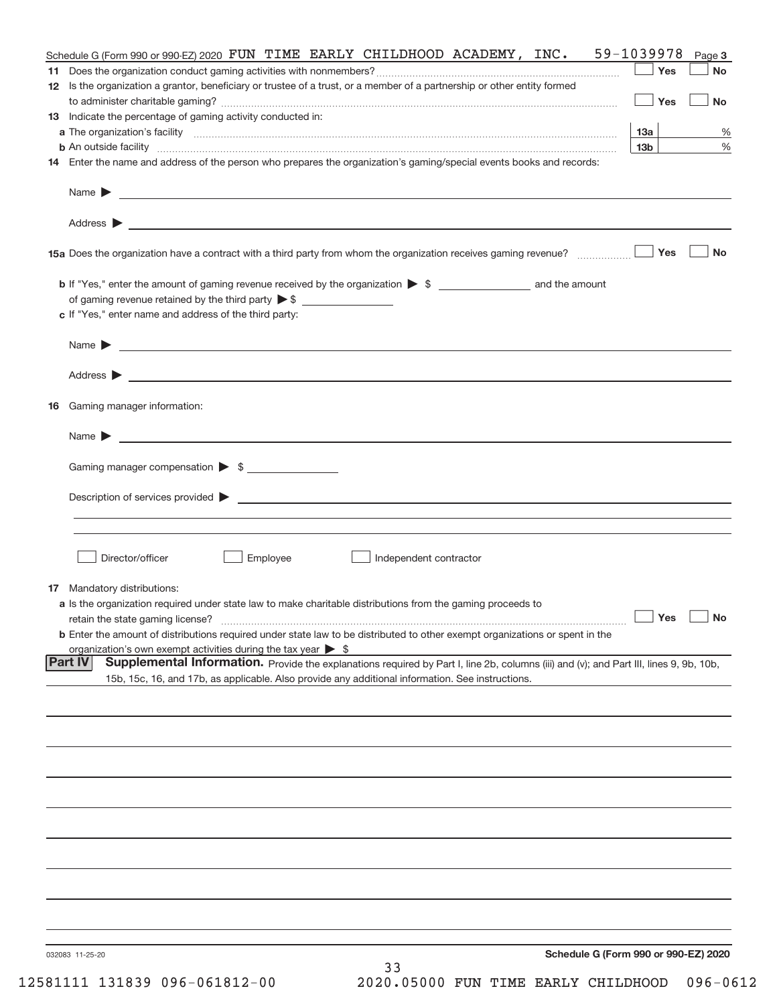|     | Schedule G (Form 990 or 990-EZ) 2020 FUN TIME EARLY CHILDHOOD ACADEMY, INC. 59-1039978                                                                                                                                         |                 | Page 3    |
|-----|--------------------------------------------------------------------------------------------------------------------------------------------------------------------------------------------------------------------------------|-----------------|-----------|
| 11. |                                                                                                                                                                                                                                | Yes             | No        |
|     | 12 Is the organization a grantor, beneficiary or trustee of a trust, or a member of a partnership or other entity formed                                                                                                       |                 |           |
|     |                                                                                                                                                                                                                                | Yes             | <b>No</b> |
|     | 13 Indicate the percentage of gaming activity conducted in:                                                                                                                                                                    |                 |           |
|     |                                                                                                                                                                                                                                | 13a             | %         |
|     | b An outside facility manufactured and contract and contract and contract and contract and contract and contract and contract and contract and contract and contract and contract and contract and contract and contract and c | 13 <sub>b</sub> | %         |
|     | 14 Enter the name and address of the person who prepares the organization's gaming/special events books and records:                                                                                                           |                 |           |
|     |                                                                                                                                                                                                                                |                 |           |
|     |                                                                                                                                                                                                                                |                 |           |
|     | Name $\triangleright$ $\square$                                                                                                                                                                                                |                 |           |
|     |                                                                                                                                                                                                                                |                 |           |
|     |                                                                                                                                                                                                                                |                 |           |
|     |                                                                                                                                                                                                                                |                 |           |
|     | 15a Does the organization have a contract with a third party from whom the organization receives gaming revenue?                                                                                                               | Yes             | <b>No</b> |
|     |                                                                                                                                                                                                                                |                 |           |
|     |                                                                                                                                                                                                                                |                 |           |
|     |                                                                                                                                                                                                                                |                 |           |
|     | c If "Yes," enter name and address of the third party:                                                                                                                                                                         |                 |           |
|     |                                                                                                                                                                                                                                |                 |           |
|     | Name $\blacktriangleright$ $\frac{1}{\sqrt{1-\frac{1}{2}}\left(\frac{1}{2}-\frac{1}{2}\right)}$                                                                                                                                |                 |           |
|     |                                                                                                                                                                                                                                |                 |           |
|     |                                                                                                                                                                                                                                |                 |           |
|     |                                                                                                                                                                                                                                |                 |           |
|     | 16 Gaming manager information:                                                                                                                                                                                                 |                 |           |
|     |                                                                                                                                                                                                                                |                 |           |
|     | Name $\triangleright$ $\square$                                                                                                                                                                                                |                 |           |
|     |                                                                                                                                                                                                                                |                 |           |
|     | Gaming manager compensation > \$                                                                                                                                                                                               |                 |           |
|     |                                                                                                                                                                                                                                |                 |           |
|     | Description of services provided $\blacktriangleright$ $\_\_$                                                                                                                                                                  |                 |           |
|     |                                                                                                                                                                                                                                |                 |           |
|     |                                                                                                                                                                                                                                |                 |           |
|     |                                                                                                                                                                                                                                |                 |           |
|     | Director/officer<br>Employee<br>Independent contractor                                                                                                                                                                         |                 |           |
|     |                                                                                                                                                                                                                                |                 |           |
|     | 17 Mandatory distributions:                                                                                                                                                                                                    |                 |           |
|     | a Is the organization required under state law to make charitable distributions from the gaming proceeds to                                                                                                                    |                 |           |
|     | $\Box$ Yes $\Box$ No<br>retain the state gaming license?                                                                                                                                                                       |                 |           |
|     | <b>b</b> Enter the amount of distributions required under state law to be distributed to other exempt organizations or spent in the                                                                                            |                 |           |
|     | organization's own exempt activities during the tax year $\triangleright$ \$                                                                                                                                                   |                 |           |
|     | <b>Part IV</b><br>Supplemental Information. Provide the explanations required by Part I, line 2b, columns (iii) and (v); and Part III, lines 9, 9b, 10b,                                                                       |                 |           |
|     | 15b, 15c, 16, and 17b, as applicable. Also provide any additional information. See instructions.                                                                                                                               |                 |           |
|     |                                                                                                                                                                                                                                |                 |           |
|     |                                                                                                                                                                                                                                |                 |           |
|     |                                                                                                                                                                                                                                |                 |           |
|     |                                                                                                                                                                                                                                |                 |           |
|     |                                                                                                                                                                                                                                |                 |           |
|     |                                                                                                                                                                                                                                |                 |           |
|     |                                                                                                                                                                                                                                |                 |           |
|     |                                                                                                                                                                                                                                |                 |           |
|     |                                                                                                                                                                                                                                |                 |           |
|     |                                                                                                                                                                                                                                |                 |           |
|     |                                                                                                                                                                                                                                |                 |           |
|     |                                                                                                                                                                                                                                |                 |           |
|     |                                                                                                                                                                                                                                |                 |           |
|     |                                                                                                                                                                                                                                |                 |           |
|     |                                                                                                                                                                                                                                |                 |           |
|     |                                                                                                                                                                                                                                |                 |           |
|     |                                                                                                                                                                                                                                |                 |           |
|     |                                                                                                                                                                                                                                |                 |           |
|     | Schedule G (Form 990 or 990-EZ) 2020<br>032083 11-25-20                                                                                                                                                                        |                 |           |
|     | 33                                                                                                                                                                                                                             |                 |           |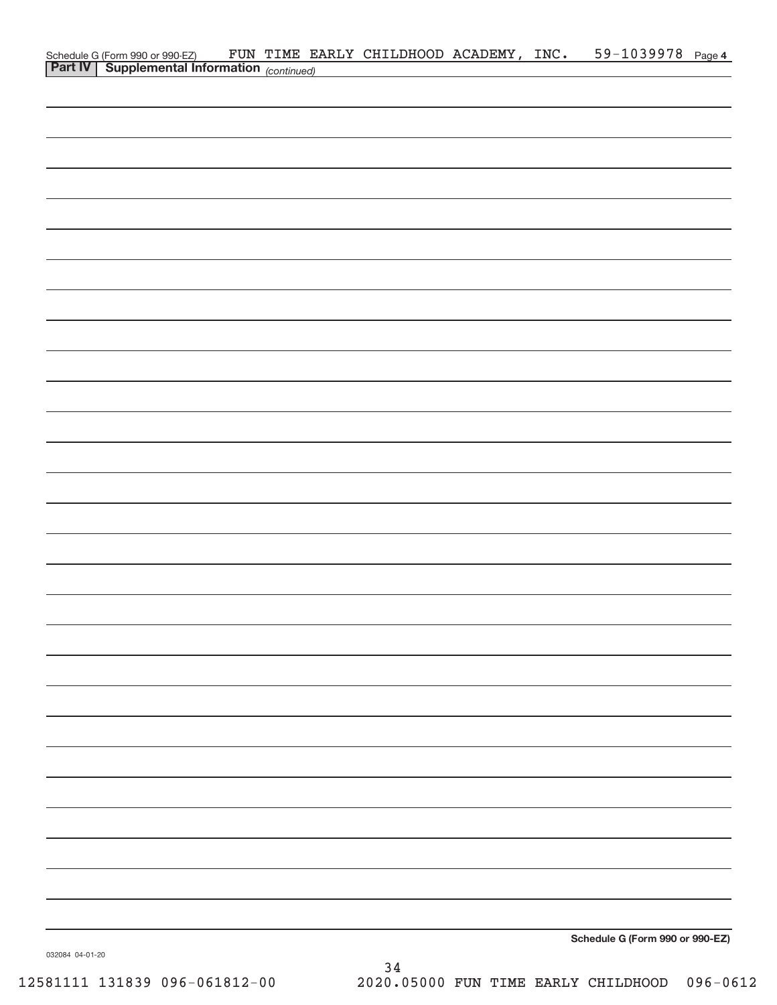|                                                                                                                        |  |  |  | 59-1039978 Page 4               |  |
|------------------------------------------------------------------------------------------------------------------------|--|--|--|---------------------------------|--|
| Schedule G (Form 990 or 990-EZ) FUN TIME EARLY CHILDHOOD ACADEMY, INC.<br>Part IV Supplemental Information (continued) |  |  |  |                                 |  |
|                                                                                                                        |  |  |  |                                 |  |
|                                                                                                                        |  |  |  |                                 |  |
|                                                                                                                        |  |  |  |                                 |  |
|                                                                                                                        |  |  |  |                                 |  |
|                                                                                                                        |  |  |  |                                 |  |
|                                                                                                                        |  |  |  |                                 |  |
|                                                                                                                        |  |  |  |                                 |  |
|                                                                                                                        |  |  |  |                                 |  |
|                                                                                                                        |  |  |  |                                 |  |
|                                                                                                                        |  |  |  |                                 |  |
|                                                                                                                        |  |  |  |                                 |  |
|                                                                                                                        |  |  |  |                                 |  |
|                                                                                                                        |  |  |  |                                 |  |
|                                                                                                                        |  |  |  |                                 |  |
|                                                                                                                        |  |  |  |                                 |  |
|                                                                                                                        |  |  |  |                                 |  |
|                                                                                                                        |  |  |  |                                 |  |
|                                                                                                                        |  |  |  |                                 |  |
|                                                                                                                        |  |  |  |                                 |  |
|                                                                                                                        |  |  |  |                                 |  |
|                                                                                                                        |  |  |  |                                 |  |
|                                                                                                                        |  |  |  |                                 |  |
|                                                                                                                        |  |  |  |                                 |  |
|                                                                                                                        |  |  |  |                                 |  |
|                                                                                                                        |  |  |  |                                 |  |
|                                                                                                                        |  |  |  |                                 |  |
|                                                                                                                        |  |  |  |                                 |  |
|                                                                                                                        |  |  |  |                                 |  |
|                                                                                                                        |  |  |  |                                 |  |
|                                                                                                                        |  |  |  |                                 |  |
|                                                                                                                        |  |  |  |                                 |  |
|                                                                                                                        |  |  |  |                                 |  |
|                                                                                                                        |  |  |  |                                 |  |
|                                                                                                                        |  |  |  |                                 |  |
|                                                                                                                        |  |  |  |                                 |  |
|                                                                                                                        |  |  |  |                                 |  |
|                                                                                                                        |  |  |  |                                 |  |
|                                                                                                                        |  |  |  |                                 |  |
|                                                                                                                        |  |  |  |                                 |  |
|                                                                                                                        |  |  |  |                                 |  |
|                                                                                                                        |  |  |  |                                 |  |
|                                                                                                                        |  |  |  |                                 |  |
|                                                                                                                        |  |  |  |                                 |  |
|                                                                                                                        |  |  |  |                                 |  |
|                                                                                                                        |  |  |  |                                 |  |
|                                                                                                                        |  |  |  |                                 |  |
|                                                                                                                        |  |  |  |                                 |  |
|                                                                                                                        |  |  |  |                                 |  |
|                                                                                                                        |  |  |  |                                 |  |
|                                                                                                                        |  |  |  |                                 |  |
|                                                                                                                        |  |  |  |                                 |  |
|                                                                                                                        |  |  |  |                                 |  |
|                                                                                                                        |  |  |  |                                 |  |
|                                                                                                                        |  |  |  |                                 |  |
|                                                                                                                        |  |  |  |                                 |  |
|                                                                                                                        |  |  |  | Schedule G (Form 990 or 990-EZ) |  |
|                                                                                                                        |  |  |  |                                 |  |

032084 04‐01‐20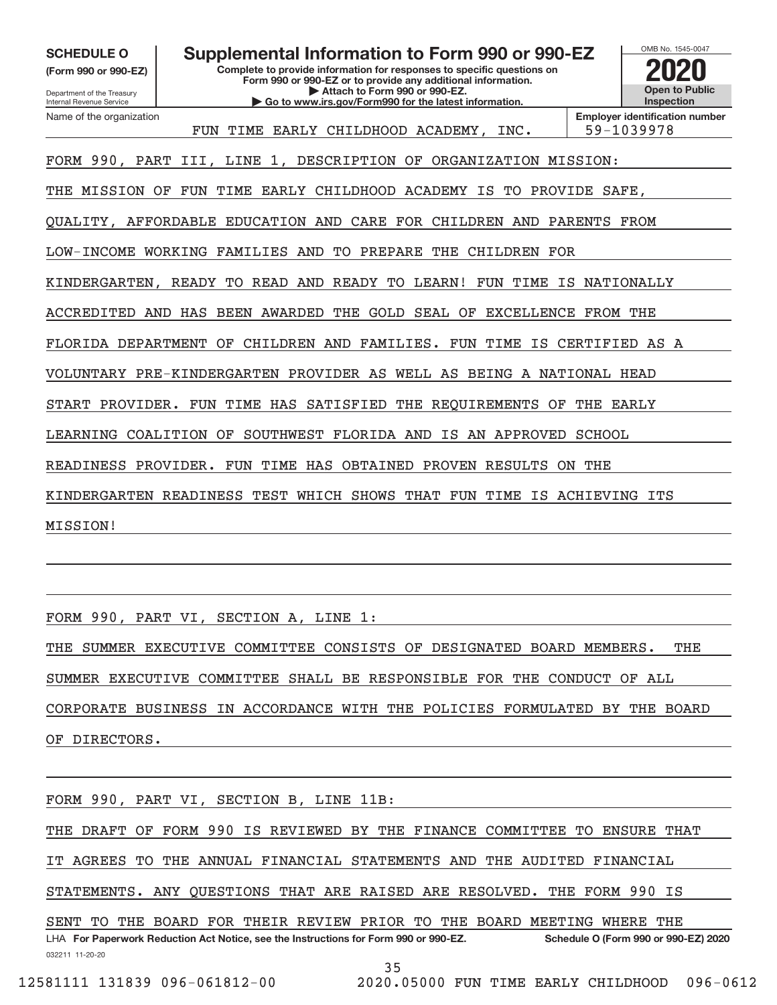**(Form 990 or 990‐EZ)**

**SCHEDULE O Supplemental Information to Form 990 or 990‐EZ 2020**

**Complete to provide information for responses to specific questions on Form 990 or 990‐EZ or to provide any additional information. | Attach to Form 990 or 990‐EZ.**

**| Go to www.irs.gov/Form990 for the latest information.**



**Employer identification number**

Department of the Treasury Internal Revenue Service Name of the organization

FUN TIME EARLY CHILDHOOD ACADEMY, INC. | 59-1039978

FORM 990, PART III, LINE 1, DESCRIPTION OF ORGANIZATION MISSION:

THE MISSION OF FUN TIME EARLY CHILDHOOD ACADEMY IS TO PROVIDE SAFE,

QUALITY, AFFORDABLE EDUCATION AND CARE FOR CHILDREN AND PARENTS FROM

LOW‐INCOME WORKING FAMILIES AND TO PREPARE THE CHILDREN FOR

KINDERGARTEN, READY TO READ AND READY TO LEARN! FUN TIME IS NATIONALLY

ACCREDITED AND HAS BEEN AWARDED THE GOLD SEAL OF EXCELLENCE FROM THE

FLORIDA DEPARTMENT OF CHILDREN AND FAMILIES. FUN TIME IS CERTIFIED AS A

VOLUNTARY PRE‐KINDERGARTEN PROVIDER AS WELL AS BEING A NATIONAL HEAD

START PROVIDER. FUN TIME HAS SATISFIED THE REQUIREMENTS OF THE EARLY

LEARNING COALITION OF SOUTHWEST FLORIDA AND IS AN APPROVED SCHOOL

READINESS PROVIDER. FUN TIME HAS OBTAINED PROVEN RESULTS ON THE

KINDERGARTEN READINESS TEST WHICH SHOWS THAT FUN TIME IS ACHIEVING ITS

MISSION!

FORM 990, PART VI, SECTION A, LINE 1:

THE SUMMER EXECUTIVE COMMITTEE CONSISTS OF DESIGNATED BOARD MEMBERS. THE SUMMER EXECUTIVE COMMITTEE SHALL BE RESPONSIBLE FOR THE CONDUCT OF ALL

CORPORATE BUSINESS IN ACCORDANCE WITH THE POLICIES FORMULATED BY THE BOARD OF DIRECTORS.

032211 11‐20‐20 **For Paperwork Reduction Act Notice, see the Instructions for Form 990 or 990‐EZ. Schedule O (Form 990 or 990‐EZ) 2020** LHA FORM 990, PART VI, SECTION B, LINE 11B: THE DRAFT OF FORM 990 IS REVIEWED BY THE FINANCE COMMITTEE TO ENSURE THAT IT AGREES TO THE ANNUAL FINANCIAL STATEMENTS AND THE AUDITED FINANCIAL STATEMENTS. ANY QUESTIONS THAT ARE RAISED ARE RESOLVED. THE FORM 990 IS SENT TO THE BOARD FOR THEIR REVIEW PRIOR TO THE BOARD MEETING WHERE THE

35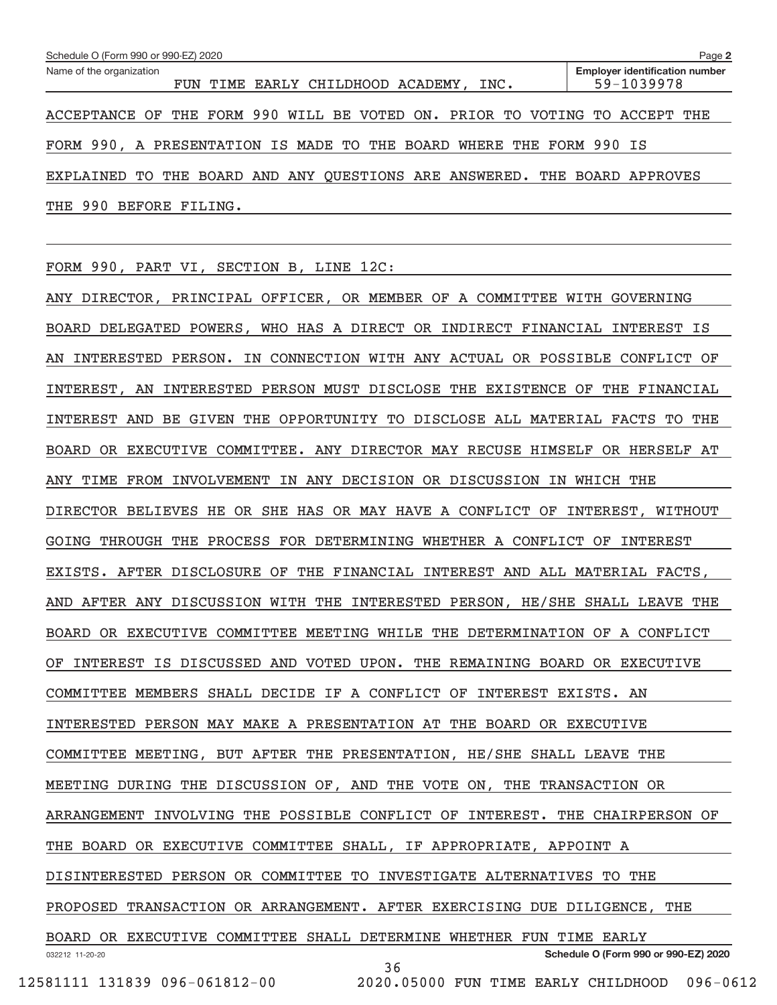| Schedule O (Form 990 or 990-EZ) 2020                                       | Page 2                                              |  |
|----------------------------------------------------------------------------|-----------------------------------------------------|--|
| Name of the organization<br>TIME EARLY CHILDHOOD ACADEMY, INC.<br>FUN      | <b>Employer identification number</b><br>59-1039978 |  |
| ACCEPTANCE OF THE FORM 990 WILL BE VOTED ON. PRIOR TO VOTING TO ACCEPT THE |                                                     |  |
| FORM 990, A PRESENTATION IS MADE TO THE BOARD WHERE THE FORM 990 IS        |                                                     |  |
| EXPLAINED TO THE BOARD AND ANY QUESTIONS ARE ANSWERED. THE BOARD APPROVES  |                                                     |  |
| THE 990 BEFORE FILING.                                                     |                                                     |  |

FORM 990, PART VI, SECTION B, LINE 12C:

032212 11‐20‐20 **Schedule O (Form 990 or 990‐EZ) 2020** ANY DIRECTOR, PRINCIPAL OFFICER, OR MEMBER OF A COMMITTEE WITH GOVERNING BOARD DELEGATED POWERS, WHO HAS A DIRECT OR INDIRECT FINANCIAL INTEREST IS AN INTERESTED PERSON. IN CONNECTION WITH ANY ACTUAL OR POSSIBLE CONFLICT OF INTEREST, AN INTERESTED PERSON MUST DISCLOSE THE EXISTENCE OF THE FINANCIAL INTEREST AND BE GIVEN THE OPPORTUNITY TO DISCLOSE ALL MATERIAL FACTS TO THE BOARD OR EXECUTIVE COMMITTEE. ANY DIRECTOR MAY RECUSE HIMSELF OR HERSELF AT ANY TIME FROM INVOLVEMENT IN ANY DECISION OR DISCUSSION IN WHICH THE DIRECTOR BELIEVES HE OR SHE HAS OR MAY HAVE A CONFLICT OF INTEREST, WITHOUT GOING THROUGH THE PROCESS FOR DETERMINING WHETHER A CONFLICT OF INTEREST EXISTS. AFTER DISCLOSURE OF THE FINANCIAL INTEREST AND ALL MATERIAL FACTS, AND AFTER ANY DISCUSSION WITH THE INTERESTED PERSON, HE/SHE SHALL LEAVE THE BOARD OR EXECUTIVE COMMITTEE MEETING WHILE THE DETERMINATION OF A CONFLICT OF INTEREST IS DISCUSSED AND VOTED UPON. THE REMAINING BOARD OR EXECUTIVE COMMITTEE MEMBERS SHALL DECIDE IF A CONFLICT OF INTEREST EXISTS. AN INTERESTED PERSON MAY MAKE A PRESENTATION AT THE BOARD OR EXECUTIVE COMMITTEE MEETING, BUT AFTER THE PRESENTATION, HE/SHE SHALL LEAVE THE MEETING DURING THE DISCUSSION OF, AND THE VOTE ON, THE TRANSACTION OR ARRANGEMENT INVOLVING THE POSSIBLE CONFLICT OF INTEREST. THE CHAIRPERSON OF THE BOARD OR EXECUTIVE COMMITTEE SHALL, IF APPROPRIATE, APPOINT A DISINTERESTED PERSON OR COMMITTEE TO INVESTIGATE ALTERNATIVES TO THE PROPOSED TRANSACTION OR ARRANGEMENT. AFTER EXERCISING DUE DILIGENCE, THE BOARD OR EXECUTIVE COMMITTEE SHALL DETERMINE WHETHER FUN TIME EARLY 36

 <sup>12581111 131839 096</sup>‐061812‐00 2020.05000 FUN TIME EARLY CHILDHOOD 096‐0612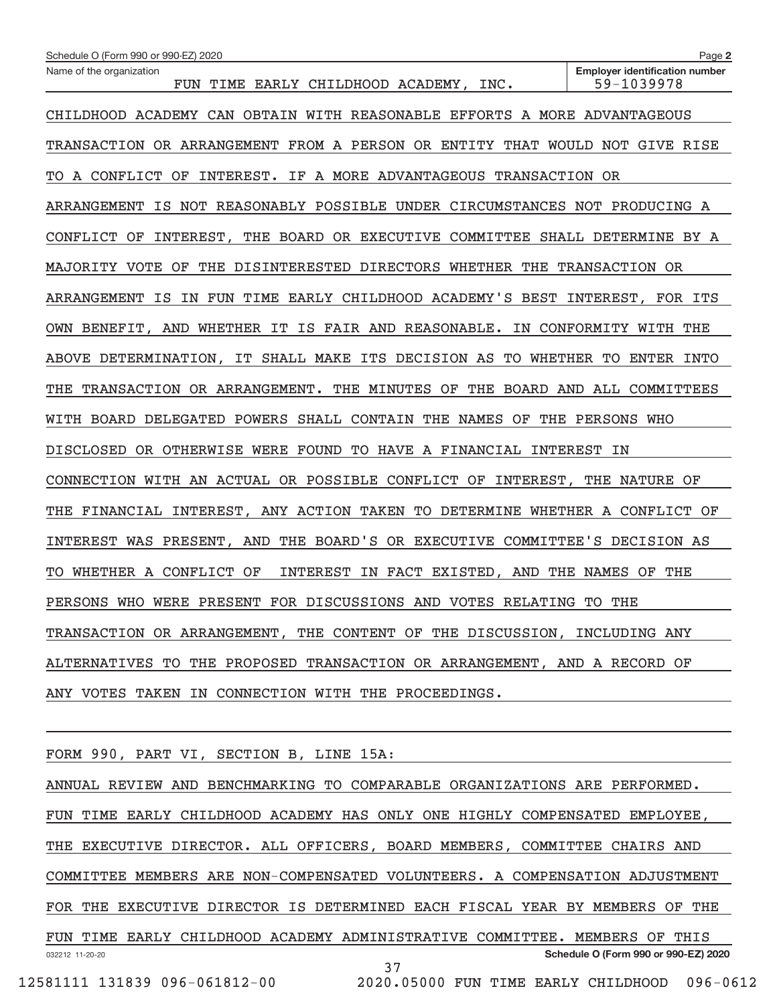| Schedule O (Form 990 or 990-EZ) 2020                                          | Page 2                                              |  |
|-------------------------------------------------------------------------------|-----------------------------------------------------|--|
| Name of the organization<br>FUN TIME EARLY CHILDHOOD ACADEMY, INC.            | <b>Employer identification number</b><br>59-1039978 |  |
| CHILDHOOD ACADEMY CAN OBTAIN WITH REASONABLE EFFORTS A MORE ADVANTAGEOUS      |                                                     |  |
| TRANSACTION OR ARRANGEMENT FROM A PERSON OR ENTITY THAT WOULD NOT GIVE RISE   |                                                     |  |
| TO A CONFLICT OF INTEREST. IF A MORE ADVANTAGEOUS TRANSACTION OR              |                                                     |  |
| ARRANGEMENT IS NOT REASONABLY POSSIBLE UNDER CIRCUMSTANCES NOT PRODUCING A    |                                                     |  |
| CONFLICT OF INTEREST, THE BOARD OR EXECUTIVE COMMITTEE SHALL DETERMINE BY A   |                                                     |  |
| MAJORITY VOTE OF THE DISINTERESTED DIRECTORS WHETHER THE TRANSACTION OR       |                                                     |  |
| ARRANGEMENT IS IN FUN TIME EARLY CHILDHOOD ACADEMY'S BEST INTEREST, FOR ITS   |                                                     |  |
| OWN BENEFIT, AND WHETHER IT IS FAIR AND REASONABLE. IN CONFORMITY WITH THE    |                                                     |  |
| ABOVE DETERMINATION, IT SHALL MAKE ITS DECISION AS TO WHETHER TO ENTER INTO   |                                                     |  |
| THE TRANSACTION OR ARRANGEMENT. THE MINUTES OF THE BOARD AND ALL COMMITTEES   |                                                     |  |
| WITH BOARD DELEGATED POWERS SHALL CONTAIN THE NAMES OF THE PERSONS WHO        |                                                     |  |
| DISCLOSED OR OTHERWISE WERE FOUND TO HAVE A FINANCIAL INTEREST IN             |                                                     |  |
| CONNECTION WITH AN ACTUAL OR POSSIBLE CONFLICT OF INTEREST, THE NATURE OF     |                                                     |  |
| THE FINANCIAL INTEREST, ANY ACTION TAKEN TO DETERMINE WHETHER A CONFLICT OF   |                                                     |  |
| INTEREST WAS PRESENT, AND THE BOARD'S OR EXECUTIVE COMMITTEE'S DECISION AS    |                                                     |  |
| WHETHER A CONFLICT OF<br>INTEREST IN FACT EXISTED, AND THE NAMES OF THE<br>TO |                                                     |  |
| PERSONS WHO WERE PRESENT FOR DISCUSSIONS AND VOTES RELATING TO THE            |                                                     |  |
| TRANSACTION OR ARRANGEMENT, THE CONTENT OF THE DISCUSSION, INCLUDING ANY      |                                                     |  |
| ALTERNATIVES TO THE PROPOSED TRANSACTION OR ARRANGEMENT, AND A RECORD OF      |                                                     |  |
| ANY VOTES TAKEN IN CONNECTION WITH THE PROCEEDINGS.                           |                                                     |  |
|                                                                               |                                                     |  |

FORM 990, PART VI, SECTION B, LINE 15A:

032212 11‐20‐20 **Schedule O (Form 990 or 990‐EZ) 2020** ANNUAL REVIEW AND BENCHMARKING TO COMPARABLE ORGANIZATIONS ARE PERFORMED. FUN TIME EARLY CHILDHOOD ACADEMY HAS ONLY ONE HIGHLY COMPENSATED EMPLOYEE, THE EXECUTIVE DIRECTOR. ALL OFFICERS, BOARD MEMBERS, COMMITTEE CHAIRS AND COMMITTEE MEMBERS ARE NON‐COMPENSATED VOLUNTEERS. A COMPENSATION ADJUSTMENT FOR THE EXECUTIVE DIRECTOR IS DETERMINED EACH FISCAL YEAR BY MEMBERS OF THE FUN TIME EARLY CHILDHOOD ACADEMY ADMINISTRATIVE COMMITTEE. MEMBERS OF THIS 37